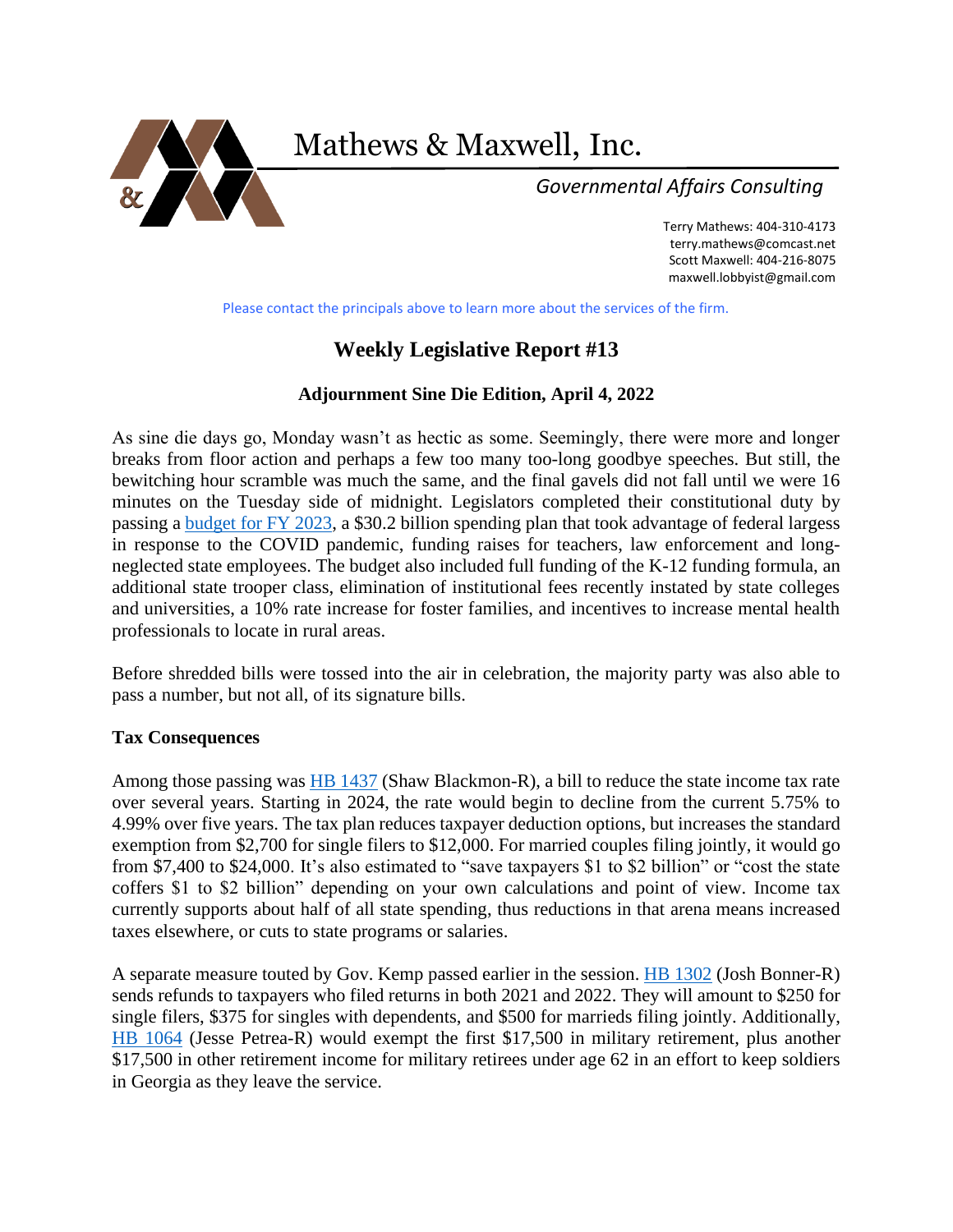

Mathews & Maxwell, Inc.

 *Governmental Affairs Consulting*

Terry Mathews: 404-310-4173 [terry.mathews@comcast.net](mailto:terry.mathews@comcast.net) Scott Maxwell: 404-216-8075 maxwell.lobbyist@gmail.com

Please contact the principals above to learn more about the services of the firm.

# **Weekly Legislative Report #13**

# **Adjournment Sine Die Edition, April 4, 2022**

As sine die days go, Monday wasn't as hectic as some. Seemingly, there were more and longer breaks from floor action and perhaps a few too many too-long goodbye speeches. But still, the bewitching hour scramble was much the same, and the final gavels did not fall until we were 16 minutes on the Tuesday side of midnight. Legislators completed their constitutional duty by passing a [budget for FY 2023,](https://www.legis.ga.gov/legislation/61136) a \$30.2 billion spending plan that took advantage of federal largess in response to the COVID pandemic, funding raises for teachers, law enforcement and longneglected state employees. The budget also included full funding of the K-12 funding formula, an additional state trooper class, elimination of institutional fees recently instated by state colleges and universities, a 10% rate increase for foster families, and incentives to increase mental health professionals to locate in rural areas.

Before shredded bills were tossed into the air in celebration, the majority party was also able to pass a number, but not all, of its signature bills.

# **Tax Consequences**

Among those passing was **HB 1437** (Shaw Blackmon-R), a bill to reduce the state income tax rate over several years. Starting in 2024, the rate would begin to decline from the current 5.75% to 4.99% over five years. The tax plan reduces taxpayer deduction options, but increases the standard exemption from \$2,700 for single filers to \$12,000. For married couples filing jointly, it would go from \$7,400 to \$24,000. It's also estimated to "save taxpayers \$1 to \$2 billion" or "cost the state coffers \$1 to \$2 billion" depending on your own calculations and point of view. Income tax currently supports about half of all state spending, thus reductions in that arena means increased taxes elsewhere, or cuts to state programs or salaries.

A separate measure touted by Gov. Kemp passed earlier in the session. [HB 1302](https://www.legis.ga.gov/legislation/61968) (Josh Bonner-R) sends refunds to taxpayers who filed returns in both 2021 and 2022. They will amount to \$250 for single filers, \$375 for singles with dependents, and \$500 for marrieds filing jointly. Additionally, [HB 1064](https://www.legis.ga.gov/legislation/61451) (Jesse Petrea-R) would exempt the first \$17,500 in military retirement, plus another \$17,500 in other retirement income for military retirees under age 62 in an effort to keep soldiers in Georgia as they leave the service.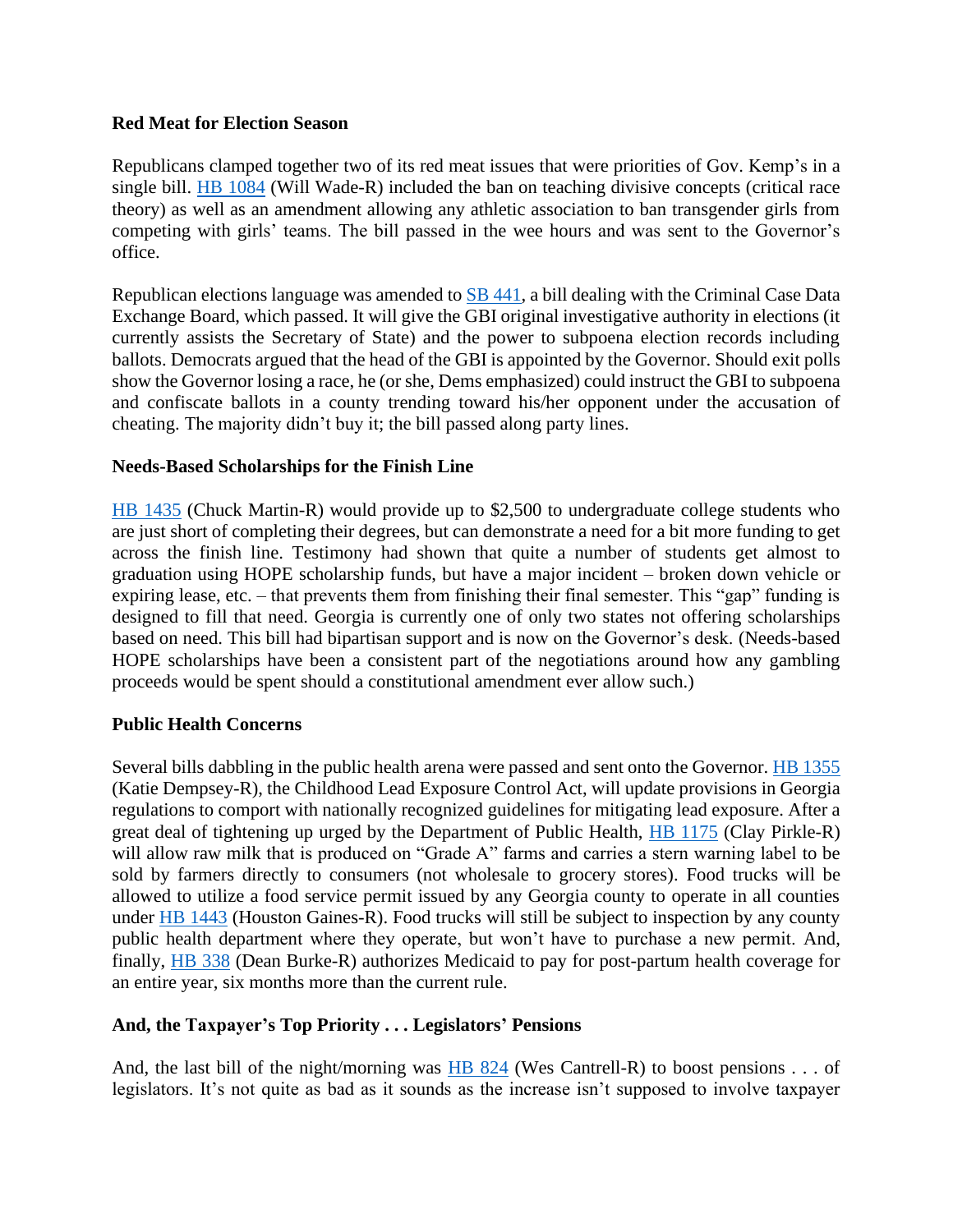# **Red Meat for Election Season**

Republicans clamped together two of its red meat issues that were priorities of Gov. Kemp's in a single bill. [HB 1084](https://www.legis.ga.gov/legislation/61477) (Will Wade-R) included the ban on teaching divisive concepts (critical race theory) as well as an amendment allowing any athletic association to ban transgender girls from competing with girls' teams. The bill passed in the wee hours and was sent to the Governor's office.

Republican elections language was amended to [SB 441,](https://www.legis.ga.gov/legislation/61690) a bill dealing with the Criminal Case Data Exchange Board, which passed. It will give the GBI original investigative authority in elections (it currently assists the Secretary of State) and the power to subpoena election records including ballots. Democrats argued that the head of the GBI is appointed by the Governor. Should exit polls show the Governor losing a race, he (or she, Dems emphasized) could instruct the GBI to subpoena and confiscate ballots in a county trending toward his/her opponent under the accusation of cheating. The majority didn't buy it; the bill passed along party lines.

# **Needs-Based Scholarships for the Finish Line**

[HB 1435](https://www.legis.ga.gov/legislation/62344) (Chuck Martin-R) would provide up to \$2,500 to undergraduate college students who are just short of completing their degrees, but can demonstrate a need for a bit more funding to get across the finish line. Testimony had shown that quite a number of students get almost to graduation using HOPE scholarship funds, but have a major incident – broken down vehicle or expiring lease, etc. – that prevents them from finishing their final semester. This "gap" funding is designed to fill that need. Georgia is currently one of only two states not offering scholarships based on need. This bill had bipartisan support and is now on the Governor's desk. (Needs-based HOPE scholarships have been a consistent part of the negotiations around how any gambling proceeds would be spent should a constitutional amendment ever allow such.)

# **Public Health Concerns**

Several bills dabbling in the public health arena were passed and sent onto the Governor. [HB 1355](https://www.legis.ga.gov/legislation/62106) (Katie Dempsey-R), the Childhood Lead Exposure Control Act, will update provisions in Georgia regulations to comport with nationally recognized guidelines for mitigating lead exposure. After a great deal of tightening up urged by the Department of Public Health, [HB 1175](https://www.legis.ga.gov/legislation/61674) (Clay Pirkle-R) will allow raw milk that is produced on "Grade A" farms and carries a stern warning label to be sold by farmers directly to consumers (not wholesale to grocery stores). Food trucks will be allowed to utilize a food service permit issued by any Georgia county to operate in all counties under [HB 1443](https://www.legis.ga.gov/legislation/62352) (Houston Gaines-R). Food trucks will still be subject to inspection by any county public health department where they operate, but won't have to purchase a new permit. And, finally, [HB 338](https://www.legis.ga.gov/legislation/61152) (Dean Burke-R) authorizes Medicaid to pay for post-partum health coverage for an entire year, six months more than the current rule.

# **And, the Taxpayer's Top Priority . . . Legislators' Pensions**

And, the last bill of the night/morning was  $\overline{HB}$  824 (Wes Cantrell-R) to boost pensions . . . of legislators. It's not quite as bad as it sounds as the increase isn't supposed to involve taxpayer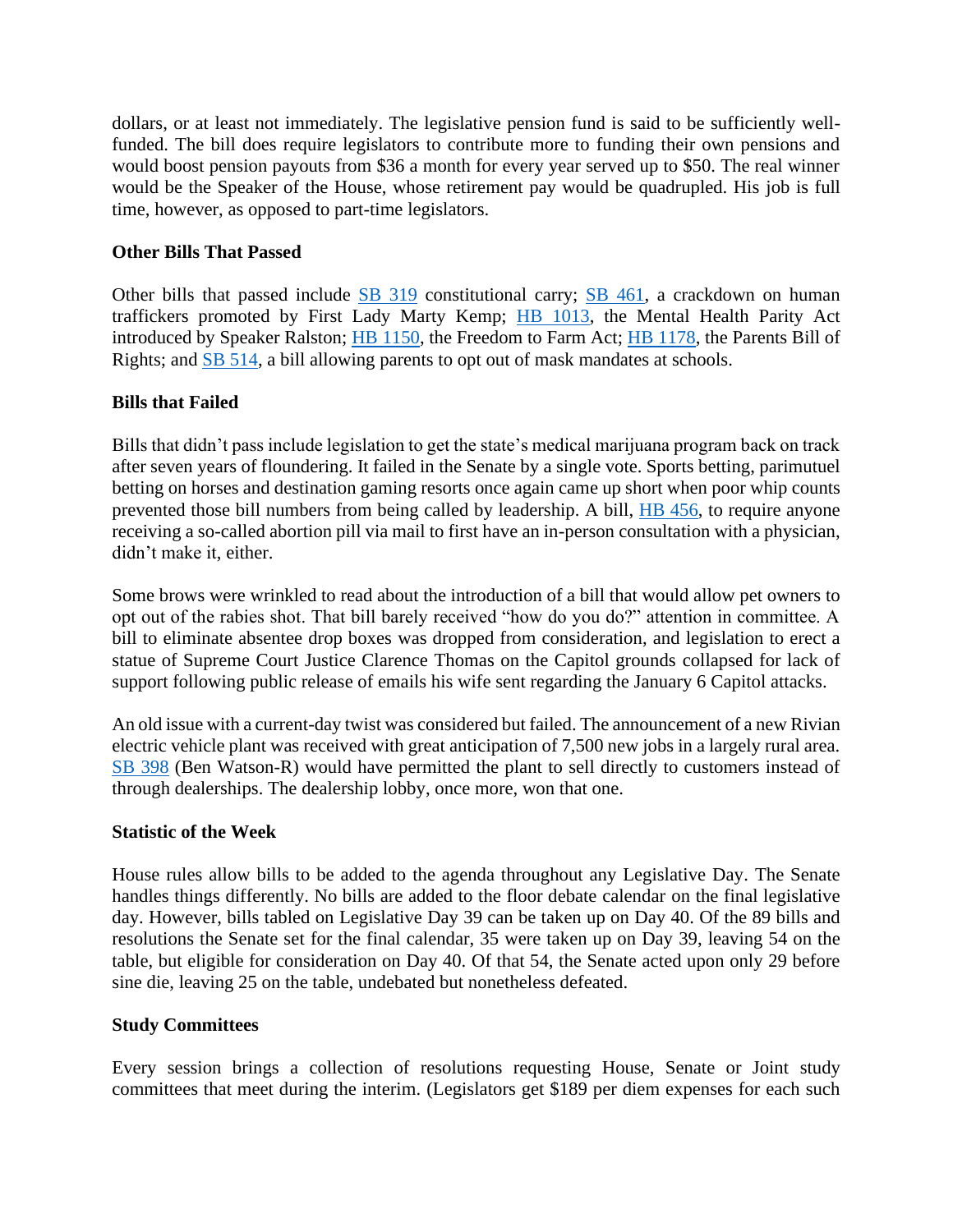dollars, or at least not immediately. The legislative pension fund is said to be sufficiently wellfunded. The bill does require legislators to contribute more to funding their own pensions and would boost pension payouts from \$36 a month for every year served up to \$50. The real winner would be the Speaker of the House, whose retirement pay would be quadrupled. His job is full time, however, as opposed to part-time legislators.

# **Other Bills That Passed**

Other bills that passed include [SB 319](https://www.legis.ga.gov/legislation/60797) constitutional carry; [SB 461,](https://www.legis.ga.gov/legislation/61748) a crackdown on human traffickers promoted by First Lady Marty Kemp; [HB 1013,](https://www.legis.ga.gov/legislation/61365) the Mental Health Parity Act introduced by Speaker Ralston; [HB 1150,](https://www.legis.ga.gov/legislation/61581) the Freedom to Farm Act; [HB 1178,](https://www.legis.ga.gov/legislation/61677) the Parents Bill of Rights; and [SB 514,](https://www.legis.ga.gov/legislation/62084) a bill allowing parents to opt out of mask mandates at schools.

# **Bills that Failed**

Bills that didn't pass include legislation to get the state's medical marijuana program back on track after seven years of floundering. It failed in the Senate by a single vote. Sports betting, parimutuel betting on horses and destination gaming resorts once again came up short when poor whip counts prevented those bill numbers from being called by leadership. A bill, [HB 456,](https://www.legis.ga.gov/legislation/61731) to require anyone receiving a so-called abortion pill via mail to first have an in-person consultation with a physician, didn't make it, either.

Some brows were wrinkled to read about the introduction of a bill that would allow pet owners to opt out of the rabies shot. That bill barely received "how do you do?" attention in committee. A bill to eliminate absentee drop boxes was dropped from consideration, and legislation to erect a statue of Supreme Court Justice Clarence Thomas on the Capitol grounds collapsed for lack of support following public release of emails his wife sent regarding the January 6 Capitol attacks.

An old issue with a current-day twist was considered but failed. The announcement of a new Rivian electric vehicle plant was received with great anticipation of 7,500 new jobs in a largely rural area. [SB 398](https://www.legis.ga.gov/legislation/61445) (Ben Watson-R) would have permitted the plant to sell directly to customers instead of through dealerships. The dealership lobby, once more, won that one.

# **Statistic of the Week**

House rules allow bills to be added to the agenda throughout any Legislative Day. The Senate handles things differently. No bills are added to the floor debate calendar on the final legislative day. However, bills tabled on Legislative Day 39 can be taken up on Day 40. Of the 89 bills and resolutions the Senate set for the final calendar, 35 were taken up on Day 39, leaving 54 on the table, but eligible for consideration on Day 40. Of that 54, the Senate acted upon only 29 before sine die, leaving 25 on the table, undebated but nonetheless defeated.

# **Study Committees**

Every session brings a collection of resolutions requesting House, Senate or Joint study committees that meet during the interim. (Legislators get \$189 per diem expenses for each such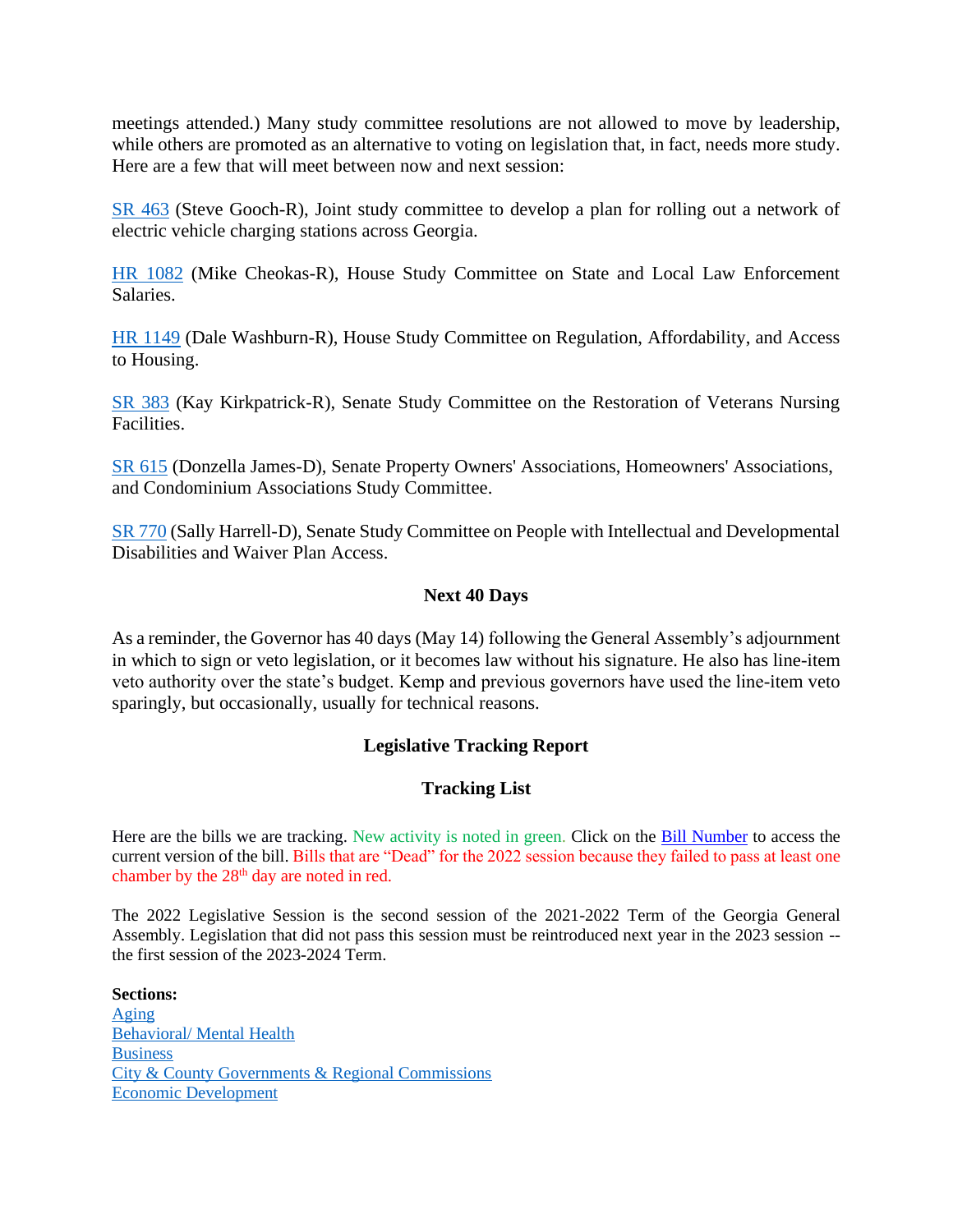meetings attended.) Many study committee resolutions are not allowed to move by leadership, while others are promoted as an alternative to voting on legislation that, in fact, needs more study. Here are a few that will meet between now and next session:

[SR 463](https://www.legis.ga.gov/legislation/61942) (Steve Gooch-R), Joint study committee to develop a plan for rolling out a network of electric vehicle charging stations across Georgia.

[HR 1082](https://www.legis.ga.gov/legislation/63037) (Mike Cheokas-R), House Study Committee on State and Local Law Enforcement Salaries.

[HR 1149](https://www.legis.ga.gov/legislation/63178) (Dale Washburn-R), House Study Committee on Regulation, Affordability, and Access to Housing.

[SR 383](https://www.legis.ga.gov/legislation/61211) (Kay Kirkpatrick-R), Senate Study Committee on the Restoration of Veterans Nursing Facilities.

[SR 615](https://www.legis.ga.gov/legislation/62562) (Donzella James-D), Senate Property Owners' Associations, Homeowners' Associations, and Condominium Associations Study Committee.

SR [770](https://www.legis.ga.gov/legislation/63002) (Sally Harrell-D), Senate Study Committee on People with Intellectual and Developmental Disabilities and Waiver Plan Access.

# **Next 40 Days**

As a reminder, the Governor has 40 days (May 14) following the General Assembly's adjournment in which to sign or veto legislation, or it becomes law without his signature. He also has line-item veto authority over the state's budget. Kemp and previous governors have used the line-item veto sparingly, but occasionally, usually for technical reasons.

# **Legislative Tracking Report**

# **Tracking List**

Here are the bills we are tracking. New activity is noted in green. Click on the Bill Number to access the current version of the bill. Bills that are "Dead" for the 2022 session because they failed to pass at least one chamber by the 28<sup>th</sup> day are noted in red.

The 2022 Legislative Session is the second session of the 2021-2022 Term of the Georgia General Assembly. Legislation that did not pass this session must be reintroduced next year in the 2023 session - the first session of the 2023-2024 Term.

**Sections:** [Aging](#page-4-0) [Behavioral/ Mental Health](#page-5-0) **[Business](#page-5-1)** [City & County Governments & Regional Commissions](#page-7-0) [Economic Development](#page-10-0)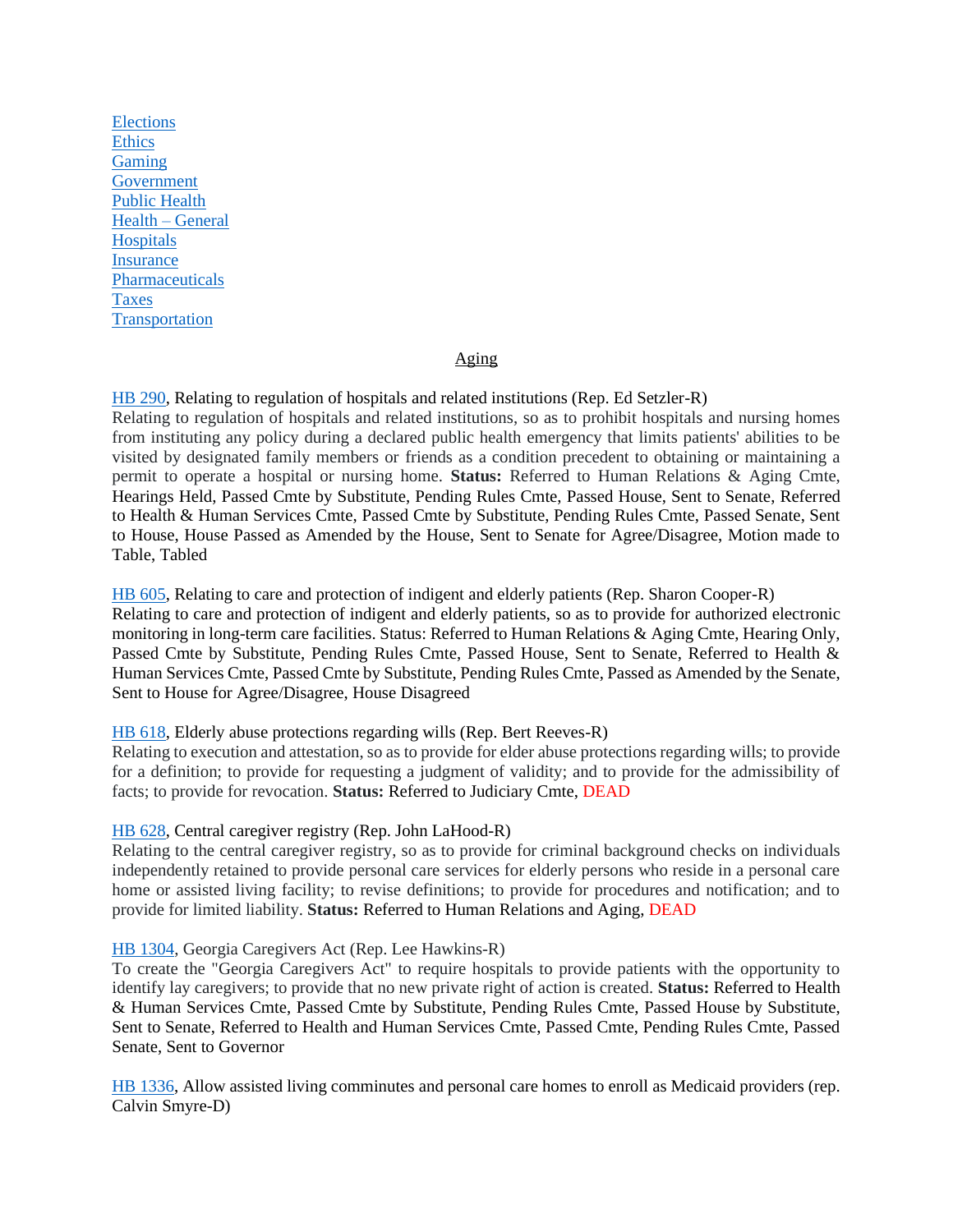[Elections](#page-10-1) **[Ethics](#page-16-0)** [Gaming](#page-16-1) **[Government](#page-18-0)** [Public Health](#page-19-0) [Health –](#page-23-0) General **[Hospitals](#page-24-0) [Insurance](#page-25-0)** [Pharmaceuticals](#page-27-0) [Taxes](#page-28-0) **[Transportation](#page-31-0)** 

# Aging

<span id="page-4-0"></span>[HB 290,](https://www.legis.ga.gov/legislation/59302) Relating to regulation of hospitals and related institutions (Rep. Ed Setzler-R) Relating to regulation of hospitals and related institutions, so as to prohibit hospitals and nursing homes from instituting any policy during a declared public health emergency that limits patients' abilities to be visited by designated family members or friends as a condition precedent to obtaining or maintaining a permit to operate a hospital or nursing home. **Status:** Referred to Human Relations & Aging Cmte, Hearings Held, Passed Cmte by Substitute, Pending Rules Cmte, Passed House, Sent to Senate, Referred to Health & Human Services Cmte, Passed Cmte by Substitute, Pending Rules Cmte, Passed Senate, Sent to House, House Passed as Amended by the House, Sent to Senate for Agree/Disagree, Motion made to Table, Tabled

#### [HB 605,](https://www.legis.ga.gov/legislation/59980) Relating to care and protection of indigent and elderly patients (Rep. Sharon Cooper-R)

Relating to care and protection of indigent and elderly patients, so as to provide for authorized electronic monitoring in long-term care facilities. Status: Referred to Human Relations & Aging Cmte, Hearing Only, Passed Cmte by Substitute, Pending Rules Cmte, Passed House, Sent to Senate, Referred to Health & Human Services Cmte, Passed Cmte by Substitute, Pending Rules Cmte, Passed as Amended by the Senate, Sent to House for Agree/Disagree, House Disagreed

#### [HB 618,](https://www.legis.ga.gov/legislation/60017) Elderly abuse protections regarding wills (Rep. Bert Reeves-R)

Relating to execution and attestation, so as to provide for elder abuse protections regarding wills; to provide for a definition; to provide for requesting a judgment of validity; and to provide for the admissibility of facts; to provide for revocation. **Status:** Referred to Judiciary Cmte, DEAD

#### [HB 628,](https://www.legis.ga.gov/legislation/60030) Central caregiver registry (Rep. John LaHood-R)

Relating to the central caregiver registry, so as to provide for criminal background checks on individuals independently retained to provide personal care services for elderly persons who reside in a personal care home or assisted living facility; to revise definitions; to provide for procedures and notification; and to provide for limited liability. **Status:** Referred to Human Relations and Aging, DEAD

#### [HB 1304,](https://www.legis.ga.gov/legislation/61970) Georgia Caregivers Act (Rep. Lee Hawkins-R)

To create the "Georgia Caregivers Act" to require hospitals to provide patients with the opportunity to identify lay caregivers; to provide that no new private right of action is created. **Status:** Referred to Health & Human Services Cmte, Passed Cmte by Substitute, Pending Rules Cmte, Passed House by Substitute, Sent to Senate, Referred to Health and Human Services Cmte, Passed Cmte, Pending Rules Cmte, Passed Senate, Sent to Governor

[HB 1336,](https://www.legis.ga.gov/legislation/62047) Allow assisted living comminutes and personal care homes to enroll as Medicaid providers (rep. Calvin Smyre-D)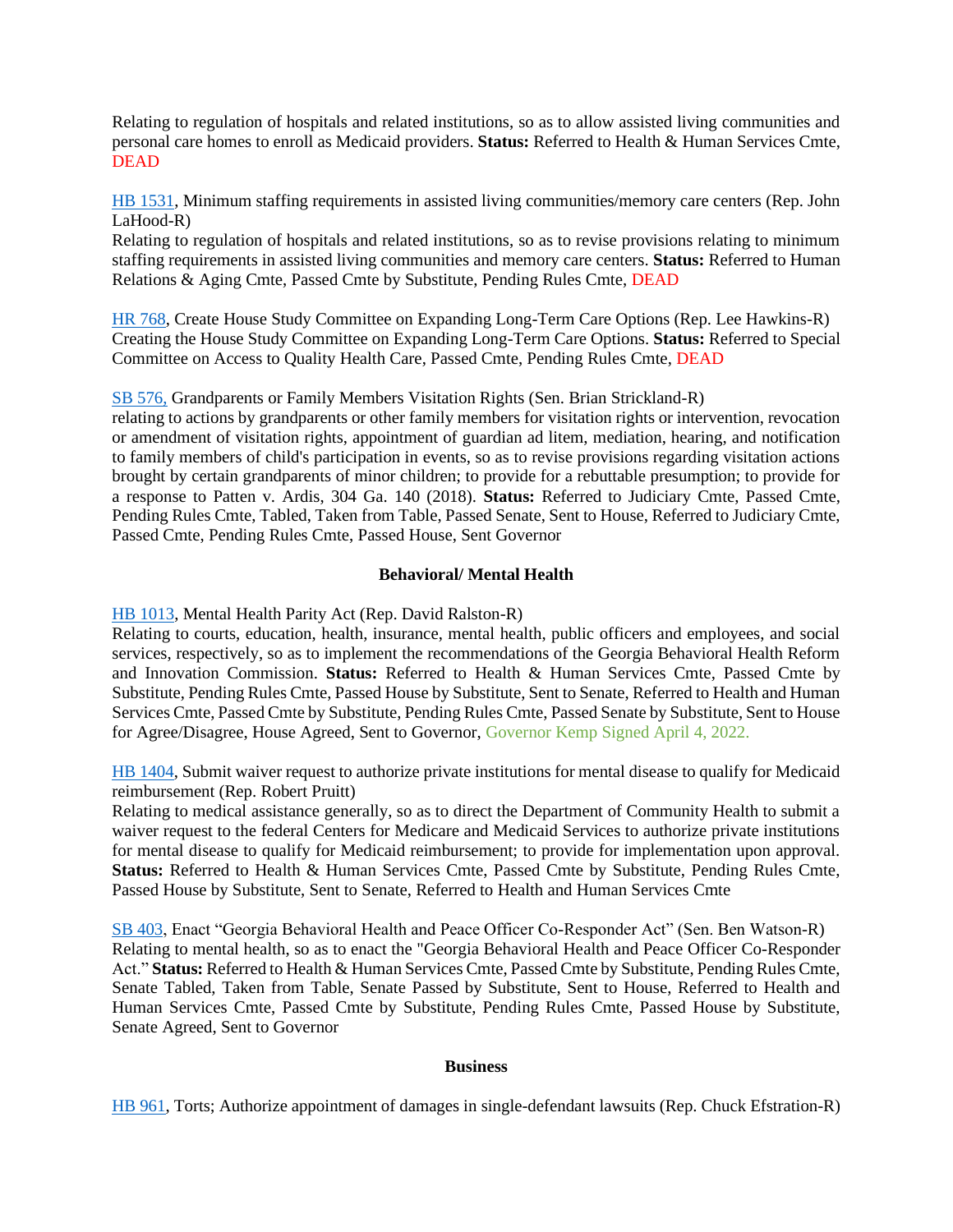Relating to regulation of hospitals and related institutions, so as to allow assisted living communities and personal care homes to enroll as Medicaid providers. **Status:** Referred to Health & Human Services Cmte, DEAD

[HB 1531,](https://www.legis.ga.gov/legislation/62632) Minimum staffing requirements in assisted living communities/memory care centers (Rep. John LaHood-R)

Relating to regulation of hospitals and related institutions, so as to revise provisions relating to minimum staffing requirements in assisted living communities and memory care centers. **Status:** Referred to Human Relations & Aging Cmte, Passed Cmte by Substitute, Pending Rules Cmte, DEAD

<span id="page-5-0"></span>[HR 768,](https://www.legis.ga.gov/legislation/62036) Create House Study Committee on Expanding Long-Term Care Options (Rep. Lee Hawkins-R) Creating the House Study Committee on Expanding Long-Term Care Options. **Status:** Referred to Special Committee on Access to Quality Health Care, Passed Cmte, Pending Rules Cmte, DEAD

[SB 576,](https://www.legis.ga.gov/legislation/62467) Grandparents or Family Members Visitation Rights (Sen. Brian Strickland-R)

relating to actions by grandparents or other family members for visitation rights or intervention, revocation or amendment of visitation rights, appointment of guardian ad litem, mediation, hearing, and notification to family members of child's participation in events, so as to revise provisions regarding visitation actions brought by certain grandparents of minor children; to provide for a rebuttable presumption; to provide for a response to Patten v. Ardis, 304 Ga. 140 (2018). **Status:** Referred to Judiciary Cmte, Passed Cmte, Pending Rules Cmte, Tabled, Taken from Table, Passed Senate, Sent to House, Referred to Judiciary Cmte, Passed Cmte, Pending Rules Cmte, Passed House, Sent Governor

#### **Behavioral/ Mental Health**

[HB 1013,](https://www.legis.ga.gov/legislation/61365) Mental Health Parity Act (Rep. David Ralston-R)

Relating to courts, education, health, insurance, mental health, public officers and employees, and social services, respectively, so as to implement the recommendations of the Georgia Behavioral Health Reform and Innovation Commission. **Status:** Referred to Health & Human Services Cmte, Passed Cmte by Substitute, Pending Rules Cmte, Passed House by Substitute, Sent to Senate, Referred to Health and Human Services Cmte, Passed Cmte by Substitute, Pending Rules Cmte, Passed Senate by Substitute, Sent to House for Agree/Disagree, House Agreed, Sent to Governor, Governor Kemp Signed April 4, 2022.

[HB 1404,](https://www.legis.ga.gov/legislation/62237) Submit waiver request to authorize private institutions for mental disease to qualify for Medicaid reimbursement (Rep. Robert Pruitt)

Relating to medical assistance generally, so as to direct the Department of Community Health to submit a waiver request to the federal Centers for Medicare and Medicaid Services to authorize private institutions for mental disease to qualify for Medicaid reimbursement; to provide for implementation upon approval. **Status:** Referred to Health & Human Services Cmte, Passed Cmte by Substitute, Pending Rules Cmte, Passed House by Substitute, Sent to Senate, Referred to Health and Human Services Cmte

[SB 403,](https://www.legis.ga.gov/legislation/61506) Enact "Georgia Behavioral Health and Peace Officer Co-Responder Act" (Sen. Ben Watson-R) Relating to mental health, so as to enact the "Georgia Behavioral Health and Peace Officer Co-Responder Act." **Status:** Referred to Health & Human Services Cmte, Passed Cmte by Substitute, Pending Rules Cmte, Senate Tabled, Taken from Table, Senate Passed by Substitute, Sent to House, Referred to Health and Human Services Cmte, Passed Cmte by Substitute, Pending Rules Cmte, Passed House by Substitute, Senate Agreed, Sent to Governor

#### **Business**

<span id="page-5-1"></span>[HB 961,](https://www.legis.ga.gov/legislation/61237) Torts; Authorize appointment of damages in single-defendant lawsuits (Rep. Chuck Efstration-R)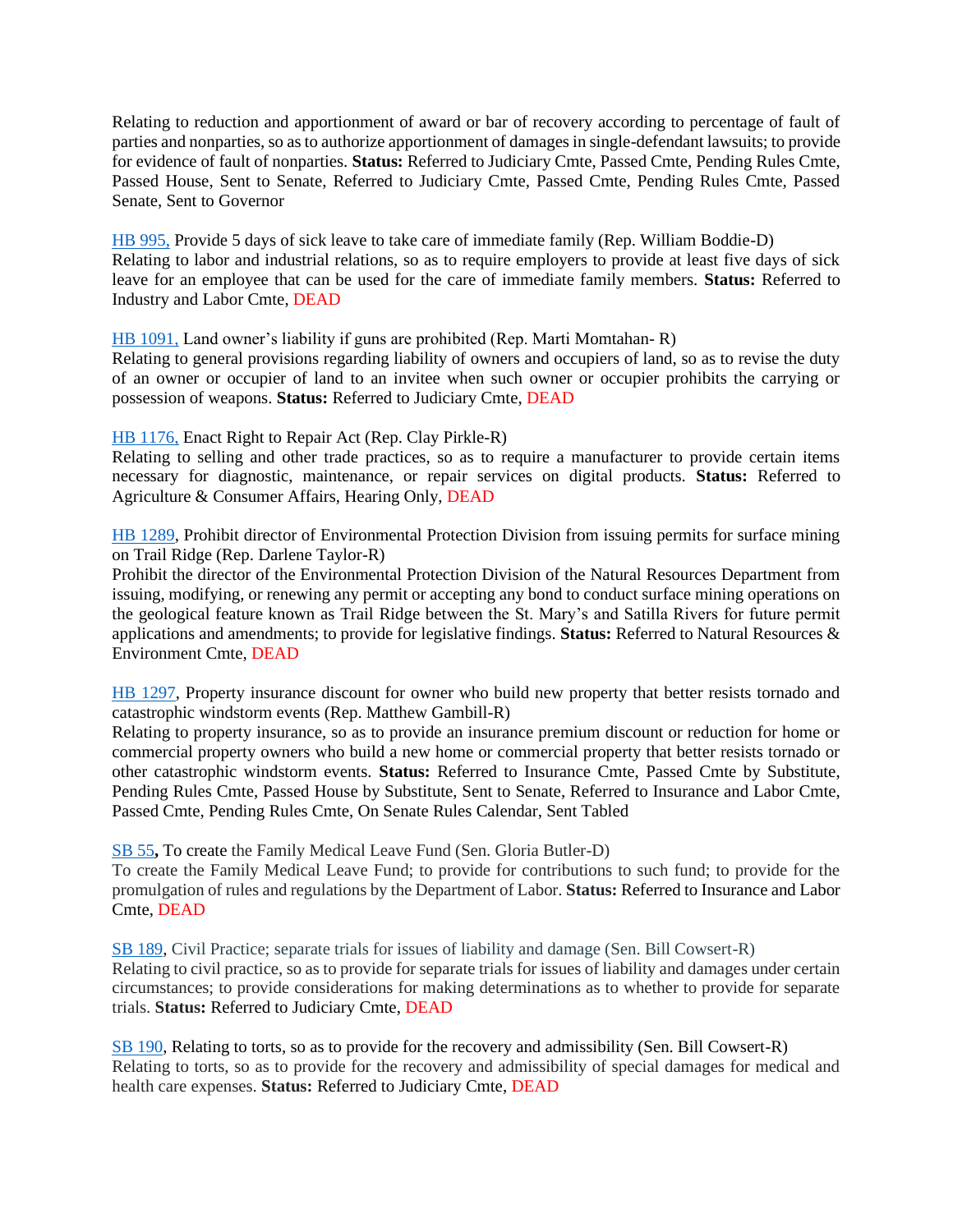Relating to reduction and apportionment of award or bar of recovery according to percentage of fault of parties and nonparties, so as to authorize apportionment of damages in single-defendant lawsuits; to provide for evidence of fault of nonparties. **Status:** Referred to Judiciary Cmte, Passed Cmte, Pending Rules Cmte, Passed House, Sent to Senate, Referred to Judiciary Cmte, Passed Cmte, Pending Rules Cmte, Passed Senate, Sent to Governor

[HB 995,](https://www.legis.ga.gov/legislation/61325) Provide 5 days of sick leave to take care of immediate family (Rep. William Boddie-D) Relating to labor and industrial relations, so as to require employers to provide at least five days of sick leave for an employee that can be used for the care of immediate family members. **Status:** Referred to Industry and Labor Cmte, DEAD

[HB 1091,](https://www.legis.ga.gov/legislation/61484) Land owner's liability if guns are prohibited (Rep. Marti Momtahan- R)

Relating to general provisions regarding liability of owners and occupiers of land, so as to revise the duty of an owner or occupier of land to an invitee when such owner or occupier prohibits the carrying or possession of weapons. **Status:** Referred to Judiciary Cmte, DEAD

[HB 1176,](https://www.legis.ga.gov/legislation/61675) Enact Right to Repair Act (Rep. Clay Pirkle-R)

Relating to selling and other trade practices, so as to require a manufacturer to provide certain items necessary for diagnostic, maintenance, or repair services on digital products. **Status:** Referred to Agriculture & Consumer Affairs, Hearing Only, DEAD

[HB 1289,](https://www.legis.ga.gov/legislation/61907) Prohibit director of Environmental Protection Division from issuing permits for surface mining on Trail Ridge (Rep. Darlene Taylor-R)

Prohibit the director of the Environmental Protection Division of the Natural Resources Department from issuing, modifying, or renewing any permit or accepting any bond to conduct surface mining operations on the geological feature known as Trail Ridge between the St. Mary's and Satilla Rivers for future permit applications and amendments; to provide for legislative findings. **Status:** Referred to Natural Resources & Environment Cmte, DEAD

[HB 1297,](https://www.legis.ga.gov/legislation/61923) Property insurance discount for owner who build new property that better resists tornado and catastrophic windstorm events (Rep. Matthew Gambill-R)

Relating to property insurance, so as to provide an insurance premium discount or reduction for home or commercial property owners who build a new home or commercial property that better resists tornado or other catastrophic windstorm events. **Status:** Referred to Insurance Cmte, Passed Cmte by Substitute, Pending Rules Cmte, Passed House by Substitute, Sent to Senate, Referred to Insurance and Labor Cmte, Passed Cmte, Pending Rules Cmte, On Senate Rules Calendar, Sent Tabled

[SB 55](https://www.legis.ga.gov/legislation/59162)**,** To create the Family Medical Leave Fund (Sen. Gloria Butler-D)

To create the Family Medical Leave Fund; to provide for contributions to such fund; to provide for the promulgation of rules and regulations by the Department of Labor. **Status:** Referred to Insurance and Labor Cmte, DEAD

[SB 189,](https://www.legis.ga.gov/legislation/59716) Civil Practice; separate trials for issues of liability and damage (Sen. Bill Cowsert-R) Relating to civil practice, so as to provide for separate trials for issues of liability and damages under certain circumstances; to provide considerations for making determinations as to whether to provide for separate trials. **Status:** Referred to Judiciary Cmte, DEAD

[SB 190,](https://www.legis.ga.gov/legislation/59713) Relating to torts, so as to provide for the recovery and admissibility (Sen. Bill Cowsert-R) Relating to torts, so as to provide for the recovery and admissibility of special damages for medical and health care expenses. **Status:** Referred to Judiciary Cmte, DEAD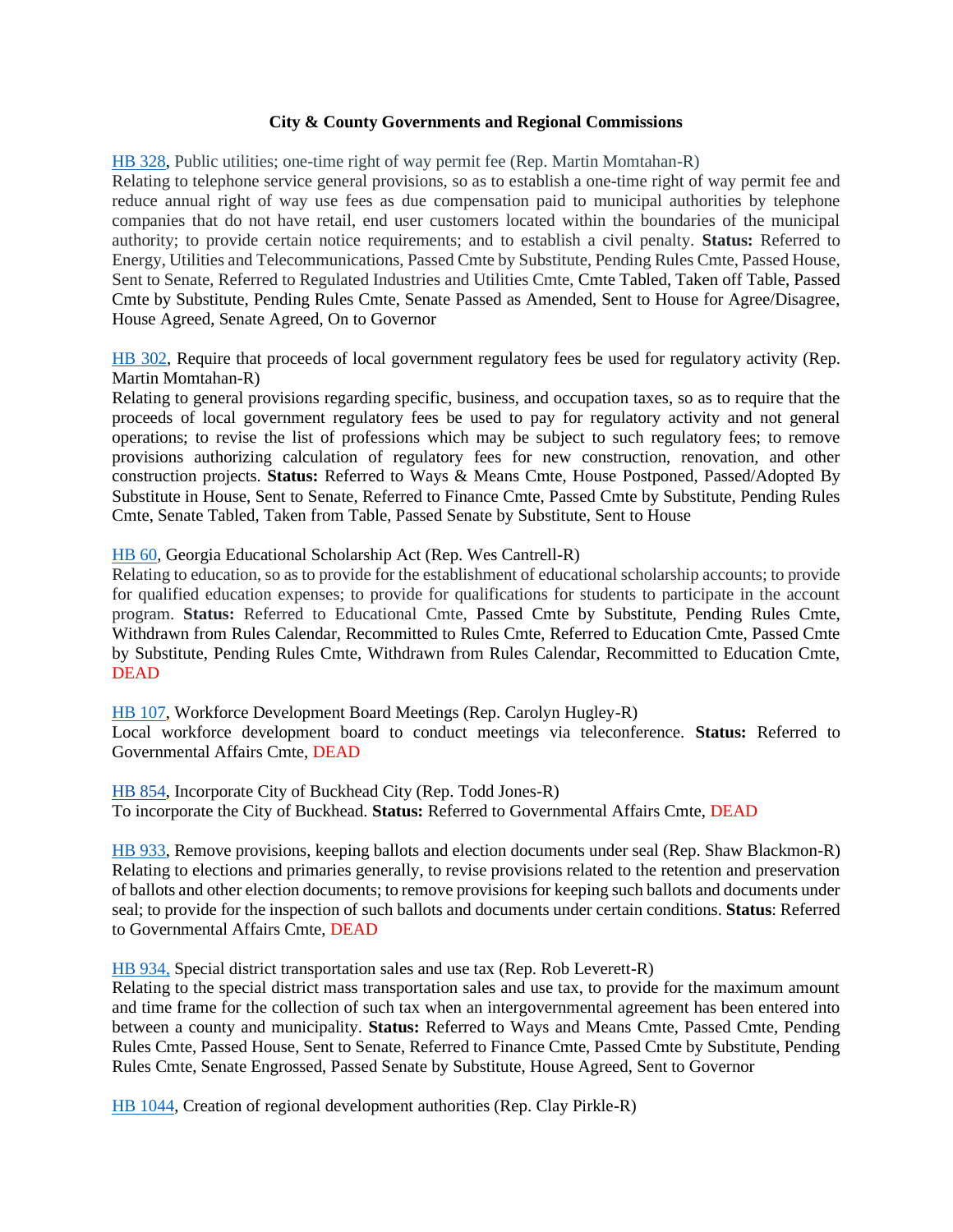#### **City & County Governments and Regional Commissions**

<span id="page-7-0"></span>[HB 328,](https://www.legis.ga.gov/legislation/59393) Public utilities; one-time right of way permit fee (Rep. Martin Momtahan-R) Relating to telephone service general provisions, so as to establish a one-time right of way permit fee and reduce annual right of way use fees as due compensation paid to municipal authorities by telephone companies that do not have retail, end user customers located within the boundaries of the municipal authority; to provide certain notice requirements; and to establish a civil penalty. **Status:** Referred to Energy, Utilities and Telecommunications, Passed Cmte by Substitute, Pending Rules Cmte, Passed House, Sent to Senate, Referred to Regulated Industries and Utilities Cmte, Cmte Tabled, Taken off Table, Passed Cmte by Substitute, Pending Rules Cmte, Senate Passed as Amended, Sent to House for Agree/Disagree, House Agreed, Senate Agreed, On to Governor

[HB 302,](https://www.legis.ga.gov/legislation/59342) Require that proceeds of local government regulatory fees be used for regulatory activity (Rep. Martin Momtahan-R)

Relating to general provisions regarding specific, business, and occupation taxes, so as to require that the proceeds of local government regulatory fees be used to pay for regulatory activity and not general operations; to revise the list of professions which may be subject to such regulatory fees; to remove provisions authorizing calculation of regulatory fees for new construction, renovation, and other construction projects. **Status:** Referred to Ways & Means Cmte, House Postponed, Passed/Adopted By Substitute in House, Sent to Senate, Referred to Finance Cmte, Passed Cmte by Substitute, Pending Rules Cmte, Senate Tabled, Taken from Table, Passed Senate by Substitute, Sent to House

[HB 60,](https://www.legis.ga.gov/legislation/58867) Georgia Educational Scholarship Act (Rep. Wes Cantrell-R)

Relating to education, so as to provide for the establishment of educational scholarship accounts; to provide for qualified education expenses; to provide for qualifications for students to participate in the account program. **Status:** Referred to Educational Cmte, Passed Cmte by Substitute, Pending Rules Cmte, Withdrawn from Rules Calendar, Recommitted to Rules Cmte, Referred to Education Cmte, Passed Cmte by Substitute, Pending Rules Cmte, Withdrawn from Rules Calendar, Recommitted to Education Cmte, DEAD

[HB 107,](https://www.legis.ga.gov/legislation/58954) Workforce Development Board Meetings (Rep. Carolyn Hugley-R) Local workforce development board to conduct meetings via teleconference. **Status:** Referred to Governmental Affairs Cmte, DEAD

[HB 854,](https://www.legis.ga.gov/legislation/60883) Incorporate City of Buckhead City (Rep. Todd Jones-R) To incorporate the City of Buckhead. **Status:** Referred to Governmental Affairs Cmte, DEAD

[HB 933,](https://www.legis.ga.gov/legislation/61169) Remove provisions, keeping ballots and election documents under seal (Rep. Shaw Blackmon-R) Relating to elections and primaries generally, to revise provisions related to the retention and preservation of ballots and other election documents; to remove provisions for keeping such ballots and documents under seal; to provide for the inspection of such ballots and documents under certain conditions. **Status**: Referred to Governmental Affairs Cmte, DEAD

[HB 934,](https://www.legis.ga.gov/legislation/61170) Special district transportation sales and use tax (Rep. Rob Leverett-R)

Relating to the special district mass transportation sales and use tax, to provide for the maximum amount and time frame for the collection of such tax when an intergovernmental agreement has been entered into between a county and municipality. **Status:** Referred to Ways and Means Cmte, Passed Cmte, Pending Rules Cmte, Passed House, Sent to Senate, Referred to Finance Cmte, Passed Cmte by Substitute, Pending Rules Cmte, Senate Engrossed, Passed Senate by Substitute, House Agreed, Sent to Governor

[HB 1044,](https://www.legis.ga.gov/legislation/61395) Creation of regional development authorities (Rep. Clay Pirkle-R)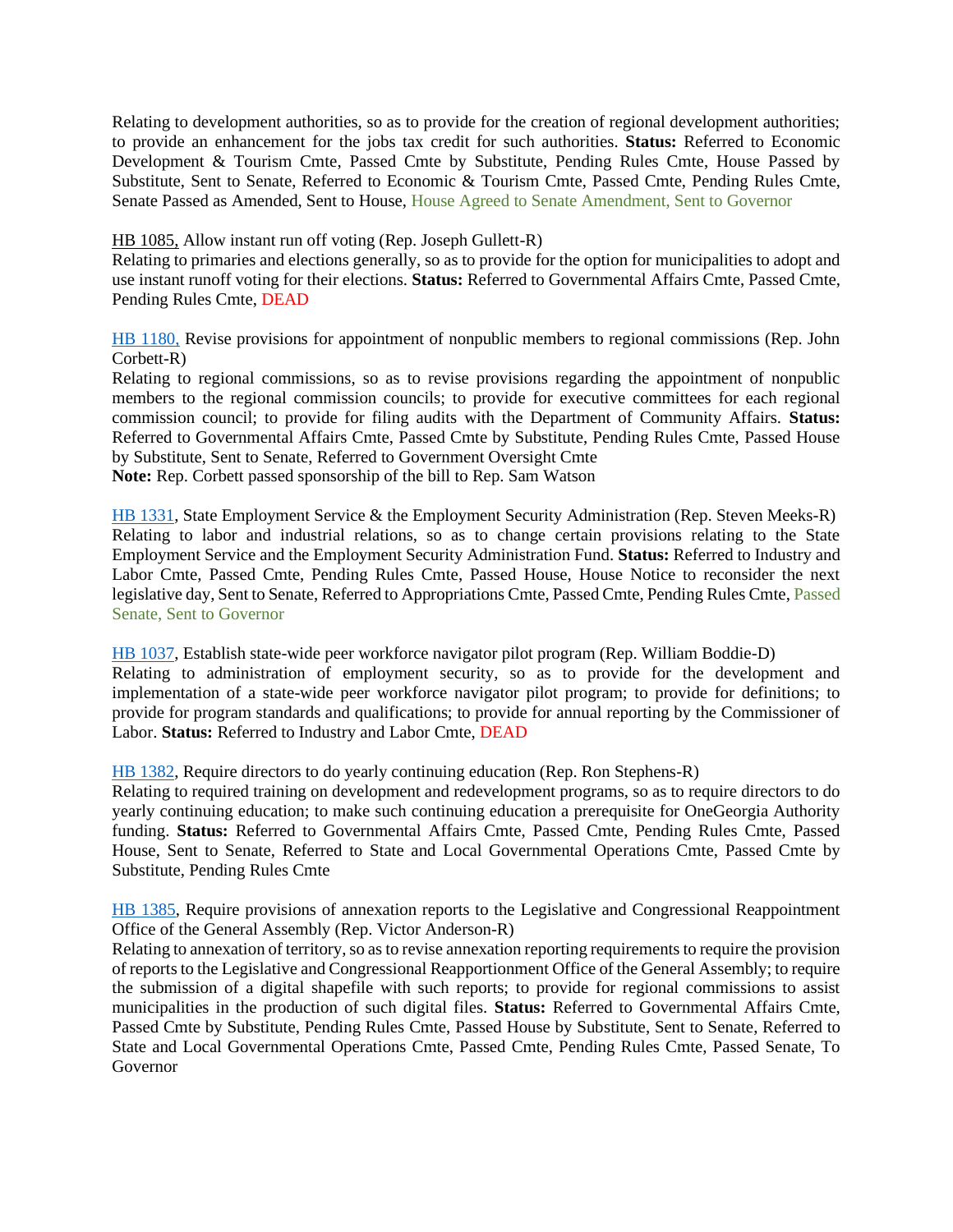Relating to development authorities, so as to provide for the creation of regional development authorities; to provide an enhancement for the jobs tax credit for such authorities. **Status:** Referred to Economic Development & Tourism Cmte, Passed Cmte by Substitute, Pending Rules Cmte, House Passed by Substitute, Sent to Senate, Referred to Economic & Tourism Cmte, Passed Cmte, Pending Rules Cmte, Senate Passed as Amended, Sent to House, House Agreed to Senate Amendment, Sent to Governor

#### [HB 1085,](https://www.legis.ga.gov/legislation/61478) Allow instant run off voting (Rep. Joseph Gullett-R)

Relating to primaries and elections generally, so as to provide for the option for municipalities to adopt and use instant runoff voting for their elections. **Status:** Referred to Governmental Affairs Cmte, Passed Cmte, Pending Rules Cmte, DEAD

[HB 1180,](https://www.legis.ga.gov/legislation/61679) Revise provisions for appointment of nonpublic members to regional commissions (Rep. John Corbett-R)

Relating to regional commissions, so as to revise provisions regarding the appointment of nonpublic members to the regional commission councils; to provide for executive committees for each regional commission council; to provide for filing audits with the Department of Community Affairs. **Status:**  Referred to Governmental Affairs Cmte, Passed Cmte by Substitute, Pending Rules Cmte, Passed House by Substitute, Sent to Senate, Referred to Government Oversight Cmte

**Note:** Rep. Corbett passed sponsorship of the bill to Rep. Sam Watson

[HB 1331,](https://www.legis.ga.gov/legislation/62042) State Employment Service & the Employment Security Administration (Rep. Steven Meeks-R) Relating to labor and industrial relations, so as to change certain provisions relating to the State Employment Service and the Employment Security Administration Fund. **Status:** Referred to Industry and Labor Cmte, Passed Cmte, Pending Rules Cmte, Passed House, House Notice to reconsider the next legislative day, Sent to Senate, Referred to Appropriations Cmte, Passed Cmte, Pending Rules Cmte, Passed Senate, Sent to Governor

[HB 1037,](https://www.legis.ga.gov/legislation/61388) Establish state-wide peer workforce navigator pilot program (Rep. William Boddie-D) Relating to administration of employment security, so as to provide for the development and implementation of a state-wide peer workforce navigator pilot program; to provide for definitions; to provide for program standards and qualifications; to provide for annual reporting by the Commissioner of Labor. **Status:** Referred to Industry and Labor Cmte, DEAD

[HB 1382,](https://www.legis.ga.gov/legislation/62210) Require directors to do yearly continuing education (Rep. Ron Stephens-R)

Relating to required training on development and redevelopment programs, so as to require directors to do yearly continuing education; to make such continuing education a prerequisite for OneGeorgia Authority funding. **Status:** Referred to Governmental Affairs Cmte, Passed Cmte, Pending Rules Cmte, Passed House, Sent to Senate, Referred to State and Local Governmental Operations Cmte, Passed Cmte by Substitute, Pending Rules Cmte

[HB 1385,](https://www.legis.ga.gov/legislation/62213) Require provisions of annexation reports to the Legislative and Congressional Reappointment Office of the General Assembly (Rep. Victor Anderson-R)

Relating to annexation of territory, so as to revise annexation reporting requirements to require the provision of reports to the Legislative and Congressional Reapportionment Office of the General Assembly; to require the submission of a digital shapefile with such reports; to provide for regional commissions to assist municipalities in the production of such digital files. **Status:** Referred to Governmental Affairs Cmte, Passed Cmte by Substitute, Pending Rules Cmte, Passed House by Substitute, Sent to Senate, Referred to State and Local Governmental Operations Cmte, Passed Cmte, Pending Rules Cmte, Passed Senate, To Governor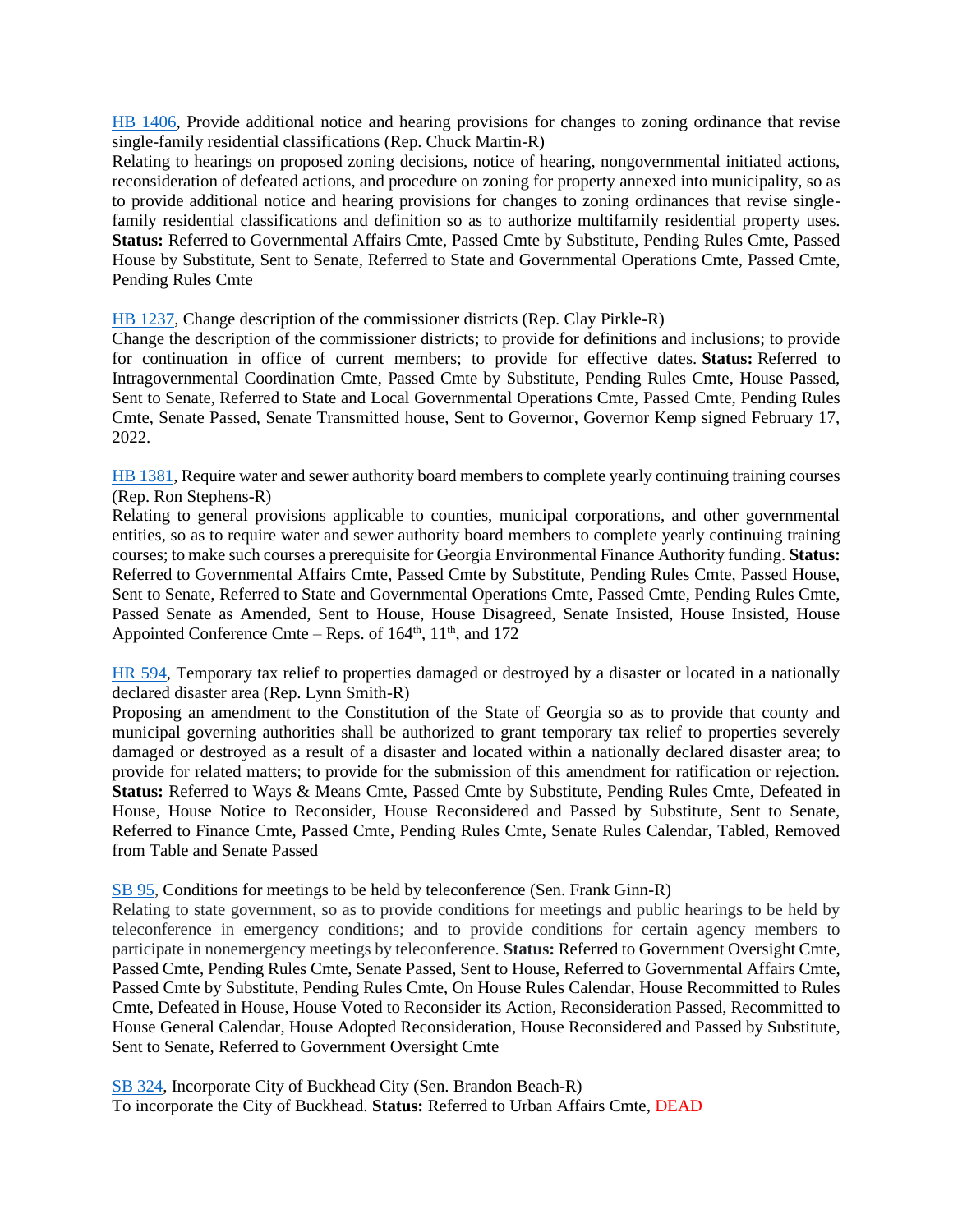[HB 1406,](https://www.legis.ga.gov/legislation/62240) Provide additional notice and hearing provisions for changes to zoning ordinance that revise single-family residential classifications (Rep. Chuck Martin-R)

Relating to hearings on proposed zoning decisions, notice of hearing, nongovernmental initiated actions, reconsideration of defeated actions, and procedure on zoning for property annexed into municipality, so as to provide additional notice and hearing provisions for changes to zoning ordinances that revise singlefamily residential classifications and definition so as to authorize multifamily residential property uses. **Status:** Referred to Governmental Affairs Cmte, Passed Cmte by Substitute, Pending Rules Cmte, Passed House by Substitute, Sent to Senate, Referred to State and Governmental Operations Cmte, Passed Cmte, Pending Rules Cmte

[HB 1237,](https://www.legis.ga.gov/legislation/61831) Change description of the commissioner districts (Rep. Clay Pirkle-R)

Change the description of the commissioner districts; to provide for definitions and inclusions; to provide for continuation in office of current members; to provide for effective dates. **Status:** Referred to Intragovernmental Coordination Cmte, Passed Cmte by Substitute, Pending Rules Cmte, House Passed, Sent to Senate, Referred to State and Local Governmental Operations Cmte, Passed Cmte, Pending Rules Cmte, Senate Passed, Senate Transmitted house, Sent to Governor, Governor Kemp signed February 17, 2022.

[HB 1381,](https://www.legis.ga.gov/legislation/62209) Require water and sewer authority board members to complete yearly continuing training courses (Rep. Ron Stephens-R)

Relating to general provisions applicable to counties, municipal corporations, and other governmental entities, so as to require water and sewer authority board members to complete yearly continuing training courses; to make such courses a prerequisite for Georgia Environmental Finance Authority funding. **Status:**  Referred to Governmental Affairs Cmte, Passed Cmte by Substitute, Pending Rules Cmte, Passed House, Sent to Senate, Referred to State and Governmental Operations Cmte, Passed Cmte, Pending Rules Cmte, Passed Senate as Amended, Sent to House, House Disagreed, Senate Insisted, House Insisted, House Appointed Conference Cmte – Reps. of  $164<sup>th</sup>$ ,  $11<sup>th</sup>$ , and  $172$ 

[HR 594,](https://www.legis.ga.gov/legislation/61258) Temporary tax relief to properties damaged or destroyed by a disaster or located in a nationally declared disaster area (Rep. Lynn Smith-R)

Proposing an amendment to the Constitution of the State of Georgia so as to provide that county and municipal governing authorities shall be authorized to grant temporary tax relief to properties severely damaged or destroyed as a result of a disaster and located within a nationally declared disaster area; to provide for related matters; to provide for the submission of this amendment for ratification or rejection. **Status:** Referred to Ways & Means Cmte, Passed Cmte by Substitute, Pending Rules Cmte, Defeated in House, House Notice to Reconsider, House Reconsidered and Passed by Substitute, Sent to Senate, Referred to Finance Cmte, Passed Cmte, Pending Rules Cmte, Senate Rules Calendar, Tabled, Removed from Table and Senate Passed

# [SB 95,](https://www.legis.ga.gov/legislation/59336) Conditions for meetings to be held by teleconference (Sen. Frank Ginn-R)

Relating to state government, so as to provide conditions for meetings and public hearings to be held by teleconference in emergency conditions; and to provide conditions for certain agency members to participate in nonemergency meetings by teleconference. **Status:** Referred to Government Oversight Cmte, Passed Cmte, Pending Rules Cmte, Senate Passed, Sent to House, Referred to Governmental Affairs Cmte, Passed Cmte by Substitute, Pending Rules Cmte, On House Rules Calendar, House Recommitted to Rules Cmte, Defeated in House, House Voted to Reconsider its Action, Reconsideration Passed, Recommitted to House General Calendar, House Adopted Reconsideration, House Reconsidered and Passed by Substitute, Sent to Senate, Referred to Government Oversight Cmte

[SB 324,](https://www.legis.ga.gov/legislation/60999) Incorporate City of Buckhead City (Sen. Brandon Beach-R) To incorporate the City of Buckhead. **Status:** Referred to Urban Affairs Cmte, DEAD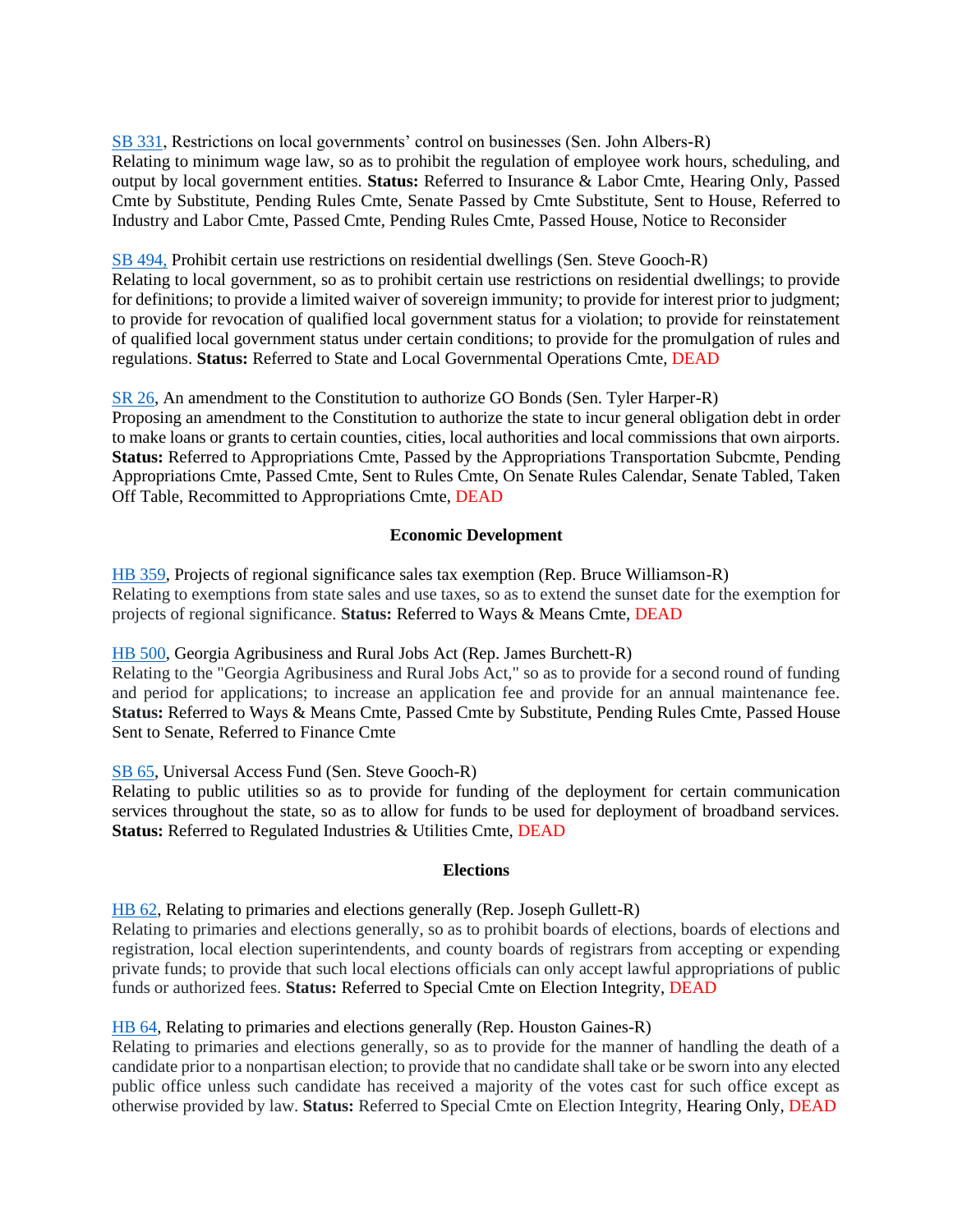[SB 331,](https://www.legis.ga.gov/legislation/61082) Restrictions on local governments' control on businesses (Sen. John Albers-R) Relating to minimum wage law, so as to prohibit the regulation of employee work hours, scheduling, and output by local government entities. **Status:** Referred to Insurance & Labor Cmte, Hearing Only, Passed Cmte by Substitute, Pending Rules Cmte, Senate Passed by Cmte Substitute, Sent to House, Referred to Industry and Labor Cmte, Passed Cmte, Pending Rules Cmte, Passed House, Notice to Reconsider

# [SB 494,](https://www.legis.ga.gov/legislation/62020) Prohibit certain use restrictions on residential dwellings (Sen. Steve Gooch-R)

Relating to local government, so as to prohibit certain use restrictions on residential dwellings; to provide for definitions; to provide a limited waiver of sovereign immunity; to provide for interest prior to judgment; to provide for revocation of qualified local government status for a violation; to provide for reinstatement of qualified local government status under certain conditions; to provide for the promulgation of rules and regulations. **Status:** Referred to State and Local Governmental Operations Cmte, DEAD

<span id="page-10-0"></span>[SR 26,](https://www.legis.ga.gov/legislation/59033) An amendment to the Constitution to authorize GO Bonds (Sen. Tyler Harper-R) Proposing an amendment to the Constitution to authorize the state to incur general obligation debt in order to make loans or grants to certain counties, cities, local authorities and local commissions that own airports. **Status:** Referred to Appropriations Cmte, Passed by the Appropriations Transportation Subcmte, Pending Appropriations Cmte, Passed Cmte, Sent to Rules Cmte, On Senate Rules Calendar, Senate Tabled, Taken Off Table, Recommitted to Appropriations Cmte, DEAD

# **Economic Development**

[HB 359,](https://www.legis.ga.gov/legislation/59459) Projects of regional significance sales tax exemption (Rep. Bruce Williamson-R) Relating to exemptions from state sales and use taxes, so as to extend the sunset date for the exemption for projects of regional significance. **Status:** Referred to Ways & Means Cmte, DEAD

# [HB 500,](https://www.legis.ga.gov/legislation/59780) Georgia Agribusiness and Rural Jobs Act (Rep. James Burchett-R)

Relating to the "Georgia Agribusiness and Rural Jobs Act," so as to provide for a second round of funding and period for applications; to increase an application fee and provide for an annual maintenance fee. **Status:** Referred to Ways & Means Cmte, Passed Cmte by Substitute, Pending Rules Cmte, Passed House Sent to Senate, Referred to Finance Cmte

# [SB 65,](https://www.legis.ga.gov/legislation/59217) Universal Access Fund (Sen. Steve Gooch-R)

Relating to public utilities so as to provide for funding of the deployment for certain communication services throughout the state, so as to allow for funds to be used for deployment of broadband services. **Status:** Referred to Regulated Industries & Utilities Cmte, DEAD

# **Elections**

<span id="page-10-1"></span>[HB 62,](https://www.legis.ga.gov/legislation/58875) Relating to primaries and elections generally (Rep. Joseph Gullett-R)

Relating to primaries and elections generally, so as to prohibit boards of elections, boards of elections and registration, local election superintendents, and county boards of registrars from accepting or expending private funds; to provide that such local elections officials can only accept lawful appropriations of public funds or authorized fees. **Status:** Referred to Special Cmte on Election Integrity, DEAD

# [HB 64,](https://www.legis.ga.gov/legislation/58877) Relating to primaries and elections generally (Rep. Houston Gaines-R)

Relating to primaries and elections generally, so as to provide for the manner of handling the death of a candidate prior to a nonpartisan election; to provide that no candidate shall take or be sworn into any elected public office unless such candidate has received a majority of the votes cast for such office except as otherwise provided by law. **Status:** Referred to Special Cmte on Election Integrity, Hearing Only, DEAD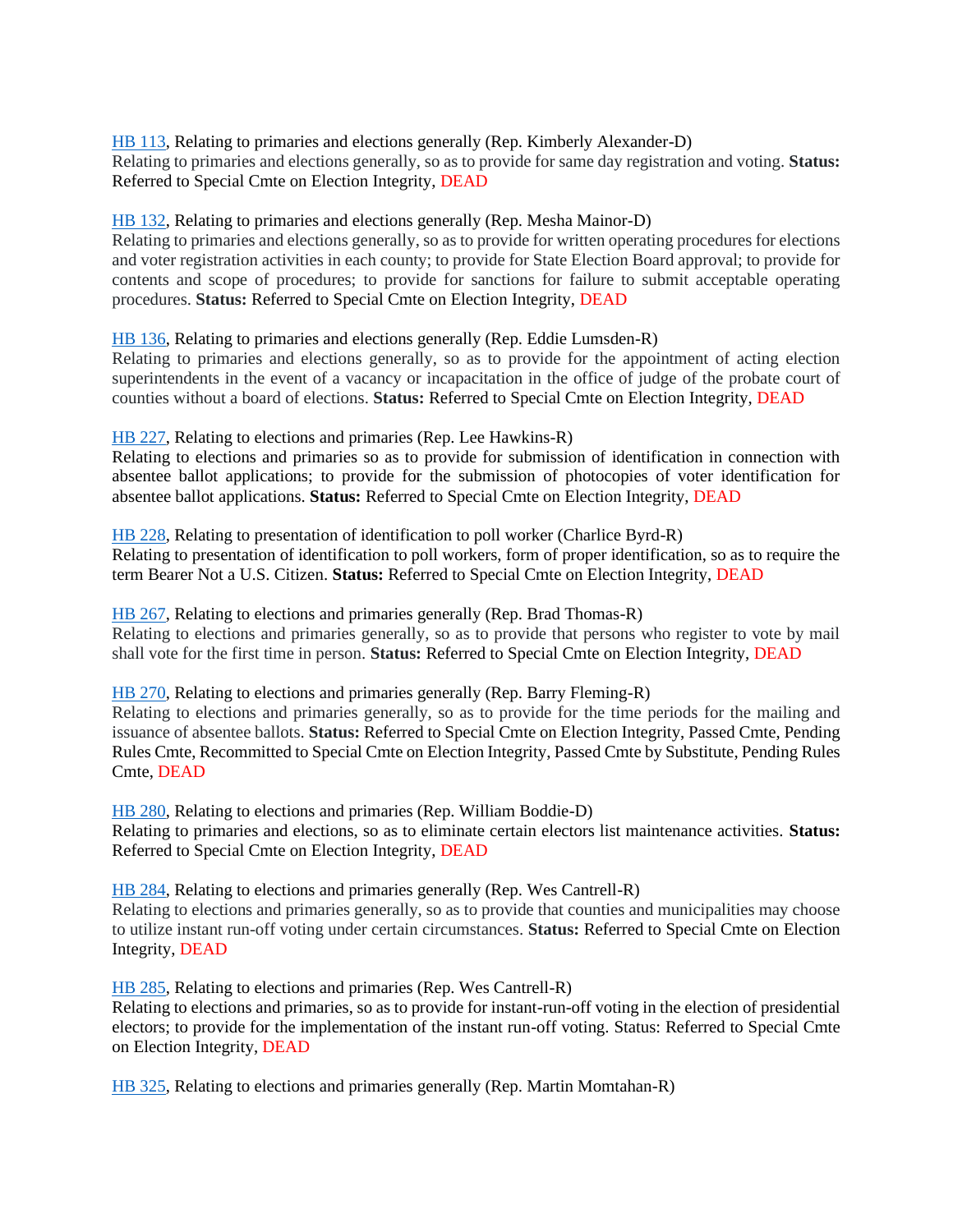[HB 113,](https://www.legis.ga.gov/legislation/58960) Relating to primaries and elections generally (Rep. Kimberly Alexander-D) Relating to primaries and elections generally, so as to provide for same day registration and voting. **Status:** Referred to Special Cmte on Election Integrity, DEAD

# [HB 132,](https://www.legis.ga.gov/legislation/59002) Relating to primaries and elections generally (Rep. Mesha Mainor-D)

Relating to primaries and elections generally, so as to provide for written operating procedures for elections and voter registration activities in each county; to provide for State Election Board approval; to provide for contents and scope of procedures; to provide for sanctions for failure to submit acceptable operating procedures. **Status:** Referred to Special Cmte on Election Integrity, DEAD

[HB 136,](https://www.legis.ga.gov/legislation/59007) Relating to primaries and elections generally (Rep. Eddie Lumsden-R)

Relating to primaries and elections generally, so as to provide for the appointment of acting election superintendents in the event of a vacancy or incapacitation in the office of judge of the probate court of counties without a board of elections. **Status:** Referred to Special Cmte on Election Integrity, DEAD

[HB 227,](https://www.legis.ga.gov/legislation/59191) Relating to elections and primaries (Rep. Lee Hawkins-R)

Relating to elections and primaries so as to provide for submission of identification in connection with absentee ballot applications; to provide for the submission of photocopies of voter identification for absentee ballot applications. **Status:** Referred to Special Cmte on Election Integrity, DEAD

[HB 228,](https://www.legis.ga.gov/legislation/59192) Relating to presentation of identification to poll worker (Charlice Byrd-R) Relating to presentation of identification to poll workers, form of proper identification, so as to require the term Bearer Not a U.S. Citizen. **Status:** Referred to Special Cmte on Election Integrity, DEAD

[HB 267,](https://www.legis.ga.gov/legislation/59267) Relating to elections and primaries generally (Rep. Brad Thomas-R) Relating to elections and primaries generally, so as to provide that persons who register to vote by mail shall vote for the first time in person. **Status:** Referred to Special Cmte on Election Integrity, DEAD

[HB 270,](https://www.legis.ga.gov/legislation/59276) Relating to elections and primaries generally (Rep. Barry Fleming-R)

Relating to elections and primaries generally, so as to provide for the time periods for the mailing and issuance of absentee ballots. **Status:** Referred to Special Cmte on Election Integrity, Passed Cmte, Pending Rules Cmte, Recommitted to Special Cmte on Election Integrity, Passed Cmte by Substitute, Pending Rules Cmte, DEAD

[HB 280,](https://www.legis.ga.gov/legislation/59290) Relating to elections and primaries (Rep. William Boddie-D) Relating to primaries and elections, so as to eliminate certain electors list maintenance activities. **Status:** Referred to Special Cmte on Election Integrity, DEAD

[HB 284,](https://www.legis.ga.gov/legislation/59294) Relating to elections and primaries generally (Rep. Wes Cantrell-R) Relating to elections and primaries generally, so as to provide that counties and municipalities may choose to utilize instant run-off voting under certain circumstances. **Status:** Referred to Special Cmte on Election Integrity, DEAD

[HB 285,](https://www.legis.ga.gov/legislation/59295) Relating to elections and primaries (Rep. Wes Cantrell-R)

Relating to elections and primaries, so as to provide for instant-run-off voting in the election of presidential electors; to provide for the implementation of the instant run-off voting. Status: Referred to Special Cmte on Election Integrity, DEAD

[HB 325,](https://www.legis.ga.gov/legislation/59390) Relating to elections and primaries generally (Rep. Martin Momtahan-R)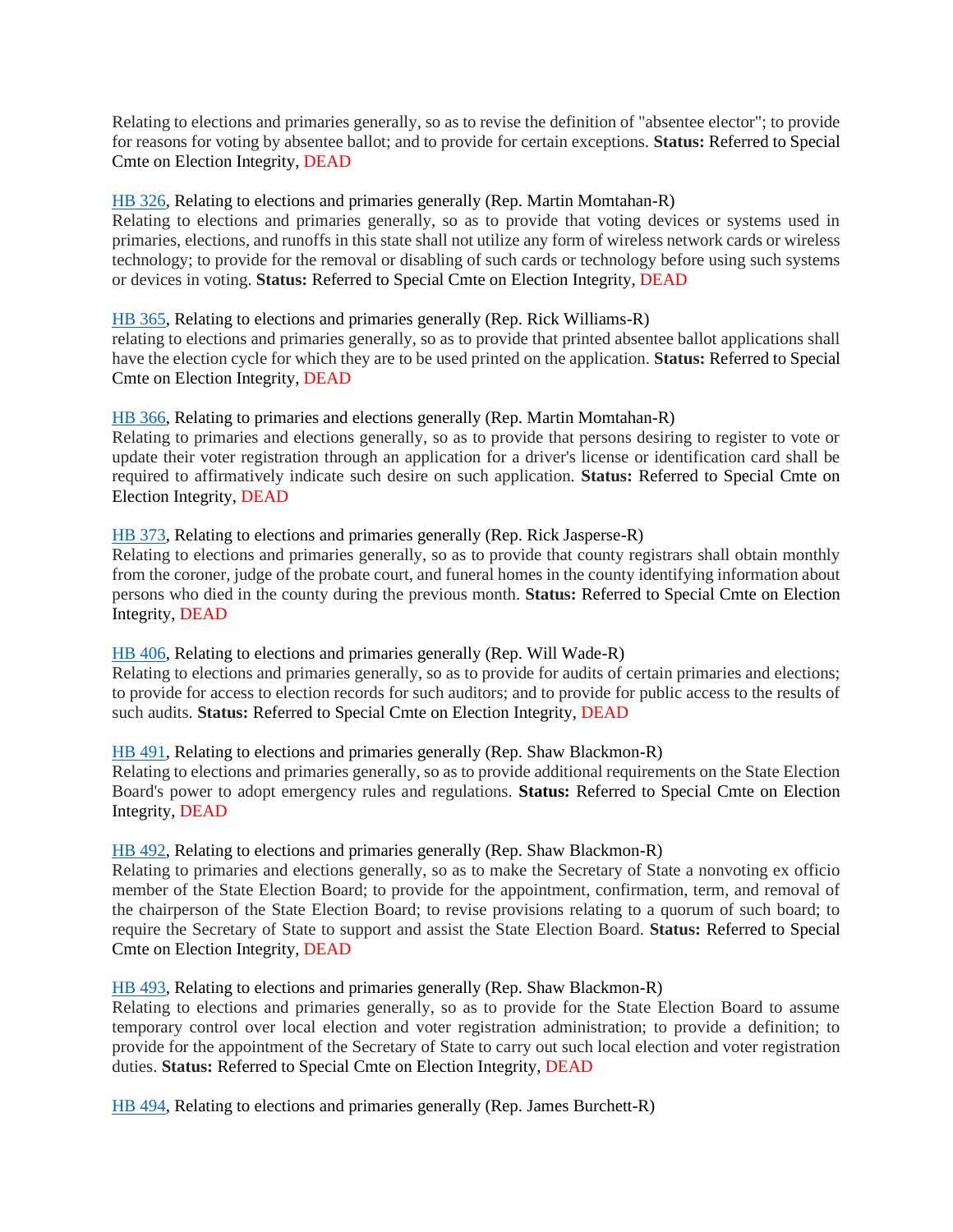Relating to elections and primaries generally, so as to revise the definition of "absentee elector"; to provide for reasons for voting by absentee ballot; and to provide for certain exceptions. **Status:** Referred to Special Cmte on Election Integrity, DEAD

# [HB 326,](https://www.legis.ga.gov/legislation/59391) Relating to elections and primaries generally (Rep. Martin Momtahan-R)

Relating to elections and primaries generally, so as to provide that voting devices or systems used in primaries, elections, and runoffs in this state shall not utilize any form of wireless network cards or wireless technology; to provide for the removal or disabling of such cards or technology before using such systems or devices in voting. **Status:** Referred to Special Cmte on Election Integrity, DEAD

#### [HB 365,](https://www.legis.ga.gov/legislation/59465) Relating to elections and primaries generally (Rep. Rick Williams-R)

relating to elections and primaries generally, so as to provide that printed absentee ballot applications shall have the election cycle for which they are to be used printed on the application. **Status:** Referred to Special Cmte on Election Integrity, DEAD

#### [HB 366,](https://www.legis.ga.gov/legislation/59466) Relating to primaries and elections generally (Rep. Martin Momtahan-R)

Relating to primaries and elections generally, so as to provide that persons desiring to register to vote or update their voter registration through an application for a driver's license or identification card shall be required to affirmatively indicate such desire on such application. **Status:** Referred to Special Cmte on Election Integrity, DEAD

#### [HB 373,](https://www.legis.ga.gov/legislation/59506) Relating to elections and primaries generally (Rep. Rick Jasperse-R)

Relating to elections and primaries generally, so as to provide that county registrars shall obtain monthly from the coroner, judge of the probate court, and funeral homes in the county identifying information about persons who died in the county during the previous month. **Status:** Referred to Special Cmte on Election Integrity, DEAD

#### [HB 406,](https://www.legis.ga.gov/legislation/59567) Relating to elections and primaries generally (Rep. Will Wade-R)

Relating to elections and primaries generally, so as to provide for audits of certain primaries and elections; to provide for access to election records for such auditors; and to provide for public access to the results of such audits. **Status:** Referred to Special Cmte on Election Integrity, DEAD

#### [HB 491,](https://www.legis.ga.gov/legislation/59771) Relating to elections and primaries generally (Rep. Shaw Blackmon-R)

Relating to elections and primaries generally, so as to provide additional requirements on the State Election Board's power to adopt emergency rules and regulations. **Status:** Referred to Special Cmte on Election Integrity, DEAD

# [HB 492,](https://www.legis.ga.gov/legislation/59772) Relating to elections and primaries generally (Rep. Shaw Blackmon-R)

Relating to primaries and elections generally, so as to make the Secretary of State a nonvoting ex officio member of the State Election Board; to provide for the appointment, confirmation, term, and removal of the chairperson of the State Election Board; to revise provisions relating to a quorum of such board; to require the Secretary of State to support and assist the State Election Board. **Status:** Referred to Special Cmte on Election Integrity, DEAD

# [HB 493,](https://www.legis.ga.gov/legislation/59773) Relating to elections and primaries generally (Rep. Shaw Blackmon-R)

Relating to elections and primaries generally, so as to provide for the State Election Board to assume temporary control over local election and voter registration administration; to provide a definition; to provide for the appointment of the Secretary of State to carry out such local election and voter registration duties. **Status:** Referred to Special Cmte on Election Integrity, DEAD

[HB 494,](https://www.legis.ga.gov/legislation/59774) Relating to elections and primaries generally (Rep. James Burchett-R)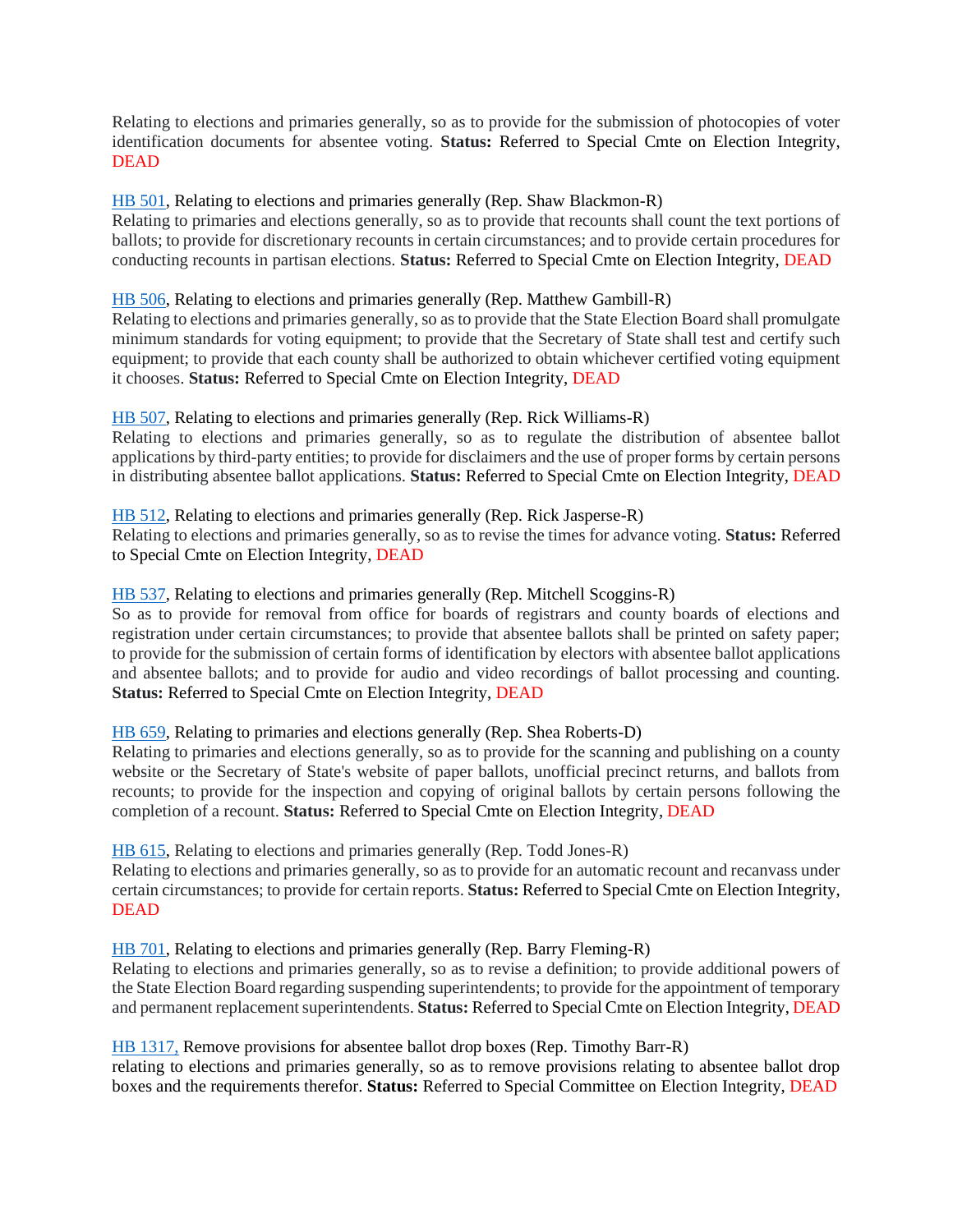Relating to elections and primaries generally, so as to provide for the submission of photocopies of voter identification documents for absentee voting. **Status:** Referred to Special Cmte on Election Integrity, DEAD

### [HB 501,](https://www.legis.ga.gov/legislation/59781) Relating to elections and primaries generally (Rep. Shaw Blackmon-R)

Relating to primaries and elections generally, so as to provide that recounts shall count the text portions of ballots; to provide for discretionary recounts in certain circumstances; and to provide certain procedures for conducting recounts in partisan elections. **Status:** Referred to Special Cmte on Election Integrity, DEAD

# [HB 506,](https://www.legis.ga.gov/legislation/59800) Relating to elections and primaries generally (Rep. Matthew Gambill-R)

Relating to elections and primaries generally, so as to provide that the State Election Board shall promulgate minimum standards for voting equipment; to provide that the Secretary of State shall test and certify such equipment; to provide that each county shall be authorized to obtain whichever certified voting equipment it chooses. **Status:** Referred to Special Cmte on Election Integrity, DEAD

#### [HB 507,](https://www.legis.ga.gov/legislation/59801) Relating to elections and primaries generally (Rep. Rick Williams-R)

Relating to elections and primaries generally, so as to regulate the distribution of absentee ballot applications by third-party entities; to provide for disclaimers and the use of proper forms by certain persons in distributing absentee ballot applications. **Status:** Referred to Special Cmte on Election Integrity, DEAD

#### [HB 512,](https://www.legis.ga.gov/legislation/59806) Relating to elections and primaries generally (Rep. Rick Jasperse-R)

Relating to elections and primaries generally, so as to revise the times for advance voting. **Status:** Referred to Special Cmte on Election Integrity, DEAD

#### [HB 537,](https://www.legis.ga.gov/legislation/59837) Relating to elections and primaries generally (Rep. Mitchell Scoggins-R)

So as to provide for removal from office for boards of registrars and county boards of elections and registration under certain circumstances; to provide that absentee ballots shall be printed on safety paper; to provide for the submission of certain forms of identification by electors with absentee ballot applications and absentee ballots; and to provide for audio and video recordings of ballot processing and counting. **Status:** Referred to Special Cmte on Election Integrity, DEAD

#### [HB 659,](https://www.legis.ga.gov/legislation/60130) Relating to primaries and elections generally (Rep. Shea Roberts-D)

Relating to primaries and elections generally, so as to provide for the scanning and publishing on a county website or the Secretary of State's website of paper ballots, unofficial precinct returns, and ballots from recounts; to provide for the inspection and copying of original ballots by certain persons following the completion of a recount. **Status:** Referred to Special Cmte on Election Integrity, DEAD

[HB 615,](https://www.legis.ga.gov/legislation/59990) Relating to elections and primaries generally (Rep. Todd Jones-R)

Relating to elections and primaries generally, so as to provide for an automatic recount and recanvass under certain circumstances; to provide for certain reports. **Status:** Referred to Special Cmte on Election Integrity, **DEAD** 

# [HB 701,](https://www.legis.ga.gov/legislation/60229) Relating to elections and primaries generally (Rep. Barry Fleming-R)

Relating to elections and primaries generally, so as to revise a definition; to provide additional powers of the State Election Board regarding suspending superintendents; to provide for the appointment of temporary and permanent replacement superintendents. **Status:** Referred to Special Cmte on Election Integrity, DEAD

#### [HB 1317,](https://www.legis.ga.gov/legislation/61993) Remove provisions for absentee ballot drop boxes (Rep. Timothy Barr-R)

relating to elections and primaries generally, so as to remove provisions relating to absentee ballot drop boxes and the requirements therefor. **Status:** Referred to Special Committee on Election Integrity, DEAD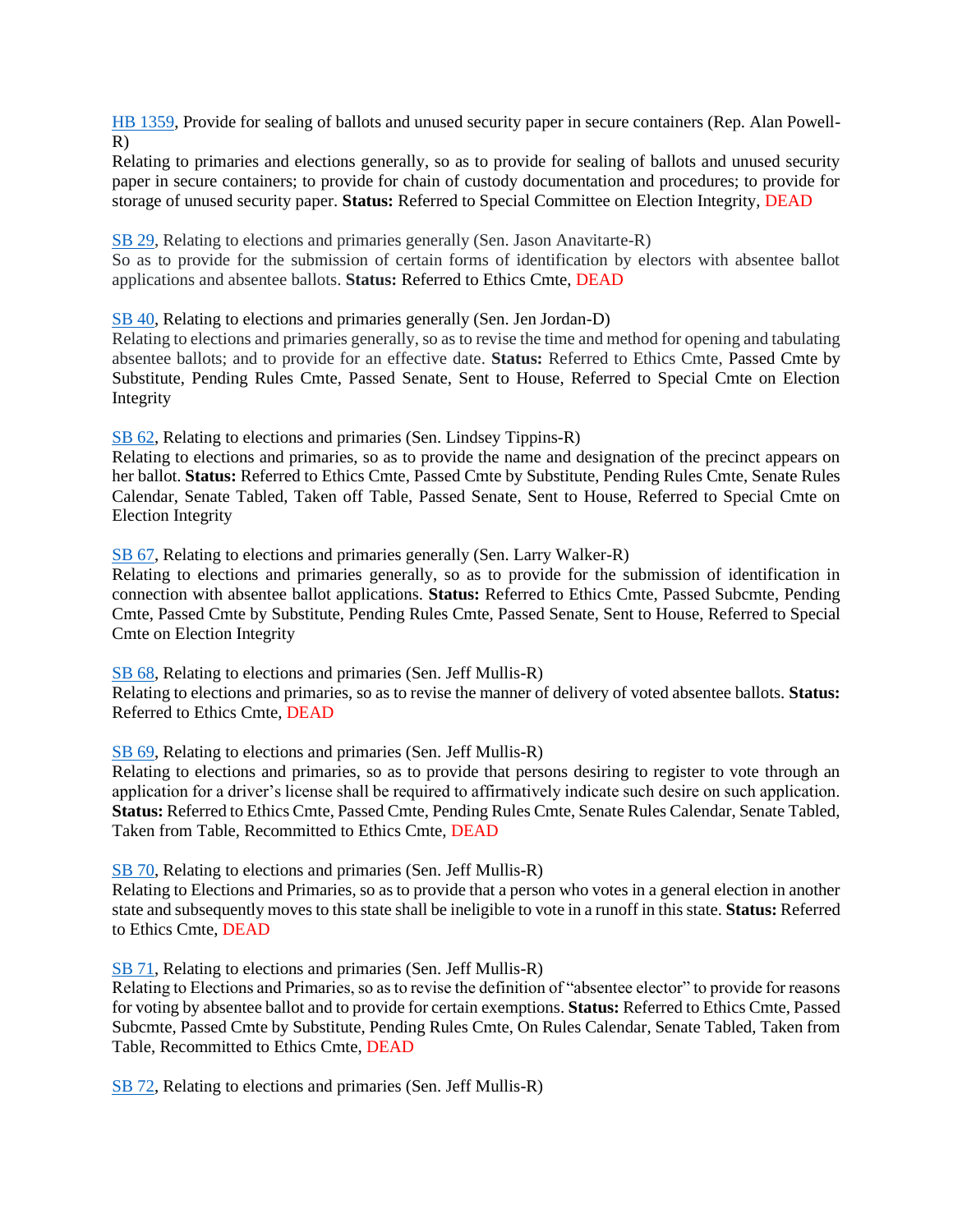[HB 1359,](https://www.legis.ga.gov/legislation/62115) Provide for sealing of ballots and unused security paper in secure containers (Rep. Alan Powell-R)

Relating to primaries and elections generally, so as to provide for sealing of ballots and unused security paper in secure containers; to provide for chain of custody documentation and procedures; to provide for storage of unused security paper. **Status:** Referred to Special Committee on Election Integrity, DEAD

[SB 29,](https://www.legis.ga.gov/legislation/59020) Relating to elections and primaries generally (Sen. Jason Anavitarte-R)

So as to provide for the submission of certain forms of identification by electors with absentee ballot applications and absentee ballots. **Status:** Referred to Ethics Cmte, DEAD

[SB 40,](https://www.legis.ga.gov/legislation/59064) Relating to elections and primaries generally (Sen. Jen Jordan-D)

Relating to elections and primaries generally, so as to revise the time and method for opening and tabulating absentee ballots; and to provide for an effective date. **Status:** Referred to Ethics Cmte, Passed Cmte by Substitute, Pending Rules Cmte, Passed Senate, Sent to House, Referred to Special Cmte on Election Integrity

[SB 62,](https://www.legis.ga.gov/legislation/59208) Relating to elections and primaries (Sen. Lindsey Tippins-R)

Relating to elections and primaries, so as to provide the name and designation of the precinct appears on her ballot. **Status:** Referred to Ethics Cmte, Passed Cmte by Substitute, Pending Rules Cmte, Senate Rules Calendar, Senate Tabled, Taken off Table, Passed Senate, Sent to House, Referred to Special Cmte on Election Integrity

[SB 67,](https://www.legis.ga.gov/legislation/59216) Relating to elections and primaries generally (Sen. Larry Walker-R)

Relating to elections and primaries generally, so as to provide for the submission of identification in connection with absentee ballot applications. **Status:** Referred to Ethics Cmte, Passed Subcmte, Pending Cmte, Passed Cmte by Substitute, Pending Rules Cmte, Passed Senate, Sent to House, Referred to Special Cmte on Election Integrity

[SB 68,](https://www.legis.ga.gov/legislation/59219) Relating to elections and primaries (Sen. Jeff Mullis-R) Relating to elections and primaries, so as to revise the manner of delivery of voted absentee ballots. **Status:** Referred to Ethics Cmte, DEAD

[SB 69,](https://www.legis.ga.gov/legislation/59221) Relating to elections and primaries (Sen. Jeff Mullis-R)

Relating to elections and primaries, so as to provide that persons desiring to register to vote through an application for a driver's license shall be required to affirmatively indicate such desire on such application. **Status:** Referred to Ethics Cmte, Passed Cmte, Pending Rules Cmte, Senate Rules Calendar, Senate Tabled, Taken from Table, Recommitted to Ethics Cmte, DEAD

[SB 70,](https://www.legis.ga.gov/legislation/59220) Relating to elections and primaries (Sen. Jeff Mullis-R)

Relating to Elections and Primaries, so as to provide that a person who votes in a general election in another state and subsequently moves to this state shall be ineligible to vote in a runoff in this state. **Status:** Referred to Ethics Cmte, DEAD

[SB 71,](https://www.legis.ga.gov/legislation/59224) Relating to elections and primaries (Sen. Jeff Mullis-R)

Relating to Elections and Primaries, so as to revise the definition of "absentee elector" to provide for reasons for voting by absentee ballot and to provide for certain exemptions. **Status:** Referred to Ethics Cmte, Passed Subcmte, Passed Cmte by Substitute, Pending Rules Cmte, On Rules Calendar, Senate Tabled, Taken from Table, Recommitted to Ethics Cmte, DEAD

[SB 72,](https://www.legis.ga.gov/legislation/59222) Relating to elections and primaries (Sen. Jeff Mullis-R)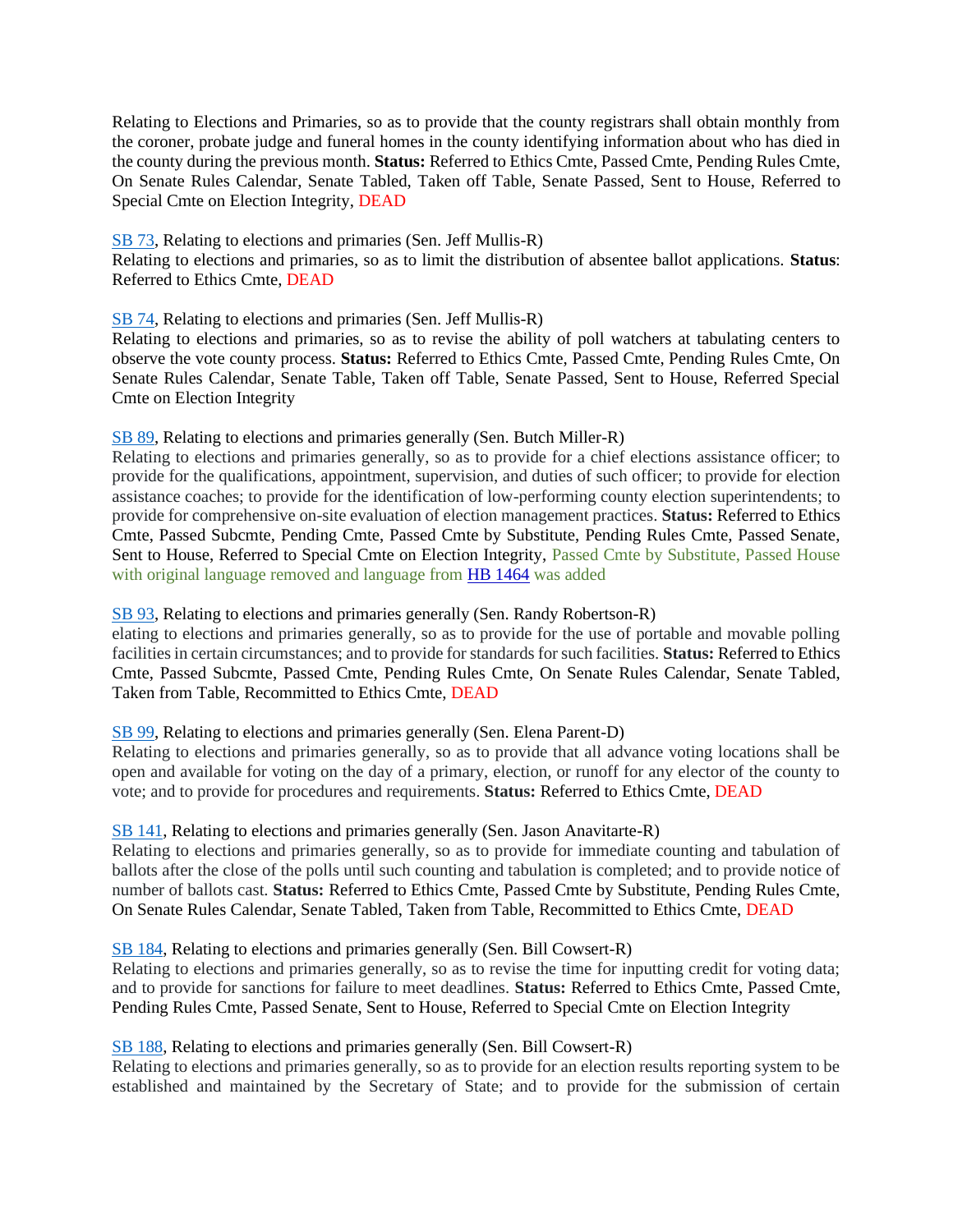Relating to Elections and Primaries, so as to provide that the county registrars shall obtain monthly from the coroner, probate judge and funeral homes in the county identifying information about who has died in the county during the previous month. **Status:** Referred to Ethics Cmte, Passed Cmte, Pending Rules Cmte, On Senate Rules Calendar, Senate Tabled, Taken off Table, Senate Passed, Sent to House, Referred to Special Cmte on Election Integrity, DEAD

#### [SB 73,](https://www.legis.ga.gov/legislation/59223) Relating to elections and primaries (Sen. Jeff Mullis-R)

Relating to elections and primaries, so as to limit the distribution of absentee ballot applications. **Status**: Referred to Ethics Cmte, DEAD

# [SB 74,](https://www.legis.ga.gov/legislation/59225) Relating to elections and primaries (Sen. Jeff Mullis-R)

Relating to elections and primaries, so as to revise the ability of poll watchers at tabulating centers to observe the vote county process. **Status:** Referred to Ethics Cmte, Passed Cmte, Pending Rules Cmte, On Senate Rules Calendar, Senate Table, Taken off Table, Senate Passed, Sent to House, Referred Special Cmte on Election Integrity

# [SB 89,](https://www.legis.ga.gov/legislation/59310) Relating to elections and primaries generally (Sen. Butch Miller-R)

Relating to elections and primaries generally, so as to provide for a chief elections assistance officer; to provide for the qualifications, appointment, supervision, and duties of such officer; to provide for election assistance coaches; to provide for the identification of low-performing county election superintendents; to provide for comprehensive on-site evaluation of election management practices. **Status:** Referred to Ethics Cmte, Passed Subcmte, Pending Cmte, Passed Cmte by Substitute, Pending Rules Cmte, Passed Senate, Sent to House, Referred to Special Cmte on Election Integrity, Passed Cmte by Substitute, Passed House with original language removed and language from [HB 1464](https://www.legis.ga.gov/legislation/62422) was added

#### [SB 93,](https://www.legis.ga.gov/legislation/59325) Relating to elections and primaries generally (Sen. Randy Robertson-R)

elating to elections and primaries generally, so as to provide for the use of portable and movable polling facilities in certain circumstances; and to provide for standards for such facilities. **Status:** Referred to Ethics Cmte, Passed Subcmte, Passed Cmte, Pending Rules Cmte, On Senate Rules Calendar, Senate Tabled, Taken from Table, Recommitted to Ethics Cmte, DEAD

# [SB 99,](https://www.legis.ga.gov/legislation/59363) Relating to elections and primaries generally (Sen. Elena Parent-D)

Relating to elections and primaries generally, so as to provide that all advance voting locations shall be open and available for voting on the day of a primary, election, or runoff for any elector of the county to vote; and to provide for procedures and requirements. **Status:** Referred to Ethics Cmte, DEAD

# [SB 141,](https://www.legis.ga.gov/legislation/59533) Relating to elections and primaries generally (Sen. Jason Anavitarte-R)

Relating to elections and primaries generally, so as to provide for immediate counting and tabulation of ballots after the close of the polls until such counting and tabulation is completed; and to provide notice of number of ballots cast. **Status:** Referred to Ethics Cmte, Passed Cmte by Substitute, Pending Rules Cmte, On Senate Rules Calendar, Senate Tabled, Taken from Table, Recommitted to Ethics Cmte, DEAD

# [SB 184,](https://www.legis.ga.gov/legislation/59712) Relating to elections and primaries generally (Sen. Bill Cowsert-R)

Relating to elections and primaries generally, so as to revise the time for inputting credit for voting data; and to provide for sanctions for failure to meet deadlines. **Status:** Referred to Ethics Cmte, Passed Cmte, Pending Rules Cmte, Passed Senate, Sent to House, Referred to Special Cmte on Election Integrity

# [SB 188,](https://www.legis.ga.gov/legislation/59718) Relating to elections and primaries generally (Sen. Bill Cowsert-R)

Relating to elections and primaries generally, so as to provide for an election results reporting system to be established and maintained by the Secretary of State; and to provide for the submission of certain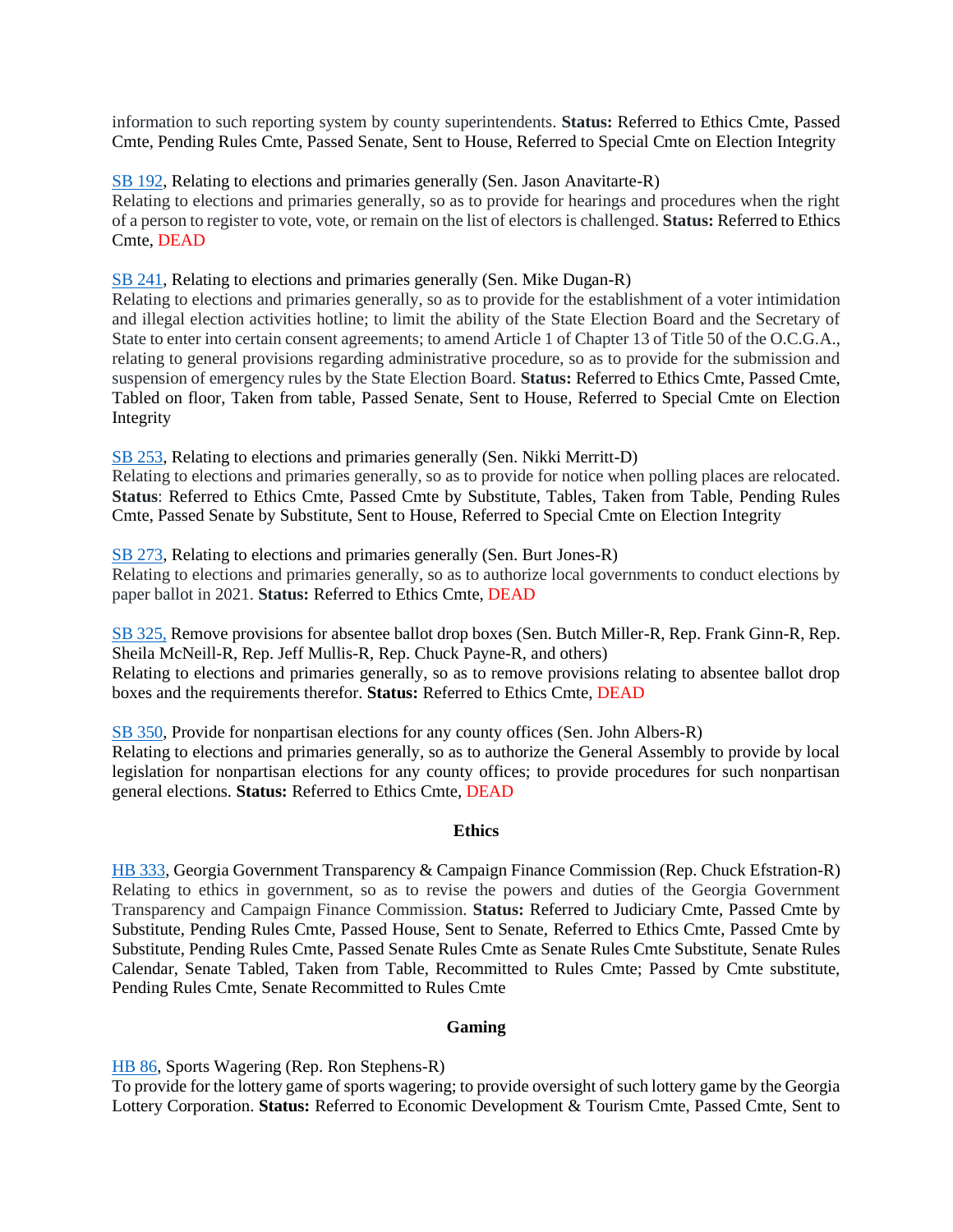information to such reporting system by county superintendents. **Status:** Referred to Ethics Cmte, Passed Cmte, Pending Rules Cmte, Passed Senate, Sent to House, Referred to Special Cmte on Election Integrity

[SB 192,](https://www.legis.ga.gov/legislation/59745) Relating to elections and primaries generally (Sen. Jason Anavitarte-R) Relating to elections and primaries generally, so as to provide for hearings and procedures when the right of a person to register to vote, vote, or remain on the list of electors is challenged. **Status:** Referred to Ethics Cmte, DEAD

[SB 241,](https://www.legis.ga.gov/legislation/60009) Relating to elections and primaries generally (Sen. Mike Dugan-R)

Relating to elections and primaries generally, so as to provide for the establishment of a voter intimidation and illegal election activities hotline; to limit the ability of the State Election Board and the Secretary of State to enter into certain consent agreements; to amend Article 1 of Chapter 13 of Title 50 of the O.C.G.A., relating to general provisions regarding administrative procedure, so as to provide for the submission and suspension of emergency rules by the State Election Board. **Status:** Referred to Ethics Cmte, Passed Cmte, Tabled on floor, Taken from table, Passed Senate, Sent to House, Referred to Special Cmte on Election Integrity

[SB 253,](https://www.legis.ga.gov/legislation/60052) Relating to elections and primaries generally (Sen. Nikki Merritt-D)

Relating to elections and primaries generally, so as to provide for notice when polling places are relocated. **Status**: Referred to Ethics Cmte, Passed Cmte by Substitute, Tables, Taken from Table, Pending Rules Cmte, Passed Senate by Substitute, Sent to House, Referred to Special Cmte on Election Integrity

[SB 273,](https://www.legis.ga.gov/legislation/60199) Relating to elections and primaries generally (Sen. Burt Jones-R) Relating to elections and primaries generally, so as to authorize local governments to conduct elections by paper ballot in 2021. **Status:** Referred to Ethics Cmte, DEAD

[SB 325,](https://www.legis.ga.gov/legislation/61051) Remove provisions for absentee ballot drop boxes (Sen. Butch Miller-R, Rep. Frank Ginn-R, Rep. Sheila McNeill-R, Rep. Jeff Mullis-R, Rep. Chuck Payne-R, and others) Relating to elections and primaries generally, so as to remove provisions relating to absentee ballot drop boxes and the requirements therefor. **Status:** Referred to Ethics Cmte, DEAD

[SB 350,](https://www.legis.ga.gov/legislation/61200) Provide for nonpartisan elections for any county offices (Sen. John Albers-R) Relating to elections and primaries generally, so as to authorize the General Assembly to provide by local legislation for nonpartisan elections for any county offices; to provide procedures for such nonpartisan general elections. **Status:** Referred to Ethics Cmte, DEAD

# **Ethics**

<span id="page-16-0"></span>[HB 333,](https://www.legis.ga.gov/legislation/59399) Georgia Government Transparency & Campaign Finance Commission (Rep. Chuck Efstration-R) Relating to ethics in government, so as to revise the powers and duties of the Georgia Government Transparency and Campaign Finance Commission. **Status:** Referred to Judiciary Cmte, Passed Cmte by Substitute, Pending Rules Cmte, Passed House, Sent to Senate, Referred to Ethics Cmte, Passed Cmte by Substitute, Pending Rules Cmte, Passed Senate Rules Cmte as Senate Rules Cmte Substitute, Senate Rules Calendar, Senate Tabled, Taken from Table, Recommitted to Rules Cmte; Passed by Cmte substitute, Pending Rules Cmte, Senate Recommitted to Rules Cmte

#### **Gaming**

<span id="page-16-1"></span>[HB 86,](https://www.legis.ga.gov/legislation/58917) Sports Wagering (Rep. Ron Stephens-R)

To provide for the lottery game of sports wagering; to provide oversight of such lottery game by the Georgia Lottery Corporation. **Status:** Referred to Economic Development & Tourism Cmte, Passed Cmte, Sent to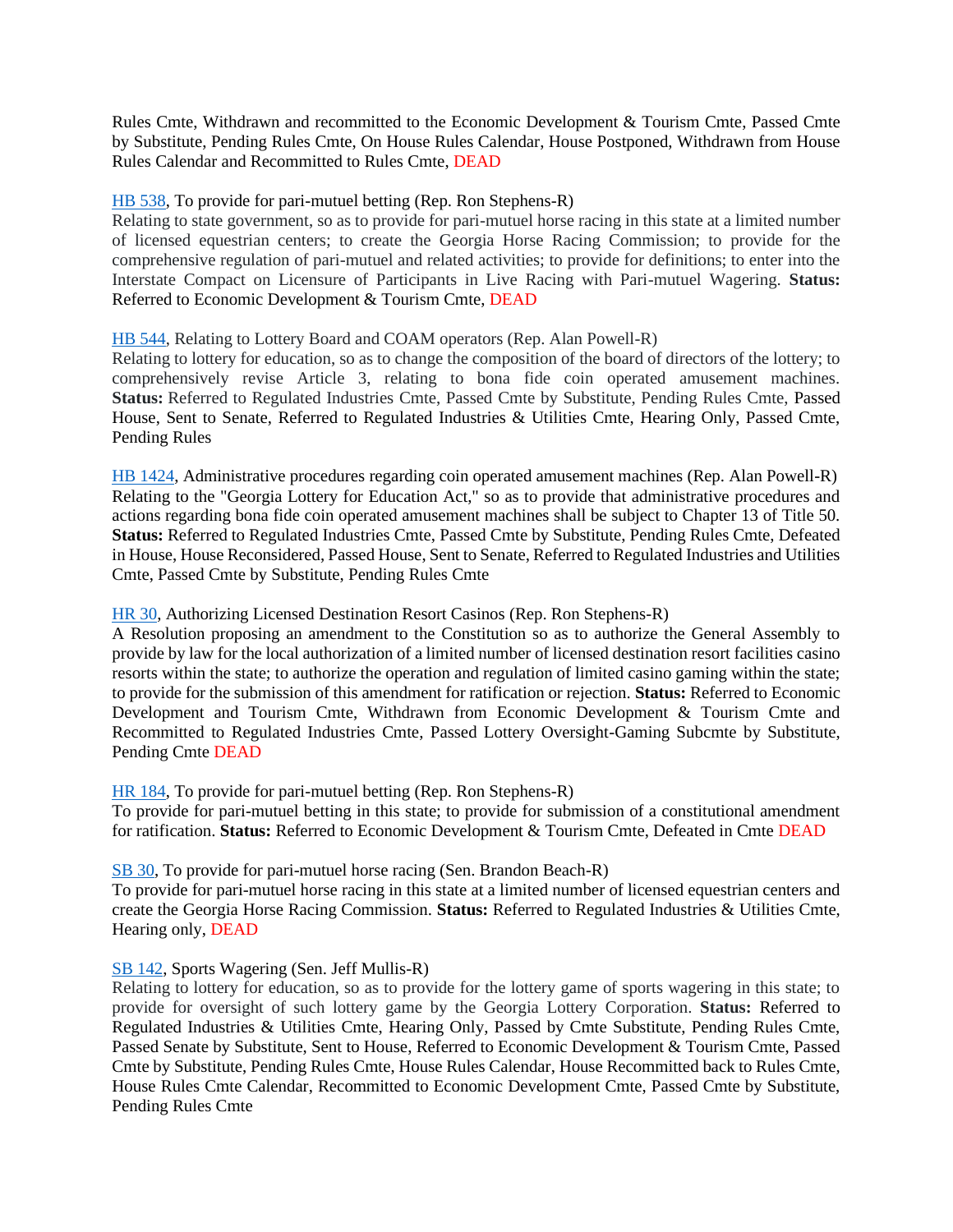Rules Cmte, Withdrawn and recommitted to the Economic Development & Tourism Cmte, Passed Cmte by Substitute, Pending Rules Cmte, On House Rules Calendar, House Postponed, Withdrawn from House Rules Calendar and Recommitted to Rules Cmte, DEAD

#### [HB 538,](https://www.legis.ga.gov/legislation/59838) To provide for pari-mutuel betting (Rep. Ron Stephens-R)

Relating to state government, so as to provide for pari-mutuel horse racing in this state at a limited number of licensed equestrian centers; to create the Georgia Horse Racing Commission; to provide for the comprehensive regulation of pari-mutuel and related activities; to provide for definitions; to enter into the Interstate Compact on Licensure of Participants in Live Racing with Pari-mutuel Wagering. **Status:** Referred to Economic Development & Tourism Cmte, DEAD

#### [HB 544,](https://www.legis.ga.gov/legislation/59852) Relating to Lottery Board and COAM operators (Rep. Alan Powell-R)

Relating to lottery for education, so as to change the composition of the board of directors of the lottery; to comprehensively revise Article 3, relating to bona fide coin operated amusement machines. **Status:** Referred to Regulated Industries Cmte, Passed Cmte by Substitute, Pending Rules Cmte, Passed House, Sent to Senate, Referred to Regulated Industries & Utilities Cmte, Hearing Only, Passed Cmte, Pending Rules

[HB 1424,](https://www.legis.ga.gov/legislation/62268) Administrative procedures regarding coin operated amusement machines (Rep. Alan Powell-R) Relating to the "Georgia Lottery for Education Act," so as to provide that administrative procedures and actions regarding bona fide coin operated amusement machines shall be subject to Chapter 13 of Title 50. **Status:** Referred to Regulated Industries Cmte, Passed Cmte by Substitute, Pending Rules Cmte, Defeated in House, House Reconsidered, Passed House, Sent to Senate, Referred to Regulated Industries and Utilities Cmte, Passed Cmte by Substitute, Pending Rules Cmte

#### [HR 30,](https://www.legis.ga.gov/legislation/58966) Authorizing Licensed Destination Resort Casinos (Rep. Ron Stephens-R)

A Resolution proposing an amendment to the Constitution so as to authorize the General Assembly to provide by law for the local authorization of a limited number of licensed destination resort facilities casino resorts within the state; to authorize the operation and regulation of limited casino gaming within the state; to provide for the submission of this amendment for ratification or rejection. **Status:** Referred to Economic Development and Tourism Cmte, Withdrawn from Economic Development & Tourism Cmte and Recommitted to Regulated Industries Cmte, Passed Lottery Oversight-Gaming Subcmte by Substitute, Pending Cmte DEAD

#### [HR 184,](https://www.legis.ga.gov/legislation/59846) To provide for pari-mutuel betting (Rep. Ron Stephens-R)

To provide for pari-mutuel betting in this state; to provide for submission of a constitutional amendment for ratification. **Status:** Referred to Economic Development & Tourism Cmte, Defeated in Cmte DEAD

[SB 30,](https://www.legis.ga.gov/legislation/59018) To provide for pari-mutuel horse racing (Sen. Brandon Beach-R)

To provide for pari-mutuel horse racing in this state at a limited number of licensed equestrian centers and create the Georgia Horse Racing Commission. **Status:** Referred to Regulated Industries & Utilities Cmte, Hearing only, DEAD

#### [SB 142,](https://www.legis.ga.gov/legislation/59534) Sports Wagering (Sen. Jeff Mullis-R)

Relating to lottery for education, so as to provide for the lottery game of sports wagering in this state; to provide for oversight of such lottery game by the Georgia Lottery Corporation. **Status:** Referred to Regulated Industries & Utilities Cmte, Hearing Only, Passed by Cmte Substitute, Pending Rules Cmte, Passed Senate by Substitute, Sent to House, Referred to Economic Development & Tourism Cmte, Passed Cmte by Substitute, Pending Rules Cmte, House Rules Calendar, House Recommitted back to Rules Cmte, House Rules Cmte Calendar, Recommitted to Economic Development Cmte, Passed Cmte by Substitute, Pending Rules Cmte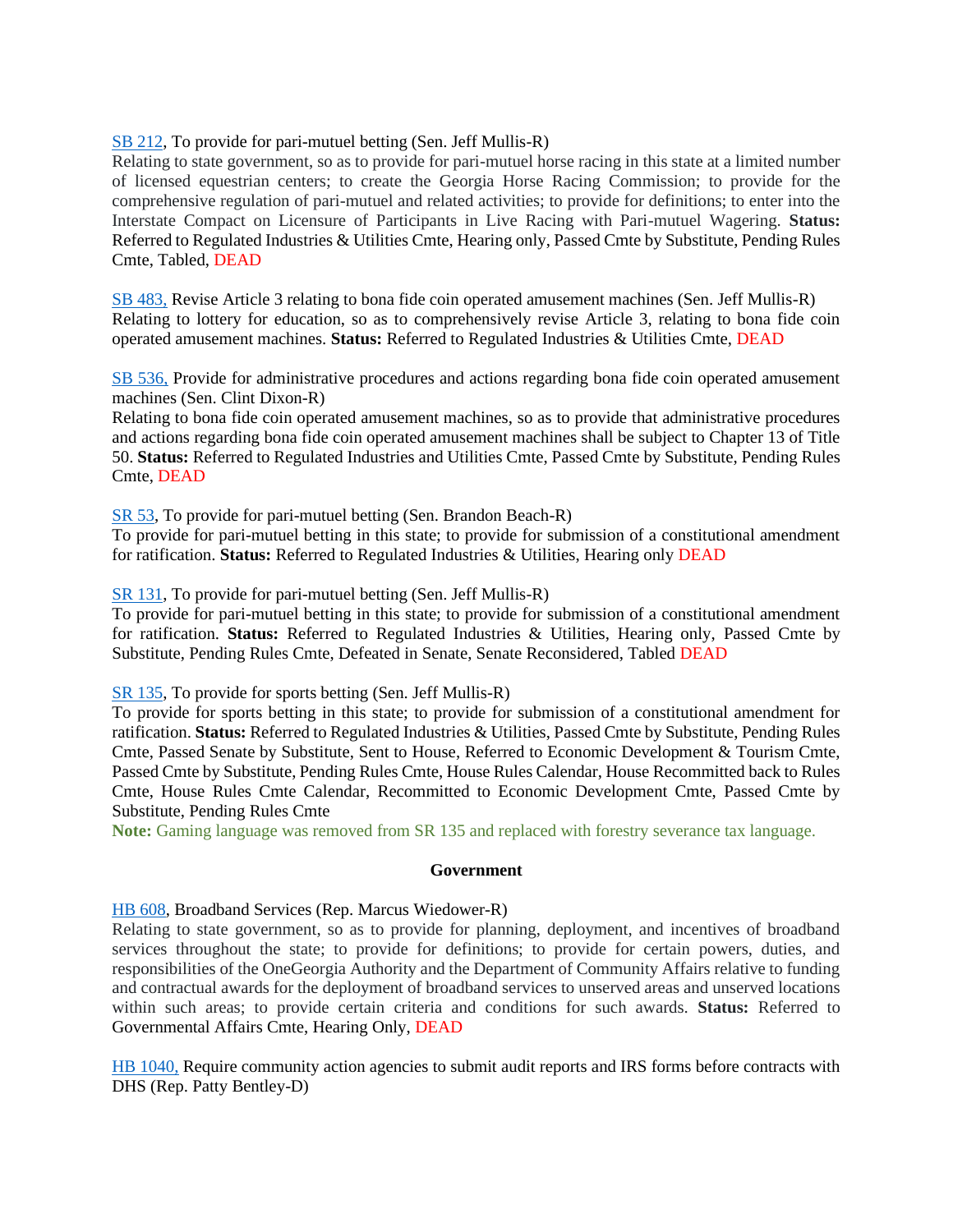#### [SB 212,](https://www.legis.ga.gov/legislation/59904) To provide for pari-mutuel betting (Sen. Jeff Mullis-R)

Relating to state government, so as to provide for pari-mutuel horse racing in this state at a limited number of licensed equestrian centers; to create the Georgia Horse Racing Commission; to provide for the comprehensive regulation of pari-mutuel and related activities; to provide for definitions; to enter into the Interstate Compact on Licensure of Participants in Live Racing with Pari-mutuel Wagering. **Status:** Referred to Regulated Industries & Utilities Cmte, Hearing only, Passed Cmte by Substitute, Pending Rules Cmte, Tabled, DEAD

[SB 483,](https://www.legis.ga.gov/legislation/61949) Revise Article 3 relating to bona fide coin operated amusement machines (Sen. Jeff Mullis-R) Relating to lottery for education, so as to comprehensively revise Article 3, relating to bona fide coin operated amusement machines. **Status:** Referred to Regulated Industries & Utilities Cmte, DEAD

[SB 536,](https://www.legis.ga.gov/legislation/62239) Provide for administrative procedures and actions regarding bona fide coin operated amusement machines (Sen. Clint Dixon-R)

Relating to bona fide coin operated amusement machines, so as to provide that administrative procedures and actions regarding bona fide coin operated amusement machines shall be subject to Chapter 13 of Title 50. **Status:** Referred to Regulated Industries and Utilities Cmte, Passed Cmte by Substitute, Pending Rules Cmte, DEAD

[SR 53,](https://www.legis.ga.gov/legislation/59227) To provide for pari-mutuel betting (Sen. Brandon Beach-R)

To provide for pari-mutuel betting in this state; to provide for submission of a constitutional amendment for ratification. **Status:** Referred to Regulated Industries & Utilities, Hearing only DEAD

[SR 131,](https://www.legis.ga.gov/legislation/59903) To provide for pari-mutuel betting (Sen. Jeff Mullis-R)

To provide for pari-mutuel betting in this state; to provide for submission of a constitutional amendment for ratification. **Status:** Referred to Regulated Industries & Utilities, Hearing only, Passed Cmte by Substitute, Pending Rules Cmte, Defeated in Senate, Senate Reconsidered, Tabled DEAD

[SR 135,](https://www.legis.ga.gov/legislation/59914) To provide for sports betting (Sen. Jeff Mullis-R)

To provide for sports betting in this state; to provide for submission of a constitutional amendment for ratification. **Status:** Referred to Regulated Industries & Utilities, Passed Cmte by Substitute, Pending Rules Cmte, Passed Senate by Substitute, Sent to House, Referred to Economic Development & Tourism Cmte, Passed Cmte by Substitute, Pending Rules Cmte, House Rules Calendar, House Recommitted back to Rules Cmte, House Rules Cmte Calendar, Recommitted to Economic Development Cmte, Passed Cmte by Substitute, Pending Rules Cmte

<span id="page-18-0"></span>**Note:** Gaming language was removed from SR 135 and replaced with forestry severance tax language.

#### **Government**

#### [HB 608,](https://www.legis.ga.gov/legislation/59983) Broadband Services (Rep. Marcus Wiedower-R)

Relating to state government, so as to provide for planning, deployment, and incentives of broadband services throughout the state; to provide for definitions; to provide for certain powers, duties, and responsibilities of the OneGeorgia Authority and the Department of Community Affairs relative to funding and contractual awards for the deployment of broadband services to unserved areas and unserved locations within such areas; to provide certain criteria and conditions for such awards. **Status:** Referred to Governmental Affairs Cmte, Hearing Only, DEAD

[HB 1040,](https://www.legis.ga.gov/legislation/61391) Require community action agencies to submit audit reports and IRS forms before contracts with DHS (Rep. Patty Bentley-D)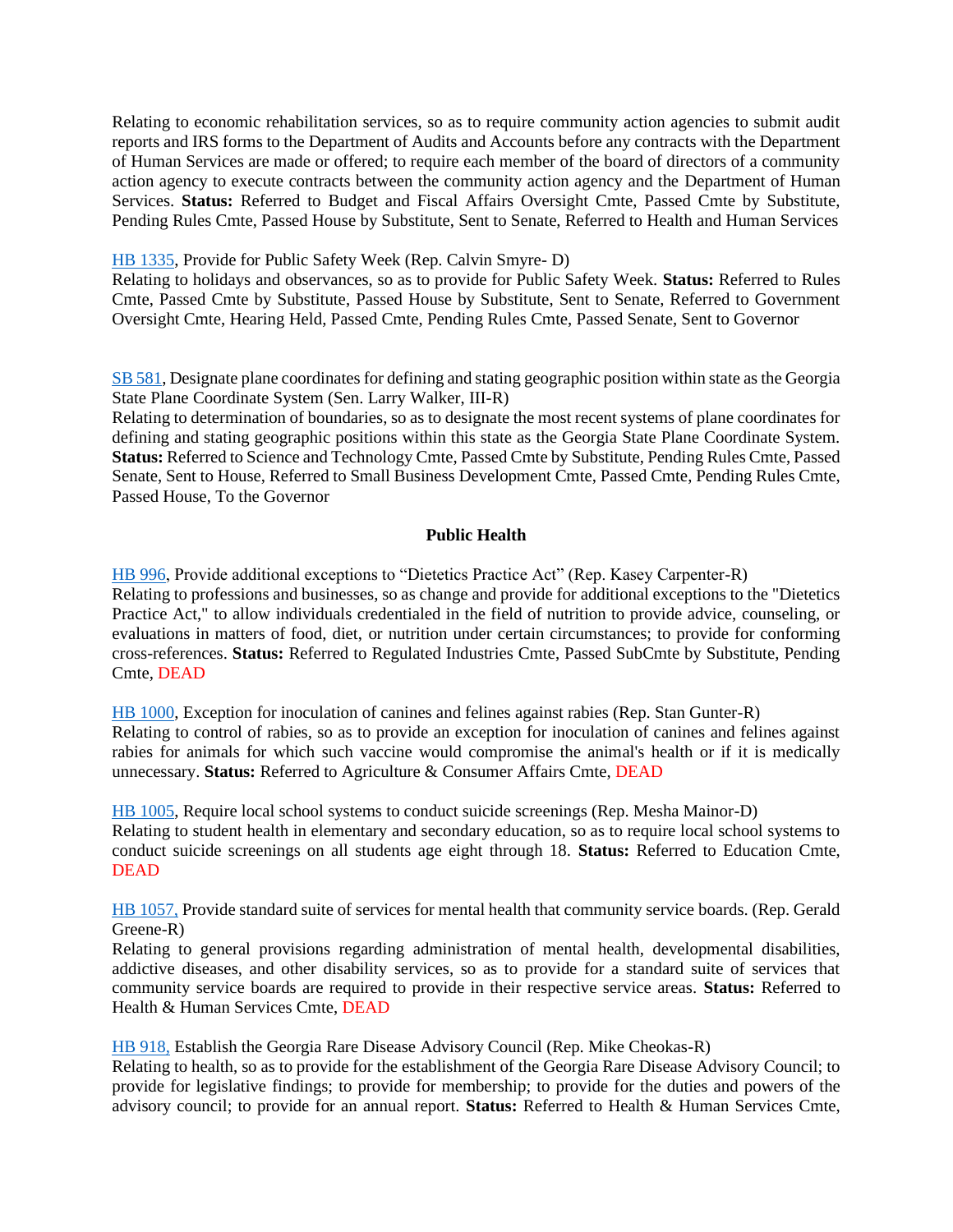Relating to economic rehabilitation services, so as to require community action agencies to submit audit reports and IRS forms to the Department of Audits and Accounts before any contracts with the Department of Human Services are made or offered; to require each member of the board of directors of a community action agency to execute contracts between the community action agency and the Department of Human Services. **Status:** Referred to Budget and Fiscal Affairs Oversight Cmte, Passed Cmte by Substitute, Pending Rules Cmte, Passed House by Substitute, Sent to Senate, Referred to Health and Human Services

#### [HB 1335,](https://www.legis.ga.gov/legislation/62046) Provide for Public Safety Week (Rep. Calvin Smyre- D)

Relating to holidays and observances, so as to provide for Public Safety Week. **Status:** Referred to Rules Cmte, Passed Cmte by Substitute, Passed House by Substitute, Sent to Senate, Referred to Government Oversight Cmte, Hearing Held, Passed Cmte, Pending Rules Cmte, Passed Senate, Sent to Governor

[SB 581,](https://www.legis.ga.gov/legislation/62488) Designate plane coordinates for defining and stating geographic position within state as the Georgia State Plane Coordinate System (Sen. Larry Walker, III-R)

Relating to determination of boundaries, so as to designate the most recent systems of plane coordinates for defining and stating geographic positions within this state as the Georgia State Plane Coordinate System. **Status:** Referred to Science and Technology Cmte, Passed Cmte by Substitute, Pending Rules Cmte, Passed Senate, Sent to House, Referred to Small Business Development Cmte, Passed Cmte, Pending Rules Cmte, Passed House, To the Governor

# **Public Health**

<span id="page-19-0"></span>[HB 996,](https://www.legis.ga.gov/legislation/61326) Provide additional exceptions to "Dietetics Practice Act" (Rep. Kasey Carpenter-R) Relating to professions and businesses, so as change and provide for additional exceptions to the "Dietetics Practice Act," to allow individuals credentialed in the field of nutrition to provide advice, counseling, or evaluations in matters of food, diet, or nutrition under certain circumstances; to provide for conforming cross-references. **Status:** Referred to Regulated Industries Cmte, Passed SubCmte by Substitute, Pending Cmte, DEAD

[HB 1000,](https://www.legis.ga.gov/legislation/61330) Exception for inoculation of canines and felines against rabies (Rep. Stan Gunter-R) Relating to control of rabies, so as to provide an exception for inoculation of canines and felines against rabies for animals for which such vaccine would compromise the animal's health or if it is medically unnecessary. **Status:** Referred to Agriculture & Consumer Affairs Cmte, DEAD

[HB 1005,](https://www.legis.ga.gov/legislation/61335) Require local school systems to conduct suicide screenings (Rep. Mesha Mainor-D) Relating to student health in elementary and secondary education, so as to require local school systems to conduct suicide screenings on all students age eight through 18. **Status:** Referred to Education Cmte, DEAD

[HB 1057,](https://www.legis.ga.gov/legislation/61410) Provide standard suite of services for mental health that community service boards. (Rep. Gerald Greene-R)

Relating to general provisions regarding administration of mental health, developmental disabilities, addictive diseases, and other disability services, so as to provide for a standard suite of services that community service boards are required to provide in their respective service areas. **Status:** Referred to Health & Human Services Cmte, DEAD

[HB 918,](https://www.legis.ga.gov/legislation/61144) Establish the Georgia Rare Disease Advisory Council (Rep. Mike Cheokas-R)

Relating to health, so as to provide for the establishment of the Georgia Rare Disease Advisory Council; to provide for legislative findings; to provide for membership; to provide for the duties and powers of the advisory council; to provide for an annual report. **Status:** Referred to Health & Human Services Cmte,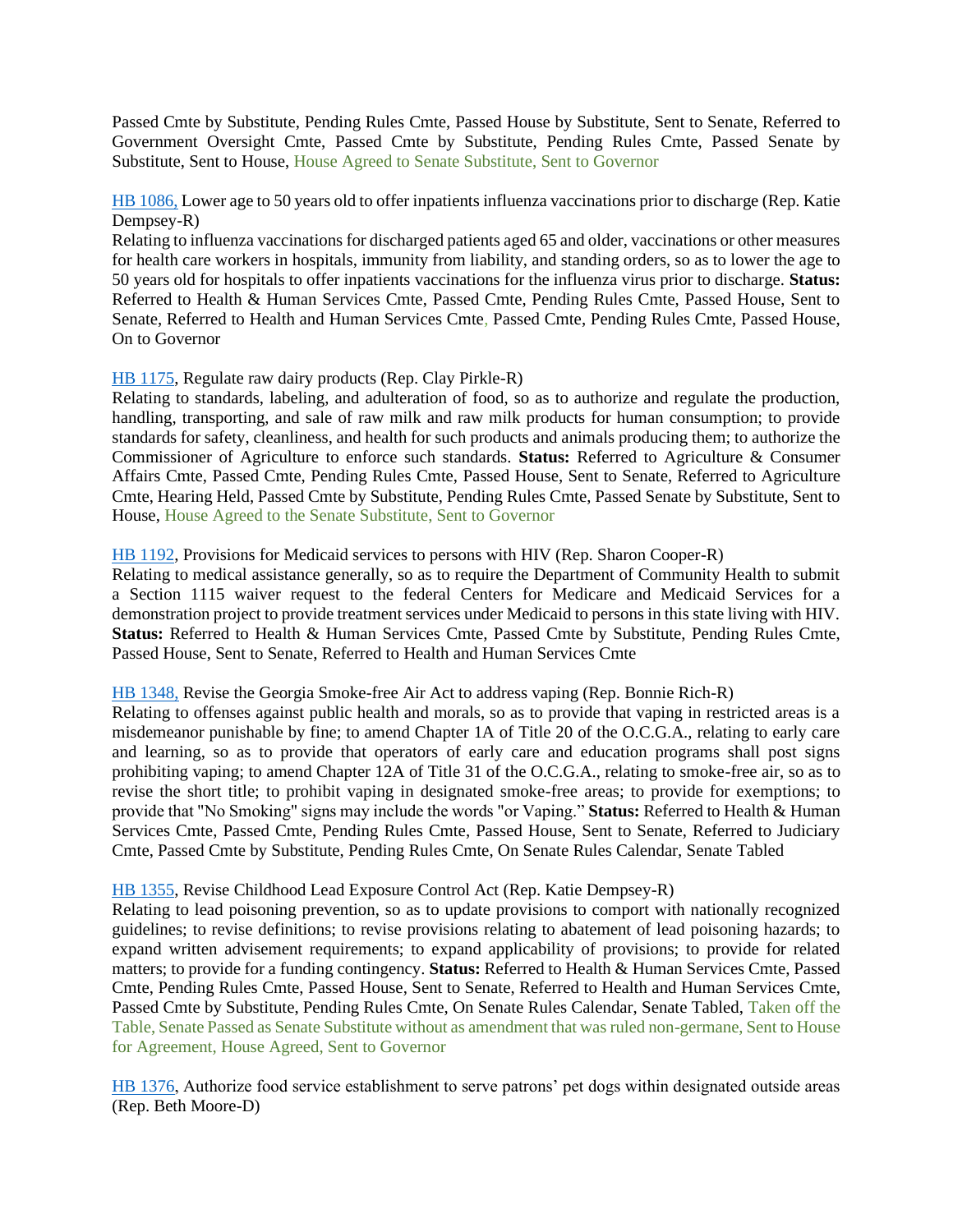Passed Cmte by Substitute, Pending Rules Cmte, Passed House by Substitute, Sent to Senate, Referred to Government Oversight Cmte, Passed Cmte by Substitute, Pending Rules Cmte, Passed Senate by Substitute, Sent to House, House Agreed to Senate Substitute, Sent to Governor

[HB 1086,](https://www.legis.ga.gov/legislation/61479) Lower age to 50 years old to offer inpatients influenza vaccinations prior to discharge (Rep. Katie Dempsey-R)

Relating to influenza vaccinations for discharged patients aged 65 and older, vaccinations or other measures for health care workers in hospitals, immunity from liability, and standing orders, so as to lower the age to 50 years old for hospitals to offer inpatients vaccinations for the influenza virus prior to discharge. **Status:**  Referred to Health & Human Services Cmte, Passed Cmte, Pending Rules Cmte, Passed House, Sent to Senate, Referred to Health and Human Services Cmte, Passed Cmte, Pending Rules Cmte, Passed House, On to Governor

#### [HB 1175,](https://www.legis.ga.gov/legislation/61674) Regulate raw dairy products (Rep. Clay Pirkle-R)

Relating to standards, labeling, and adulteration of food, so as to authorize and regulate the production, handling, transporting, and sale of raw milk and raw milk products for human consumption; to provide standards for safety, cleanliness, and health for such products and animals producing them; to authorize the Commissioner of Agriculture to enforce such standards. **Status:** Referred to Agriculture & Consumer Affairs Cmte, Passed Cmte, Pending Rules Cmte, Passed House, Sent to Senate, Referred to Agriculture Cmte, Hearing Held, Passed Cmte by Substitute, Pending Rules Cmte, Passed Senate by Substitute, Sent to House, House Agreed to the Senate Substitute, Sent to Governor

#### [HB 1192,](https://www.legis.ga.gov/legislation/61694) Provisions for Medicaid services to persons with HIV (Rep. Sharon Cooper-R)

Relating to medical assistance generally, so as to require the Department of Community Health to submit a Section 1115 waiver request to the federal Centers for Medicare and Medicaid Services for a demonstration project to provide treatment services under Medicaid to persons in this state living with HIV. **Status:** Referred to Health & Human Services Cmte, Passed Cmte by Substitute, Pending Rules Cmte, Passed House, Sent to Senate, Referred to Health and Human Services Cmte

#### [HB 1348,](https://www.legis.ga.gov/legislation/62096) Revise the Georgia Smoke-free Air Act to address vaping (Rep. Bonnie Rich-R)

Relating to offenses against public health and morals, so as to provide that vaping in restricted areas is a misdemeanor punishable by fine; to amend Chapter 1A of Title 20 of the O.C.G.A., relating to early care and learning, so as to provide that operators of early care and education programs shall post signs prohibiting vaping; to amend Chapter 12A of Title 31 of the O.C.G.A., relating to smoke-free air, so as to revise the short title; to prohibit vaping in designated smoke-free areas; to provide for exemptions; to provide that "No Smoking" signs may include the words "or Vaping." **Status:** Referred to Health & Human Services Cmte, Passed Cmte, Pending Rules Cmte, Passed House, Sent to Senate, Referred to Judiciary Cmte, Passed Cmte by Substitute, Pending Rules Cmte, On Senate Rules Calendar, Senate Tabled

#### [HB 1355,](https://www.legis.ga.gov/legislation/62106) Revise Childhood Lead Exposure Control Act (Rep. Katie Dempsey-R)

Relating to lead poisoning prevention, so as to update provisions to comport with nationally recognized guidelines; to revise definitions; to revise provisions relating to abatement of lead poisoning hazards; to expand written advisement requirements; to expand applicability of provisions; to provide for related matters; to provide for a funding contingency. **Status:** Referred to Health & Human Services Cmte, Passed Cmte, Pending Rules Cmte, Passed House, Sent to Senate, Referred to Health and Human Services Cmte, Passed Cmte by Substitute, Pending Rules Cmte, On Senate Rules Calendar, Senate Tabled, Taken off the Table, Senate Passed as Senate Substitute without as amendment that was ruled non-germane, Sent to House for Agreement, House Agreed, Sent to Governor

[HB 1376,](https://www.legis.ga.gov/legislation/62204) Authorize food service establishment to serve patrons' pet dogs within designated outside areas (Rep. Beth Moore-D)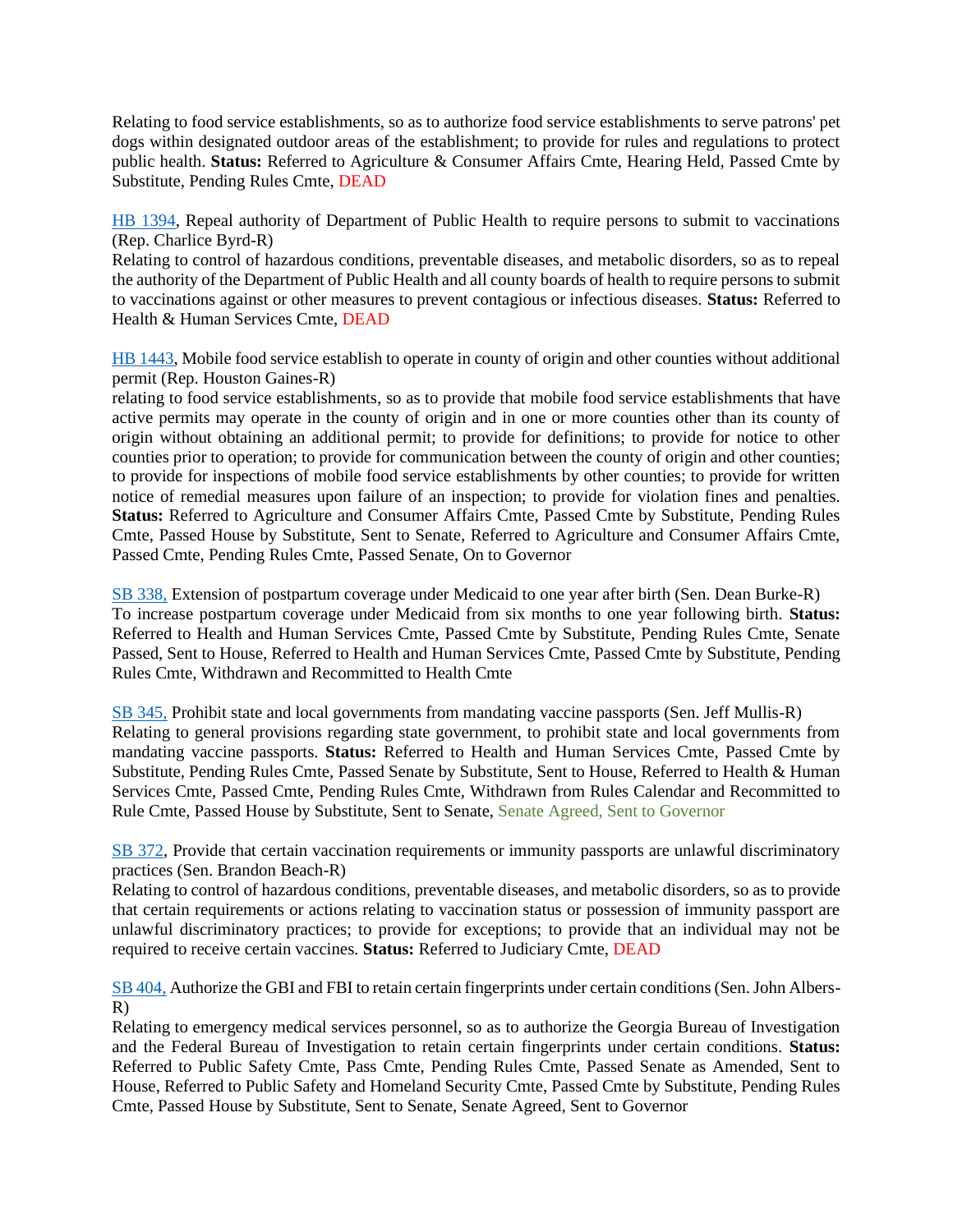Relating to food service establishments, so as to authorize food service establishments to serve patrons' pet dogs within designated outdoor areas of the establishment; to provide for rules and regulations to protect public health. **Status:** Referred to Agriculture & Consumer Affairs Cmte, Hearing Held, Passed Cmte by Substitute, Pending Rules Cmte, DEAD

[HB 1394,](https://www.legis.ga.gov/legislation/62222) Repeal authority of Department of Public Health to require persons to submit to vaccinations (Rep. Charlice Byrd-R)

Relating to control of hazardous conditions, preventable diseases, and metabolic disorders, so as to repeal the authority of the Department of Public Health and all county boards of health to require persons to submit to vaccinations against or other measures to prevent contagious or infectious diseases. **Status:** Referred to Health & Human Services Cmte, DEAD

[HB 1443,](https://www.legis.ga.gov/legislation/62352) Mobile food service establish to operate in county of origin and other counties without additional permit (Rep. Houston Gaines-R)

relating to food service establishments, so as to provide that mobile food service establishments that have active permits may operate in the county of origin and in one or more counties other than its county of origin without obtaining an additional permit; to provide for definitions; to provide for notice to other counties prior to operation; to provide for communication between the county of origin and other counties; to provide for inspections of mobile food service establishments by other counties; to provide for written notice of remedial measures upon failure of an inspection; to provide for violation fines and penalties. **Status:** Referred to Agriculture and Consumer Affairs Cmte, Passed Cmte by Substitute, Pending Rules Cmte, Passed House by Substitute, Sent to Senate, Referred to Agriculture and Consumer Affairs Cmte, Passed Cmte, Pending Rules Cmte, Passed Senate, On to Governor

[SB 338,](https://www.legis.ga.gov/legislation/61152) Extension of postpartum coverage under Medicaid to one year after birth (Sen. Dean Burke-R) To increase postpartum coverage under Medicaid from six months to one year following birth. **Status:**  Referred to Health and Human Services Cmte, Passed Cmte by Substitute, Pending Rules Cmte, Senate Passed, Sent to House, Referred to Health and Human Services Cmte, Passed Cmte by Substitute, Pending Rules Cmte, Withdrawn and Recommitted to Health Cmte

[SB 345,](https://www.legis.ga.gov/legislation/61178) Prohibit state and local governments from mandating vaccine passports (Sen. Jeff Mullis-R) Relating to general provisions regarding state government, to prohibit state and local governments from mandating vaccine passports. **Status:** Referred to Health and Human Services Cmte, Passed Cmte by Substitute, Pending Rules Cmte, Passed Senate by Substitute, Sent to House, Referred to Health & Human Services Cmte, Passed Cmte, Pending Rules Cmte, Withdrawn from Rules Calendar and Recommitted to Rule Cmte, Passed House by Substitute, Sent to Senate, Senate Agreed, Sent to Governor

[SB 372,](https://www.legis.ga.gov/legislation/61303) Provide that certain vaccination requirements or immunity passports are unlawful discriminatory practices (Sen. Brandon Beach-R)

Relating to control of hazardous conditions, preventable diseases, and metabolic disorders, so as to provide that certain requirements or actions relating to vaccination status or possession of immunity passport are unlawful discriminatory practices; to provide for exceptions; to provide that an individual may not be required to receive certain vaccines. **Status:** Referred to Judiciary Cmte, DEAD

[SB 404,](https://www.legis.ga.gov/legislation/61503) Authorize the GBI and FBI to retain certain fingerprints under certain conditions (Sen. John Albers-R)

Relating to emergency medical services personnel, so as to authorize the Georgia Bureau of Investigation and the Federal Bureau of Investigation to retain certain fingerprints under certain conditions. **Status:**  Referred to Public Safety Cmte, Pass Cmte, Pending Rules Cmte, Passed Senate as Amended, Sent to House, Referred to Public Safety and Homeland Security Cmte, Passed Cmte by Substitute, Pending Rules Cmte, Passed House by Substitute, Sent to Senate, Senate Agreed, Sent to Governor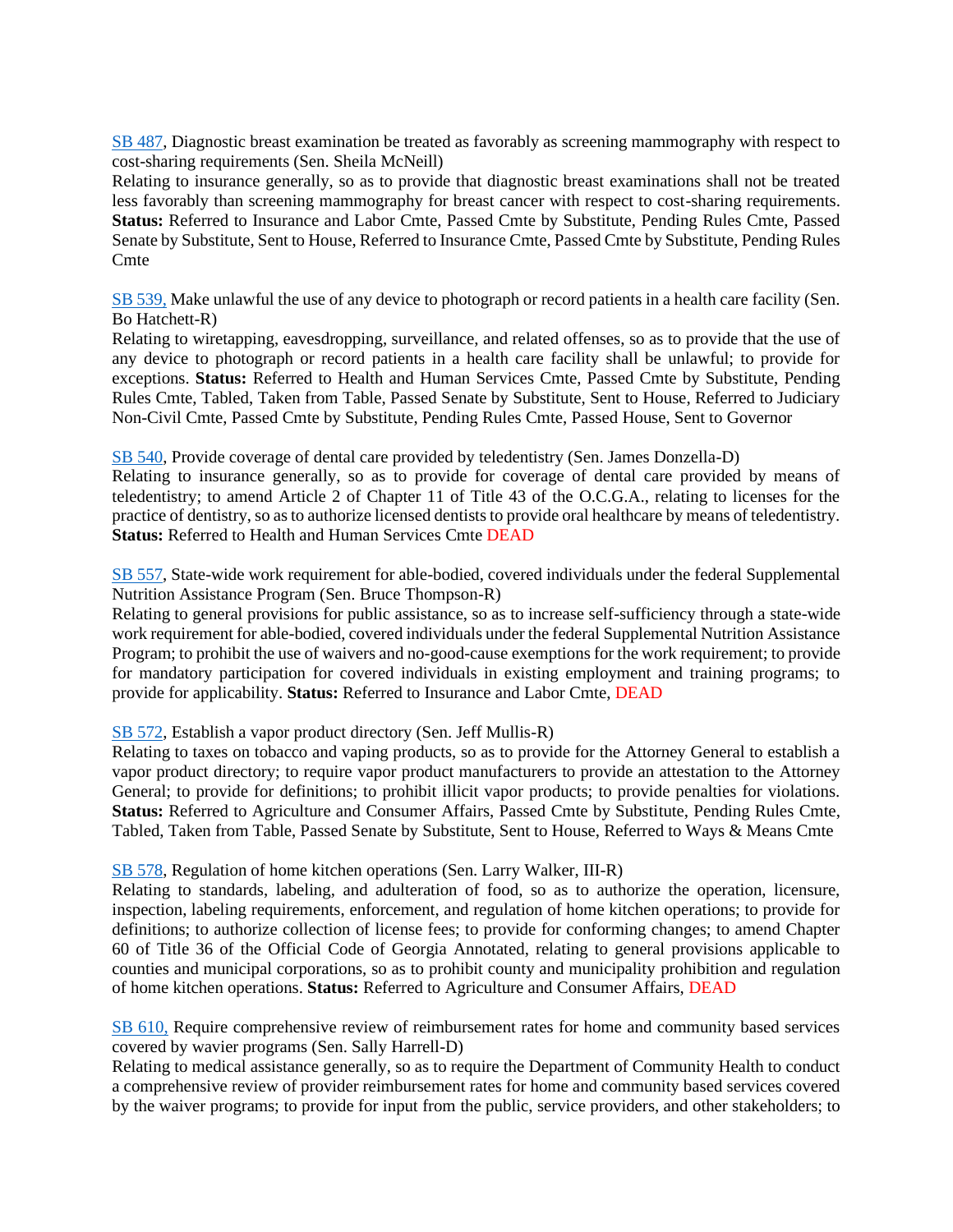[SB 487,](https://www.legis.ga.gov/legislation/61977) Diagnostic breast examination be treated as favorably as screening mammography with respect to cost-sharing requirements (Sen. Sheila McNeill)

Relating to insurance generally, so as to provide that diagnostic breast examinations shall not be treated less favorably than screening mammography for breast cancer with respect to cost-sharing requirements. **Status:** Referred to Insurance and Labor Cmte, Passed Cmte by Substitute, Pending Rules Cmte, Passed Senate by Substitute, Sent to House, Referred to Insurance Cmte, Passed Cmte by Substitute, Pending Rules **C**mte

[SB 539,](https://www.legis.ga.gov/legislation/62246) Make unlawful the use of any device to photograph or record patients in a health care facility (Sen. Bo Hatchett-R)

Relating to wiretapping, eavesdropping, surveillance, and related offenses, so as to provide that the use of any device to photograph or record patients in a health care facility shall be unlawful; to provide for exceptions. **Status:** Referred to Health and Human Services Cmte, Passed Cmte by Substitute, Pending Rules Cmte, Tabled, Taken from Table, Passed Senate by Substitute, Sent to House, Referred to Judiciary Non-Civil Cmte, Passed Cmte by Substitute, Pending Rules Cmte, Passed House, Sent to Governor

[SB 540,](https://www.legis.ga.gov/legislation/62271) Provide coverage of dental care provided by teledentistry (Sen. James Donzella-D)

Relating to insurance generally, so as to provide for coverage of dental care provided by means of teledentistry; to amend Article 2 of Chapter 11 of Title 43 of the O.C.G.A., relating to licenses for the practice of dentistry, so as to authorize licensed dentists to provide oral healthcare by means of teledentistry. **Status:** Referred to Health and Human Services Cmte DEAD

[SB 557,](https://www.legis.ga.gov/legislation/62354) State-wide work requirement for able-bodied, covered individuals under the federal Supplemental Nutrition Assistance Program (Sen. Bruce Thompson-R)

Relating to general provisions for public assistance, so as to increase self-sufficiency through a state-wide work requirement for able-bodied, covered individuals under the federal Supplemental Nutrition Assistance Program; to prohibit the use of waivers and no-good-cause exemptions for the work requirement; to provide for mandatory participation for covered individuals in existing employment and training programs; to provide for applicability. **Status:** Referred to Insurance and Labor Cmte, DEAD

[SB 572,](https://www.legis.ga.gov/legislation/62461) Establish a vapor product directory (Sen. Jeff Mullis-R)

Relating to taxes on tobacco and vaping products, so as to provide for the Attorney General to establish a vapor product directory; to require vapor product manufacturers to provide an attestation to the Attorney General; to provide for definitions; to prohibit illicit vapor products; to provide penalties for violations. **Status:** Referred to Agriculture and Consumer Affairs, Passed Cmte by Substitute, Pending Rules Cmte, Tabled, Taken from Table, Passed Senate by Substitute, Sent to House, Referred to Ways & Means Cmte

[SB 578,](https://www.legis.ga.gov/legislation/62476) Regulation of home kitchen operations (Sen. Larry Walker, III-R)

Relating to standards, labeling, and adulteration of food, so as to authorize the operation, licensure, inspection, labeling requirements, enforcement, and regulation of home kitchen operations; to provide for definitions; to authorize collection of license fees; to provide for conforming changes; to amend Chapter 60 of Title 36 of the Official Code of Georgia Annotated, relating to general provisions applicable to counties and municipal corporations, so as to prohibit county and municipality prohibition and regulation of home kitchen operations. **Status:** Referred to Agriculture and Consumer Affairs, DEAD

[SB 610,](https://www.legis.ga.gov/legislation/62624) Require comprehensive review of reimbursement rates for home and community based services covered by wavier programs (Sen. Sally Harrell-D)

Relating to medical assistance generally, so as to require the Department of Community Health to conduct a comprehensive review of provider reimbursement rates for home and community based services covered by the waiver programs; to provide for input from the public, service providers, and other stakeholders; to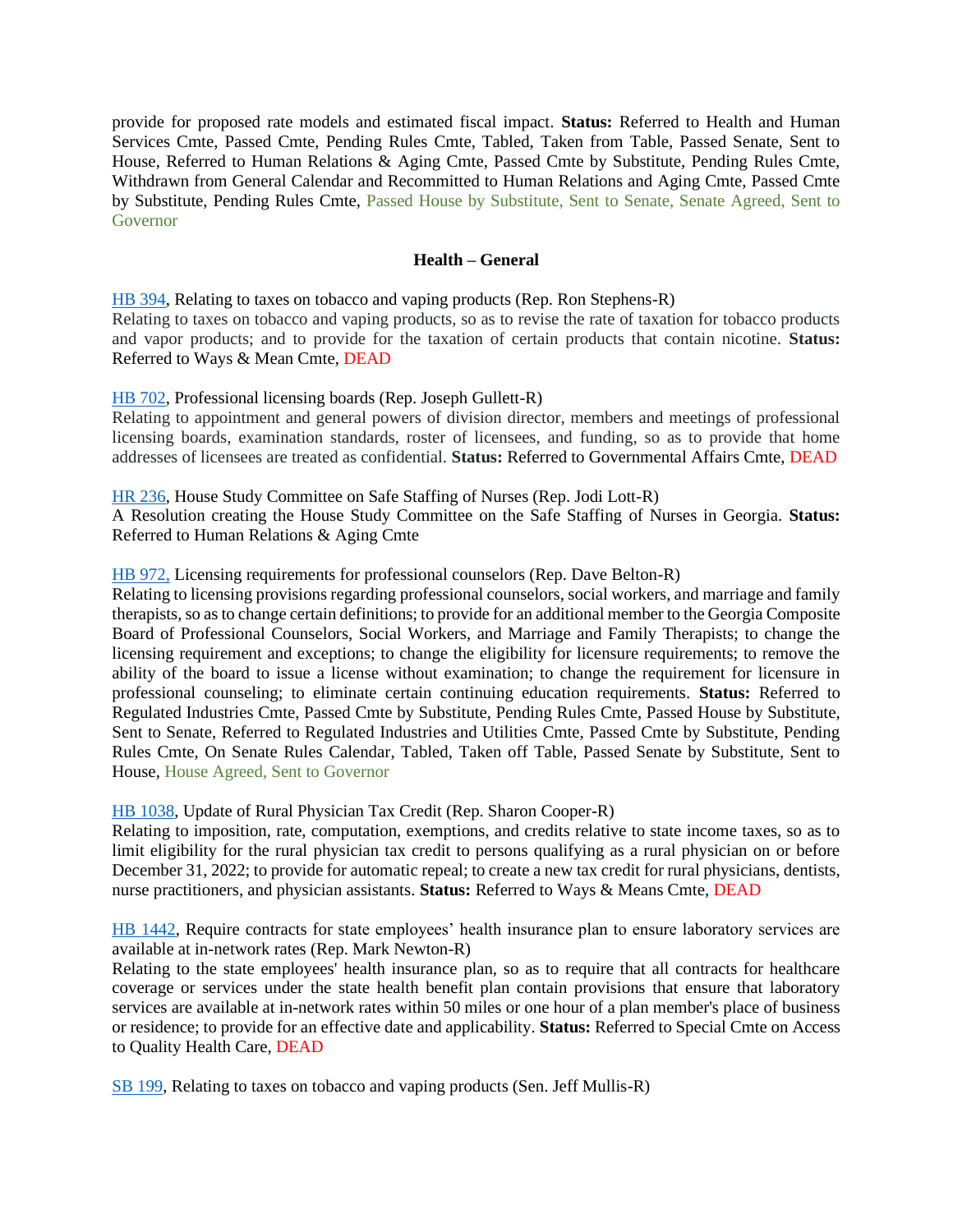provide for proposed rate models and estimated fiscal impact. **Status:** Referred to Health and Human Services Cmte, Passed Cmte, Pending Rules Cmte, Tabled, Taken from Table, Passed Senate, Sent to House, Referred to Human Relations & Aging Cmte, Passed Cmte by Substitute, Pending Rules Cmte, Withdrawn from General Calendar and Recommitted to Human Relations and Aging Cmte, Passed Cmte by Substitute, Pending Rules Cmte, Passed House by Substitute, Sent to Senate, Senate Agreed, Sent to Governor

#### **Health – General**

<span id="page-23-0"></span>[HB 394,](https://www.legis.ga.gov/legislation/59549) Relating to taxes on tobacco and vaping products (Rep. Ron Stephens-R) Relating to taxes on tobacco and vaping products, so as to revise the rate of taxation for tobacco products and vapor products; and to provide for the taxation of certain products that contain nicotine. **Status:** Referred to Ways & Mean Cmte, DEAD

[HB 702,](https://www.legis.ga.gov/legislation/60230) Professional licensing boards (Rep. Joseph Gullett-R)

Relating to appointment and general powers of division director, members and meetings of professional licensing boards, examination standards, roster of licensees, and funding, so as to provide that home addresses of licensees are treated as confidential. **Status:** Referred to Governmental Affairs Cmte, DEAD

[HR 236,](https://www.legis.ga.gov/legislation/60093) House Study Committee on Safe Staffing of Nurses (Rep. Jodi Lott-R)

A Resolution creating the House Study Committee on the Safe Staffing of Nurses in Georgia. **Status:**  Referred to Human Relations & Aging Cmte

#### [HB 972,](https://www.legis.ga.gov/legislation/61248) Licensing requirements for professional counselors (Rep. Dave Belton-R)

Relating to licensing provisions regarding professional counselors, social workers, and marriage and family therapists, so as to change certain definitions; to provide for an additional member to the Georgia Composite Board of Professional Counselors, Social Workers, and Marriage and Family Therapists; to change the licensing requirement and exceptions; to change the eligibility for licensure requirements; to remove the ability of the board to issue a license without examination; to change the requirement for licensure in professional counseling; to eliminate certain continuing education requirements. **Status:** Referred to Regulated Industries Cmte, Passed Cmte by Substitute, Pending Rules Cmte, Passed House by Substitute, Sent to Senate, Referred to Regulated Industries and Utilities Cmte, Passed Cmte by Substitute, Pending Rules Cmte, On Senate Rules Calendar, Tabled, Taken off Table, Passed Senate by Substitute, Sent to House, House Agreed, Sent to Governor

[HB 1038,](https://www.legis.ga.gov/legislation/61389) Update of Rural Physician Tax Credit (Rep. Sharon Cooper-R)

Relating to imposition, rate, computation, exemptions, and credits relative to state income taxes, so as to limit eligibility for the rural physician tax credit to persons qualifying as a rural physician on or before December 31, 2022; to provide for automatic repeal; to create a new tax credit for rural physicians, dentists, nurse practitioners, and physician assistants. **Status:** Referred to Ways & Means Cmte, DEAD

[HB 1442,](https://www.legis.ga.gov/legislation/62351) Require contracts for state employees' health insurance plan to ensure laboratory services are available at in-network rates (Rep. Mark Newton-R)

Relating to the state employees' health insurance plan, so as to require that all contracts for healthcare coverage or services under the state health benefit plan contain provisions that ensure that laboratory services are available at in-network rates within 50 miles or one hour of a plan member's place of business or residence; to provide for an effective date and applicability. **Status:** Referred to Special Cmte on Access to Quality Health Care, DEAD

[SB 199,](https://www.legis.ga.gov/legislation/59755) Relating to taxes on tobacco and vaping products (Sen. Jeff Mullis-R)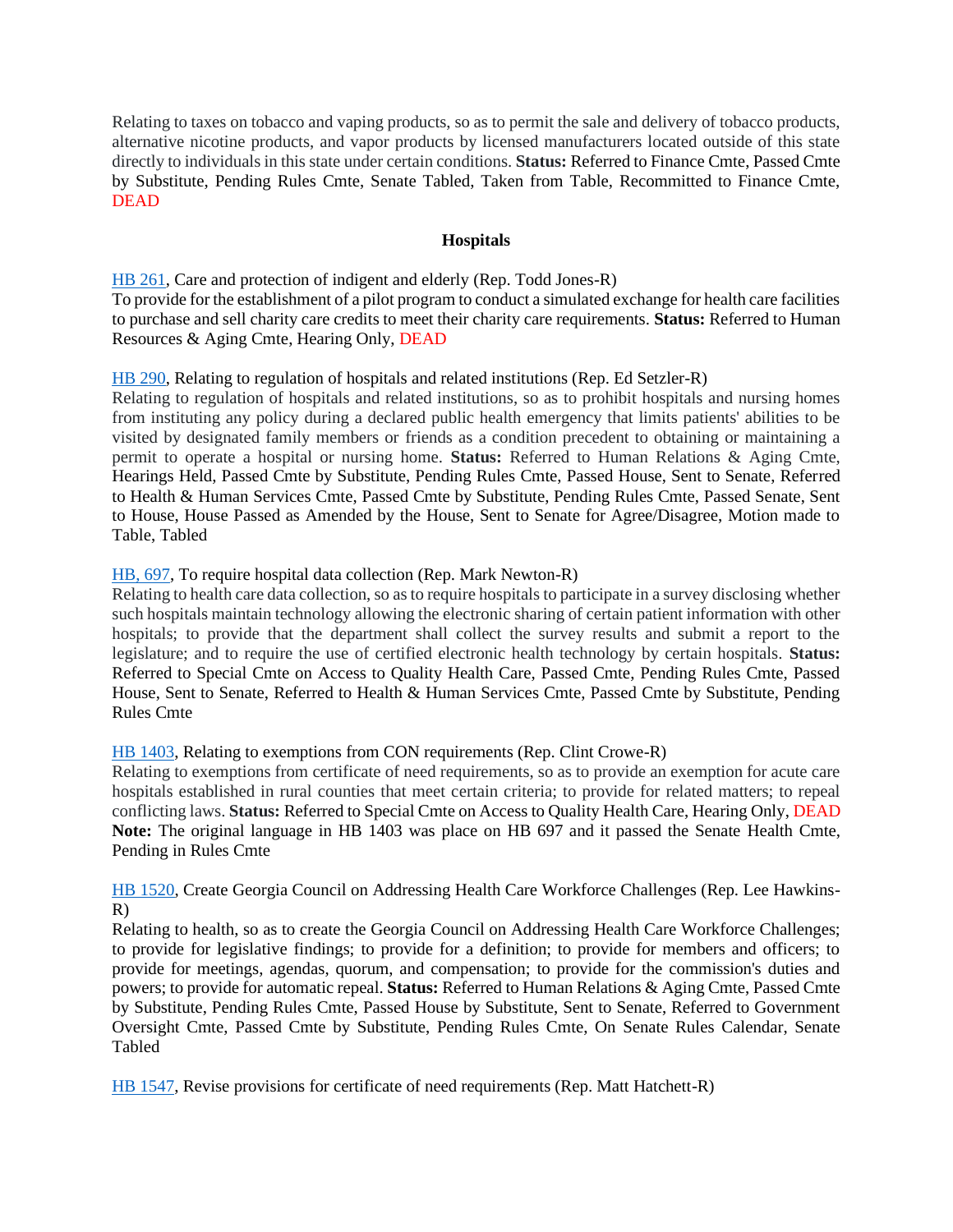Relating to taxes on tobacco and vaping products, so as to permit the sale and delivery of tobacco products, alternative nicotine products, and vapor products by licensed manufacturers located outside of this state directly to individuals in this state under certain conditions. **Status:** Referred to Finance Cmte, Passed Cmte by Substitute, Pending Rules Cmte, Senate Tabled, Taken from Table, Recommitted to Finance Cmte, DEAD

#### **Hospitals**

<span id="page-24-0"></span>[HB 261,](https://www.legis.ga.gov/legislation/59255) Care and protection of indigent and elderly (Rep. Todd Jones-R) To provide for the establishment of a pilot program to conduct a simulated exchange for health care facilities to purchase and sell charity care credits to meet their charity care requirements. **Status:** Referred to Human Resources & Aging Cmte, Hearing Only, DEAD

#### [HB 290,](https://www.legis.ga.gov/legislation/59302) Relating to regulation of hospitals and related institutions (Rep. Ed Setzler-R)

Relating to regulation of hospitals and related institutions, so as to prohibit hospitals and nursing homes from instituting any policy during a declared public health emergency that limits patients' abilities to be visited by designated family members or friends as a condition precedent to obtaining or maintaining a permit to operate a hospital or nursing home. **Status:** Referred to Human Relations & Aging Cmte, Hearings Held, Passed Cmte by Substitute, Pending Rules Cmte, Passed House, Sent to Senate, Referred to Health & Human Services Cmte, Passed Cmte by Substitute, Pending Rules Cmte, Passed Senate, Sent to House, House Passed as Amended by the House, Sent to Senate for Agree/Disagree, Motion made to Table, Tabled

#### [HB, 697,](https://www.legis.ga.gov/legislation/60225) To require hospital data collection (Rep. Mark Newton-R)

Relating to health care data collection, so as to require hospitals to participate in a survey disclosing whether such hospitals maintain technology allowing the electronic sharing of certain patient information with other hospitals; to provide that the department shall collect the survey results and submit a report to the legislature; and to require the use of certified electronic health technology by certain hospitals. **Status:**  Referred to Special Cmte on Access to Quality Health Care, Passed Cmte, Pending Rules Cmte, Passed House, Sent to Senate, Referred to Health & Human Services Cmte, Passed Cmte by Substitute, Pending Rules Cmte

# [HB 1403,](https://www.legis.ga.gov/legislation/62236) Relating to exemptions from CON requirements (Rep. Clint Crowe-R)

Relating to exemptions from certificate of need requirements, so as to provide an exemption for acute care hospitals established in rural counties that meet certain criteria; to provide for related matters; to repeal conflicting laws. **Status:** Referred to Special Cmte on Access to Quality Health Care, Hearing Only, DEAD **Note:** The original language in HB 1403 was place on HB 697 and it passed the Senate Health Cmte, Pending in Rules Cmte

# [HB 1520,](https://www.legis.ga.gov/legislation/62595) Create Georgia Council on Addressing Health Care Workforce Challenges (Rep. Lee Hawkins-R)

Relating to health, so as to create the Georgia Council on Addressing Health Care Workforce Challenges; to provide for legislative findings; to provide for a definition; to provide for members and officers; to provide for meetings, agendas, quorum, and compensation; to provide for the commission's duties and powers; to provide for automatic repeal. **Status:** Referred to Human Relations & Aging Cmte, Passed Cmte by Substitute, Pending Rules Cmte, Passed House by Substitute, Sent to Senate, Referred to Government Oversight Cmte, Passed Cmte by Substitute, Pending Rules Cmte, On Senate Rules Calendar, Senate Tabled

[HB 1547,](https://www.legis.ga.gov/legislation/62684) Revise provisions for certificate of need requirements (Rep. Matt Hatchett-R)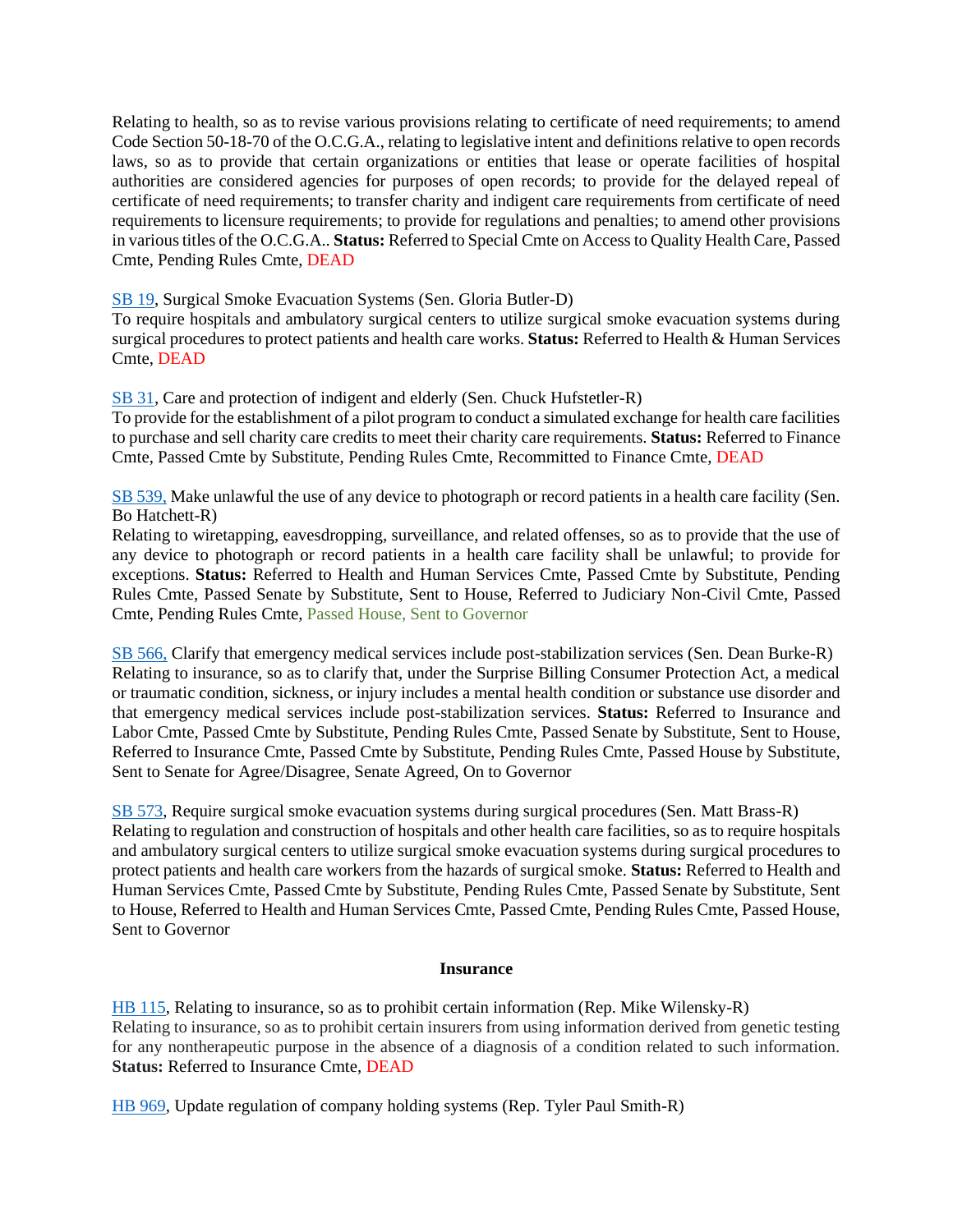Relating to health, so as to revise various provisions relating to certificate of need requirements; to amend Code Section 50-18-70 of the O.C.G.A., relating to legislative intent and definitions relative to open records laws, so as to provide that certain organizations or entities that lease or operate facilities of hospital authorities are considered agencies for purposes of open records; to provide for the delayed repeal of certificate of need requirements; to transfer charity and indigent care requirements from certificate of need requirements to licensure requirements; to provide for regulations and penalties; to amend other provisions in various titles of the O.C.G.A.. **Status:** Referred to Special Cmte on Access to Quality Health Care, Passed Cmte, Pending Rules Cmte, DEAD

# [SB 19,](https://www.legis.ga.gov/legislation/58941) Surgical Smoke Evacuation Systems (Sen. Gloria Butler-D)

To require hospitals and ambulatory surgical centers to utilize surgical smoke evacuation systems during surgical procedures to protect patients and health care works. **Status:** Referred to Health & Human Services Cmte, DEAD

[SB 31,](https://www.legis.ga.gov/legislation/59019) Care and protection of indigent and elderly (Sen. Chuck Hufstetler-R)

To provide for the establishment of a pilot program to conduct a simulated exchange for health care facilities to purchase and sell charity care credits to meet their charity care requirements. **Status:** Referred to Finance Cmte, Passed Cmte by Substitute, Pending Rules Cmte, Recommitted to Finance Cmte, DEAD

[SB 539,](https://www.legis.ga.gov/legislation/62246) Make unlawful the use of any device to photograph or record patients in a health care facility (Sen. Bo Hatchett-R)

Relating to wiretapping, eavesdropping, surveillance, and related offenses, so as to provide that the use of any device to photograph or record patients in a health care facility shall be unlawful; to provide for exceptions. **Status:** Referred to Health and Human Services Cmte, Passed Cmte by Substitute, Pending Rules Cmte, Passed Senate by Substitute, Sent to House, Referred to Judiciary Non-Civil Cmte, Passed Cmte, Pending Rules Cmte, Passed House, Sent to Governor

[SB 566,](https://www.legis.ga.gov/legislation/62419) Clarify that emergency medical services include post-stabilization services (Sen. Dean Burke-R) Relating to insurance, so as to clarify that, under the Surprise Billing Consumer Protection Act, a medical or traumatic condition, sickness, or injury includes a mental health condition or substance use disorder and that emergency medical services include post-stabilization services. **Status:** Referred to Insurance and Labor Cmte, Passed Cmte by Substitute, Pending Rules Cmte, Passed Senate by Substitute, Sent to House, Referred to Insurance Cmte, Passed Cmte by Substitute, Pending Rules Cmte, Passed House by Substitute, Sent to Senate for Agree/Disagree, Senate Agreed, On to Governor

[SB 573,](https://www.legis.ga.gov/legislation/62462) Require surgical smoke evacuation systems during surgical procedures (Sen. Matt Brass-R) Relating to regulation and construction of hospitals and other health care facilities, so as to require hospitals and ambulatory surgical centers to utilize surgical smoke evacuation systems during surgical procedures to protect patients and health care workers from the hazards of surgical smoke. **Status:** Referred to Health and Human Services Cmte, Passed Cmte by Substitute, Pending Rules Cmte, Passed Senate by Substitute, Sent to House, Referred to Health and Human Services Cmte, Passed Cmte, Pending Rules Cmte, Passed House, Sent to Governor

#### **Insurance**

<span id="page-25-0"></span>[HB 115,](https://www.legis.ga.gov/legislation/58962) Relating to insurance, so as to prohibit certain information (Rep. Mike Wilensky-R) Relating to insurance, so as to prohibit certain insurers from using information derived from genetic testing for any nontherapeutic purpose in the absence of a diagnosis of a condition related to such information. **Status:** Referred to Insurance Cmte, DEAD

[HB 969,](https://www.legis.ga.gov/legislation/61245) Update regulation of company holding systems (Rep. Tyler Paul Smith-R)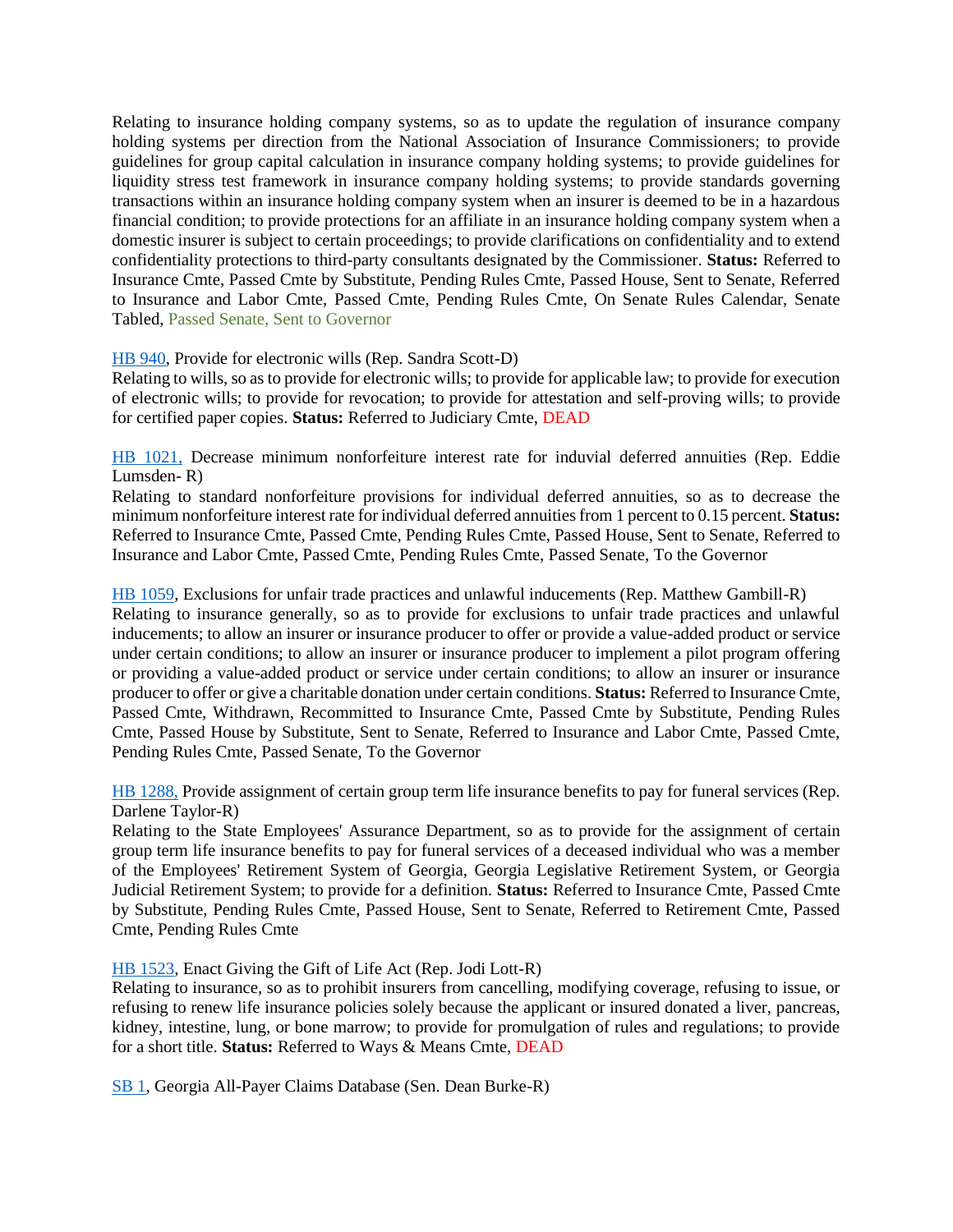Relating to insurance holding company systems, so as to update the regulation of insurance company holding systems per direction from the National Association of Insurance Commissioners; to provide guidelines for group capital calculation in insurance company holding systems; to provide guidelines for liquidity stress test framework in insurance company holding systems; to provide standards governing transactions within an insurance holding company system when an insurer is deemed to be in a hazardous financial condition; to provide protections for an affiliate in an insurance holding company system when a domestic insurer is subject to certain proceedings; to provide clarifications on confidentiality and to extend confidentiality protections to third-party consultants designated by the Commissioner. **Status:** Referred to Insurance Cmte, Passed Cmte by Substitute, Pending Rules Cmte, Passed House, Sent to Senate, Referred to Insurance and Labor Cmte, Passed Cmte, Pending Rules Cmte, On Senate Rules Calendar, Senate Tabled, Passed Senate, Sent to Governor

# [HB 940,](https://www.legis.ga.gov/legislation/61214) Provide for electronic wills (Rep. Sandra Scott-D)

Relating to wills, so as to provide for electronic wills; to provide for applicable law; to provide for execution of electronic wills; to provide for revocation; to provide for attestation and self-proving wills; to provide for certified paper copies. **Status:** Referred to Judiciary Cmte, DEAD

[HB 1021,](https://www.legis.ga.gov/legislation/61360) Decrease minimum nonforfeiture interest rate for induvial deferred annuities (Rep. Eddie Lumsden- R)

Relating to standard nonforfeiture provisions for individual deferred annuities, so as to decrease the minimum nonforfeiture interest rate for individual deferred annuities from 1 percent to 0.15 percent. **Status:**  Referred to Insurance Cmte, Passed Cmte, Pending Rules Cmte, Passed House, Sent to Senate, Referred to Insurance and Labor Cmte, Passed Cmte, Pending Rules Cmte, Passed Senate, To the Governor

[HB 1059,](https://www.legis.ga.gov/legislation/61412) Exclusions for unfair trade practices and unlawful inducements (Rep. Matthew Gambill-R) Relating to insurance generally, so as to provide for exclusions to unfair trade practices and unlawful inducements; to allow an insurer or insurance producer to offer or provide a value-added product or service under certain conditions; to allow an insurer or insurance producer to implement a pilot program offering or providing a value-added product or service under certain conditions; to allow an insurer or insurance producer to offer or give a charitable donation under certain conditions. **Status:** Referred to Insurance Cmte, Passed Cmte, Withdrawn, Recommitted to Insurance Cmte, Passed Cmte by Substitute, Pending Rules Cmte, Passed House by Substitute, Sent to Senate, Referred to Insurance and Labor Cmte, Passed Cmte, Pending Rules Cmte, Passed Senate, To the Governor

[HB 1288,](https://www.legis.ga.gov/legislation/61906) Provide assignment of certain group term life insurance benefits to pay for funeral services (Rep. Darlene Taylor-R)

Relating to the State Employees' Assurance Department, so as to provide for the assignment of certain group term life insurance benefits to pay for funeral services of a deceased individual who was a member of the Employees' Retirement System of Georgia, Georgia Legislative Retirement System, or Georgia Judicial Retirement System; to provide for a definition. **Status:** Referred to Insurance Cmte, Passed Cmte by Substitute, Pending Rules Cmte, Passed House, Sent to Senate, Referred to Retirement Cmte, Passed Cmte, Pending Rules Cmte

[HB 1523,](https://www.legis.ga.gov/legislation/62609) Enact Giving the Gift of Life Act (Rep. Jodi Lott-R)

Relating to insurance, so as to prohibit insurers from cancelling, modifying coverage, refusing to issue, or refusing to renew life insurance policies solely because the applicant or insured donated a liver, pancreas, kidney, intestine, lung, or bone marrow; to provide for promulgation of rules and regulations; to provide for a short title. **Status:** Referred to Ways & Means Cmte, DEAD

[SB 1,](https://www.legis.ga.gov/legislation/58869) Georgia All-Payer Claims Database (Sen. Dean Burke-R)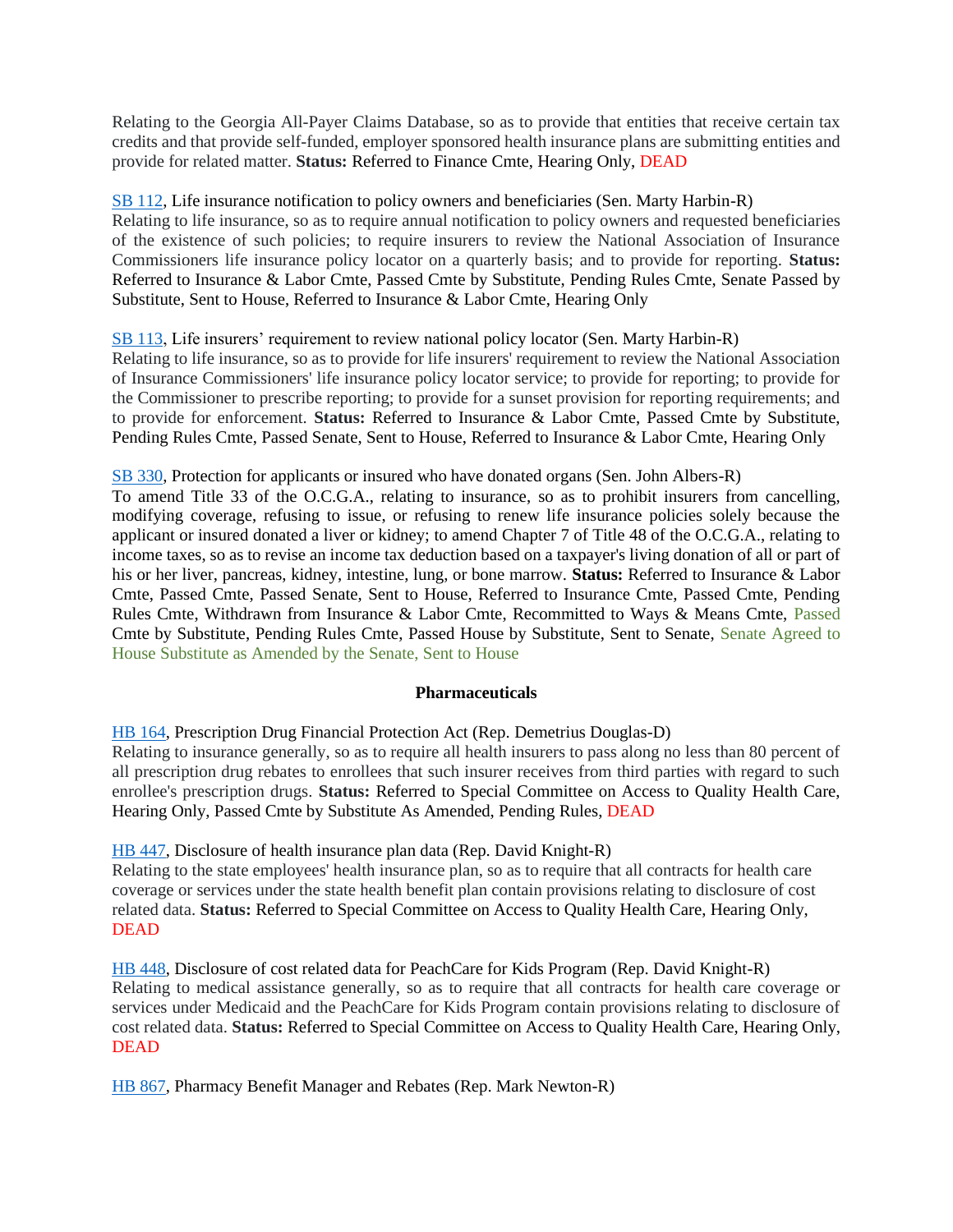Relating to the Georgia All-Payer Claims Database, so as to provide that entities that receive certain tax credits and that provide self-funded, employer sponsored health insurance plans are submitting entities and provide for related matter. **Status:** Referred to Finance Cmte, Hearing Only, DEAD

[SB 112,](https://www.legis.ga.gov/legislation/59454) Life insurance notification to policy owners and beneficiaries (Sen. Marty Harbin-R) Relating to life insurance, so as to require annual notification to policy owners and requested beneficiaries of the existence of such policies; to require insurers to review the National Association of Insurance Commissioners life insurance policy locator on a quarterly basis; and to provide for reporting. **Status:** Referred to Insurance & Labor Cmte, Passed Cmte by Substitute, Pending Rules Cmte, Senate Passed by Substitute, Sent to House, Referred to Insurance & Labor Cmte, Hearing Only

# [SB 113,](https://www.legis.ga.gov/legislation/59453) Life insurers' requirement to review national policy locator (Sen. Marty Harbin-R) Relating to life insurance, so as to provide for life insurers' requirement to review the National Association of Insurance Commissioners' life insurance policy locator service; to provide for reporting; to provide for the Commissioner to prescribe reporting; to provide for a sunset provision for reporting requirements; and to provide for enforcement. **Status:** Referred to Insurance & Labor Cmte, Passed Cmte by Substitute, Pending Rules Cmte, Passed Senate, Sent to House, Referred to Insurance & Labor Cmte, Hearing Only

#### [SB 330,](https://www.legis.ga.gov/legislation/61078) Protection for applicants or insured who have donated organs (Sen. John Albers-R)

To amend Title 33 of the O.C.G.A., relating to insurance, so as to prohibit insurers from cancelling, modifying coverage, refusing to issue, or refusing to renew life insurance policies solely because the applicant or insured donated a liver or kidney; to amend Chapter 7 of Title 48 of the O.C.G.A., relating to income taxes, so as to revise an income tax deduction based on a taxpayer's living donation of all or part of his or her liver, pancreas, kidney, intestine, lung, or bone marrow. **Status:** Referred to Insurance & Labor Cmte, Passed Cmte, Passed Senate, Sent to House, Referred to Insurance Cmte, Passed Cmte, Pending Rules Cmte, Withdrawn from Insurance & Labor Cmte, Recommitted to Ways & Means Cmte, Passed Cmte by Substitute, Pending Rules Cmte, Passed House by Substitute, Sent to Senate, Senate Agreed to House Substitute as Amended by the Senate, Sent to House

# **Pharmaceuticals**

<span id="page-27-0"></span>[HB 164,](https://www.legis.ga.gov/legislation/59086) Prescription Drug Financial Protection Act (Rep. Demetrius Douglas-D)

Relating to insurance generally, so as to require all health insurers to pass along no less than 80 percent of all prescription drug rebates to enrollees that such insurer receives from third parties with regard to such enrollee's prescription drugs. **Status:** Referred to Special Committee on Access to Quality Health Care, Hearing Only, Passed Cmte by Substitute As Amended, Pending Rules, DEAD

[HB 447,](https://www.legis.ga.gov/legislation/59642) Disclosure of health insurance plan data (Rep. David Knight-R)

Relating to the state employees' health insurance plan, so as to require that all contracts for health care coverage or services under the state health benefit plan contain provisions relating to disclosure of cost related data. **Status:** Referred to Special Committee on Access to Quality Health Care, Hearing Only, **DEAD** 

[HB 448,](https://www.legis.ga.gov/legislation/59643) Disclosure of cost related data for PeachCare for Kids Program (Rep. David Knight-R) Relating to medical assistance generally, so as to require that all contracts for health care coverage or services under Medicaid and the PeachCare for Kids Program contain provisions relating to disclosure of cost related data. **Status:** Referred to Special Committee on Access to Quality Health Care, Hearing Only, DEAD

[HB 867,](https://www.legis.ga.gov/legislation/61050) Pharmacy Benefit Manager and Rebates (Rep. Mark Newton-R)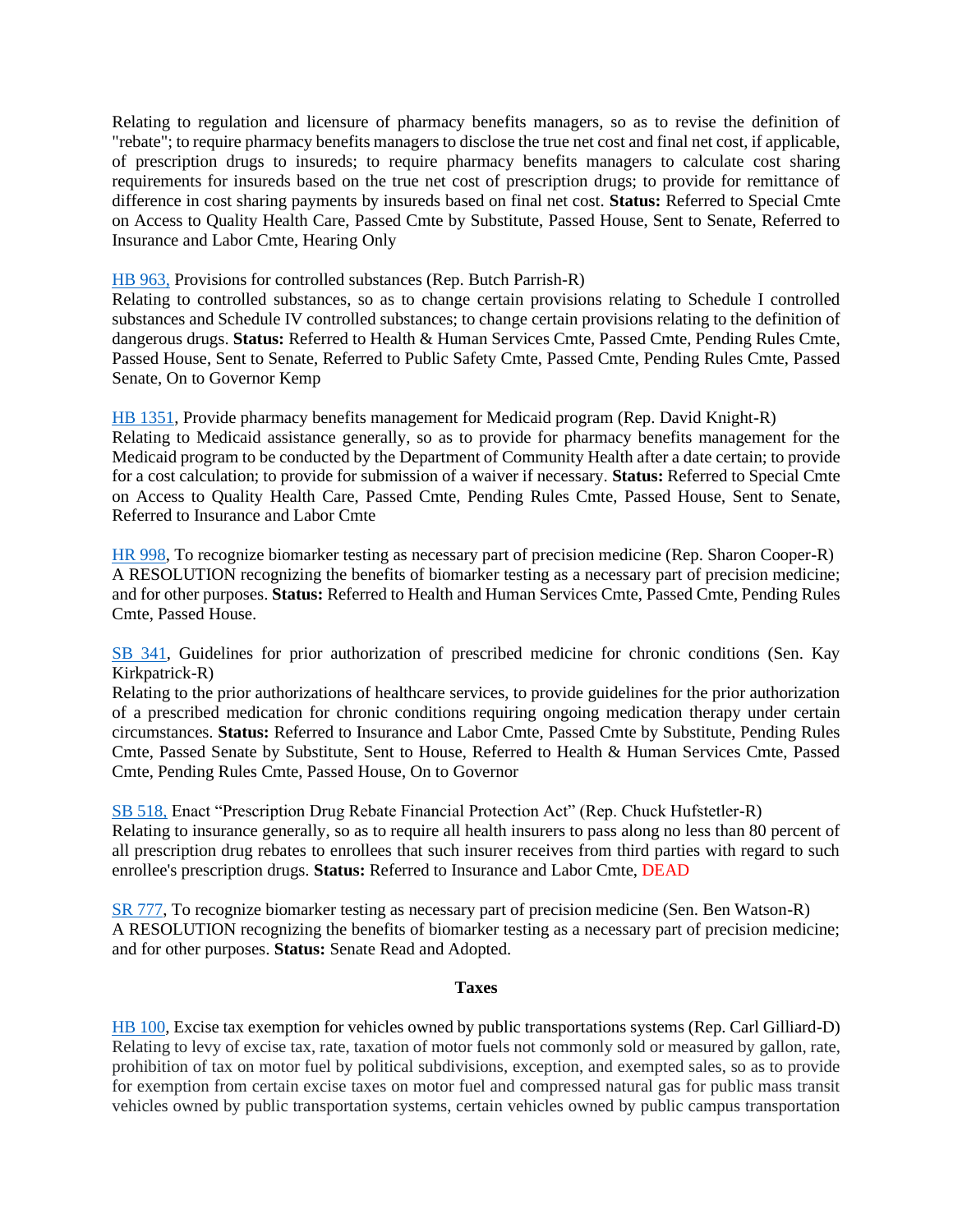Relating to regulation and licensure of pharmacy benefits managers, so as to revise the definition of "rebate"; to require pharmacy benefits managers to disclose the true net cost and final net cost, if applicable, of prescription drugs to insureds; to require pharmacy benefits managers to calculate cost sharing requirements for insureds based on the true net cost of prescription drugs; to provide for remittance of difference in cost sharing payments by insureds based on final net cost. **Status:** Referred to Special Cmte on Access to Quality Health Care, Passed Cmte by Substitute, Passed House, Sent to Senate, Referred to Insurance and Labor Cmte, Hearing Only

#### [HB 963,](https://www.legis.ga.gov/legislation/61239) Provisions for controlled substances (Rep. Butch Parrish-R)

Relating to controlled substances, so as to change certain provisions relating to Schedule I controlled substances and Schedule IV controlled substances; to change certain provisions relating to the definition of dangerous drugs. **Status:** Referred to Health & Human Services Cmte, Passed Cmte, Pending Rules Cmte, Passed House, Sent to Senate, Referred to Public Safety Cmte, Passed Cmte, Pending Rules Cmte, Passed Senate, On to Governor Kemp

[HB 1351,](https://www.legis.ga.gov/legislation/62099) Provide pharmacy benefits management for Medicaid program (Rep. David Knight-R) Relating to Medicaid assistance generally, so as to provide for pharmacy benefits management for the Medicaid program to be conducted by the Department of Community Health after a date certain; to provide for a cost calculation; to provide for submission of a waiver if necessary. **Status:** Referred to Special Cmte on Access to Quality Health Care, Passed Cmte, Pending Rules Cmte, Passed House, Sent to Senate, Referred to Insurance and Labor Cmte

[HR 998,](https://www.legis.ga.gov/legislation/62794) To recognize biomarker testing as necessary part of precision medicine (Rep. Sharon Cooper-R) A RESOLUTION recognizing the benefits of biomarker testing as a necessary part of precision medicine; and for other purposes. **Status:** Referred to Health and Human Services Cmte, Passed Cmte, Pending Rules Cmte, Passed House.

[SB 341,](https://www.legis.ga.gov/legislation/61156) Guidelines for prior authorization of prescribed medicine for chronic conditions (Sen. Kay Kirkpatrick-R)

Relating to the prior authorizations of healthcare services, to provide guidelines for the prior authorization of a prescribed medication for chronic conditions requiring ongoing medication therapy under certain circumstances. **Status:** Referred to Insurance and Labor Cmte, Passed Cmte by Substitute, Pending Rules Cmte, Passed Senate by Substitute, Sent to House, Referred to Health & Human Services Cmte, Passed Cmte, Pending Rules Cmte, Passed House, On to Governor

[SB 518,](https://www.legis.ga.gov/legislation/62124) Enact "Prescription Drug Rebate Financial Protection Act" (Rep. Chuck Hufstetler-R) Relating to insurance generally, so as to require all health insurers to pass along no less than 80 percent of all prescription drug rebates to enrollees that such insurer receives from third parties with regard to such enrollee's prescription drugs. **Status:** Referred to Insurance and Labor Cmte, DEAD

[SR 777,](https://www.legis.ga.gov/legislation/63036) To recognize biomarker testing as necessary part of precision medicine (Sen. Ben Watson-R) A RESOLUTION recognizing the benefits of biomarker testing as a necessary part of precision medicine; and for other purposes. **Status:** Senate Read and Adopted.

#### **Taxes**

<span id="page-28-0"></span>[HB 100,](https://www.legis.ga.gov/legislation/58944) Excise tax exemption for vehicles owned by public transportations systems (Rep. Carl Gilliard-D) Relating to levy of excise tax, rate, taxation of motor fuels not commonly sold or measured by gallon, rate, prohibition of tax on motor fuel by political subdivisions, exception, and exempted sales, so as to provide for exemption from certain excise taxes on motor fuel and compressed natural gas for public mass transit vehicles owned by public transportation systems, certain vehicles owned by public campus transportation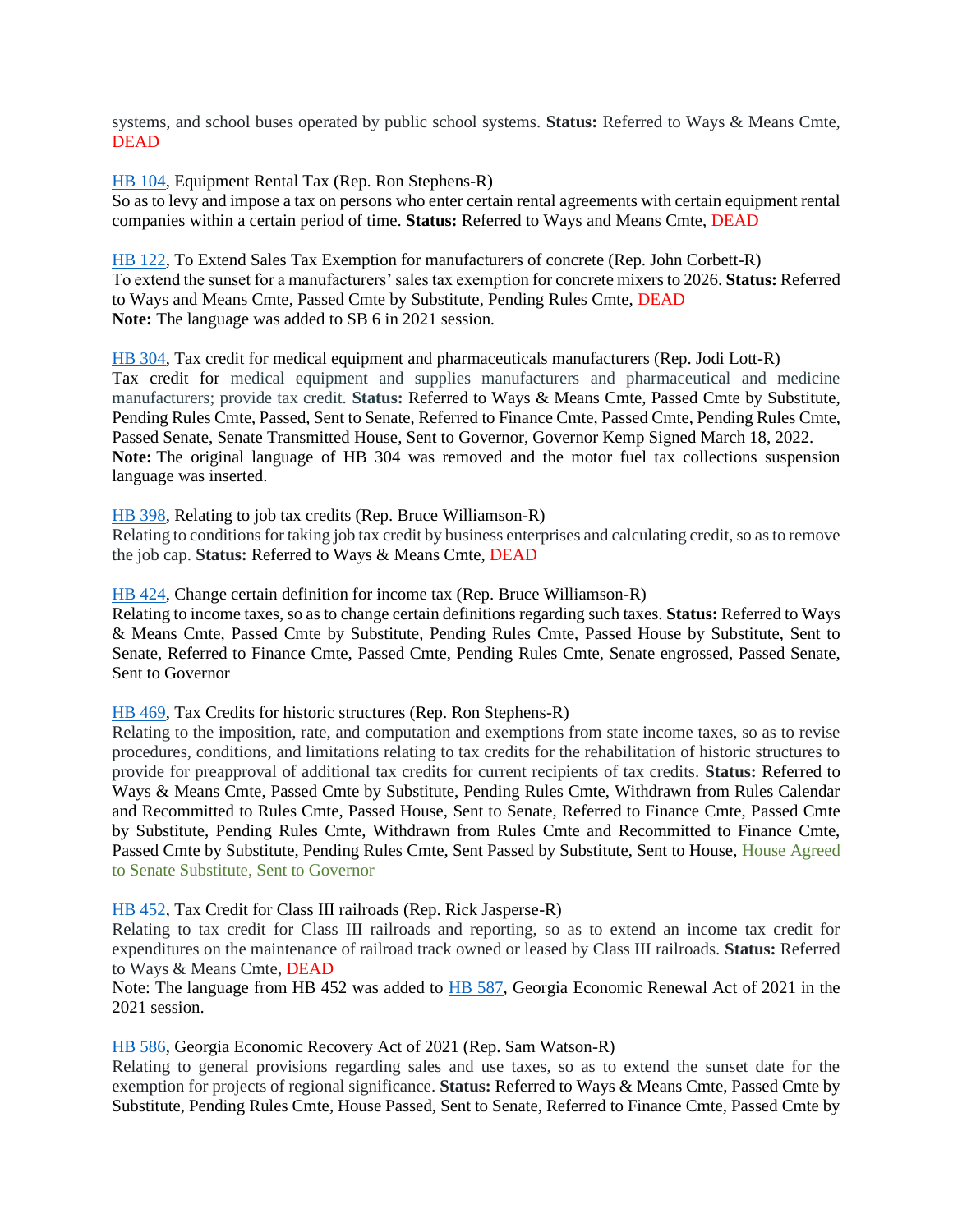systems, and school buses operated by public school systems. **Status:** Referred to Ways & Means Cmte, DEAD

[HB 104,](https://www.legis.ga.gov/legislation/58951) Equipment Rental Tax (Rep. Ron Stephens-R)

So as to levy and impose a tax on persons who enter certain rental agreements with certain equipment rental companies within a certain period of time. **Status:** Referred to Ways and Means Cmte, DEAD

[HB 122,](https://www.legis.ga.gov/legislation/58990) To Extend Sales Tax Exemption for manufacturers of concrete (Rep. John Corbett-R) To extend the sunset for a manufacturers' sales tax exemption for concrete mixers to 2026. **Status:** Referred to Ways and Means Cmte, Passed Cmte by Substitute, Pending Rules Cmte, DEAD **Note:** The language was added to SB 6 in 2021 session.

[HB 304,](https://www.legis.ga.gov/legislation/59345) Tax credit for medical equipment and pharmaceuticals manufacturers (Rep. Jodi Lott-R) Tax credit for medical equipment and supplies manufacturers and pharmaceutical and medicine manufacturers; provide tax credit. **Status:** Referred to Ways & Means Cmte, Passed Cmte by Substitute, Pending Rules Cmte, Passed, Sent to Senate, Referred to Finance Cmte, Passed Cmte, Pending Rules Cmte, Passed Senate, Senate Transmitted House, Sent to Governor, Governor Kemp Signed March 18, 2022. **Note:** The original language of HB 304 was removed and the motor fuel tax collections suspension language was inserted.

[HB 398,](https://www.legis.ga.gov/legislation/59559) Relating to job tax credits (Rep. Bruce Williamson-R)

Relating to conditions for taking job tax credit by business enterprises and calculating credit, so as to remove the job cap. **Status:** Referred to Ways & Means Cmte, DEAD

[HB 424,](https://www.legis.ga.gov/legislation/59605) Change certain definition for income tax (Rep. Bruce Williamson-R)

Relating to income taxes, so as to change certain definitions regarding such taxes. **Status:** Referred to Ways & Means Cmte, Passed Cmte by Substitute, Pending Rules Cmte, Passed House by Substitute, Sent to Senate, Referred to Finance Cmte, Passed Cmte, Pending Rules Cmte, Senate engrossed, Passed Senate, Sent to Governor

[HB 469,](https://www.legis.ga.gov/legislation/59705) Tax Credits for historic structures (Rep. Ron Stephens-R)

Relating to the imposition, rate, and computation and exemptions from state income taxes, so as to revise procedures, conditions, and limitations relating to tax credits for the rehabilitation of historic structures to provide for preapproval of additional tax credits for current recipients of tax credits. **Status:** Referred to Ways & Means Cmte, Passed Cmte by Substitute, Pending Rules Cmte, Withdrawn from Rules Calendar and Recommitted to Rules Cmte, Passed House, Sent to Senate, Referred to Finance Cmte, Passed Cmte by Substitute, Pending Rules Cmte, Withdrawn from Rules Cmte and Recommitted to Finance Cmte, Passed Cmte by Substitute, Pending Rules Cmte, Sent Passed by Substitute, Sent to House, House Agreed to Senate Substitute, Sent to Governor

[HB 452,](https://www.legis.ga.gov/legislation/59647) Tax Credit for Class III railroads (Rep. Rick Jasperse-R)

Relating to tax credit for Class III railroads and reporting, so as to extend an income tax credit for expenditures on the maintenance of railroad track owned or leased by Class III railroads. **Status:** Referred to Ways & Means Cmte, DEAD

Note: The language from HB 452 was added to [HB 587,](https://www.legis.ga.gov/legislation/59948) Georgia Economic Renewal Act of 2021 in the 2021 session.

[HB 586,](https://www.legis.ga.gov/legislation/59947) Georgia Economic Recovery Act of 2021 (Rep. Sam Watson-R)

Relating to general provisions regarding sales and use taxes, so as to extend the sunset date for the exemption for projects of regional significance. **Status:** Referred to Ways & Means Cmte, Passed Cmte by Substitute, Pending Rules Cmte, House Passed, Sent to Senate, Referred to Finance Cmte, Passed Cmte by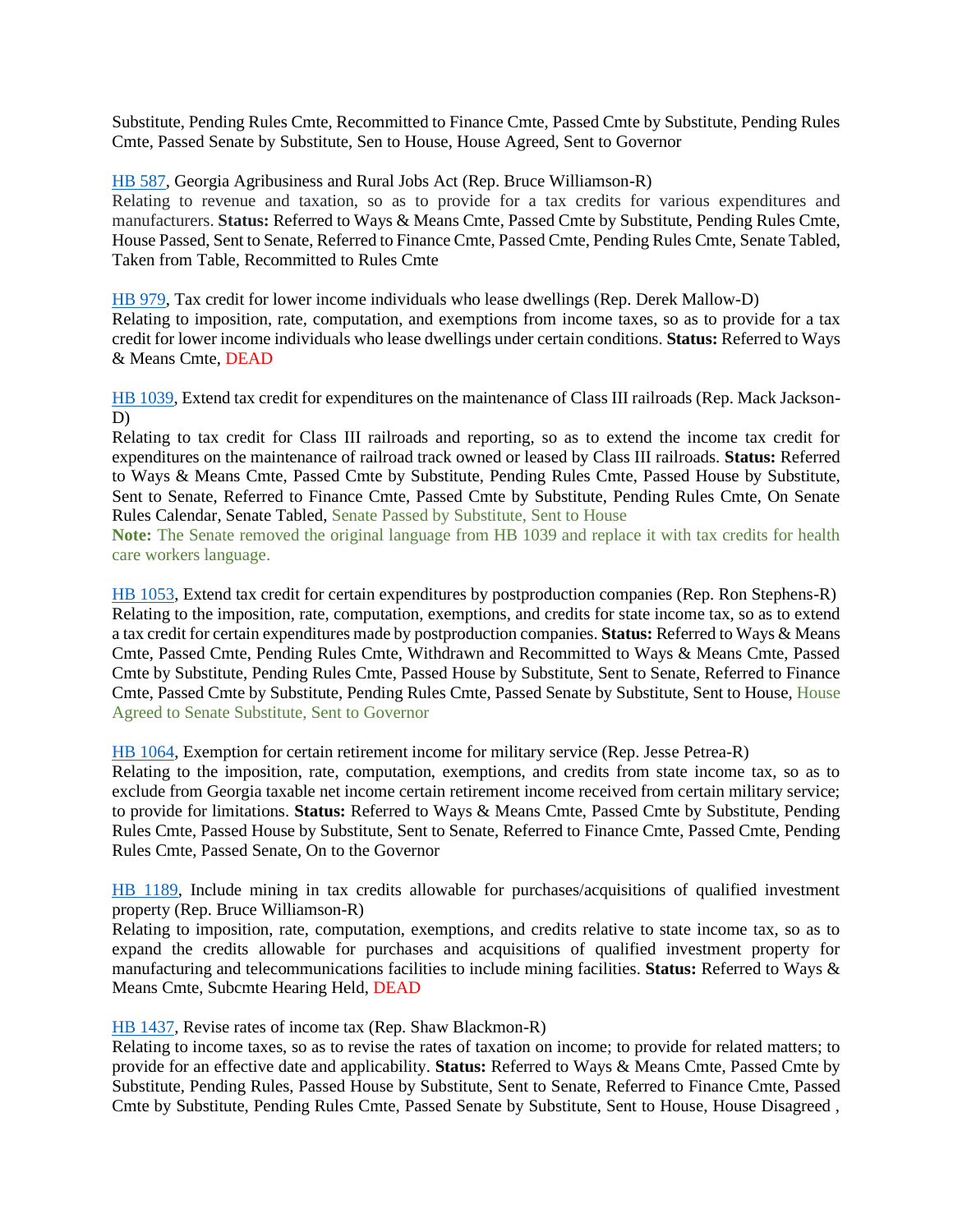Substitute, Pending Rules Cmte, Recommitted to Finance Cmte, Passed Cmte by Substitute, Pending Rules Cmte, Passed Senate by Substitute, Sen to House, House Agreed, Sent to Governor

[HB 587,](https://www.legis.ga.gov/legislation/59948) Georgia Agribusiness and Rural Jobs Act (Rep. Bruce Williamson-R)

Relating to revenue and taxation, so as to provide for a tax credits for various expenditures and manufacturers. **Status:** Referred to Ways & Means Cmte, Passed Cmte by Substitute, Pending Rules Cmte, House Passed, Sent to Senate, Referred to Finance Cmte, Passed Cmte, Pending Rules Cmte, Senate Tabled, Taken from Table, Recommitted to Rules Cmte

[HB 979,](https://www.legis.ga.gov/legislation/61255) Tax credit for lower income individuals who lease dwellings (Rep. Derek Mallow-D) Relating to imposition, rate, computation, and exemptions from income taxes, so as to provide for a tax credit for lower income individuals who lease dwellings under certain conditions. **Status:** Referred to Ways & Means Cmte, DEAD

[HB 1039,](https://www.legis.ga.gov/legislation/61390) Extend tax credit for expenditures on the maintenance of Class III railroads (Rep. Mack Jackson-D)

Relating to tax credit for Class III railroads and reporting, so as to extend the income tax credit for expenditures on the maintenance of railroad track owned or leased by Class III railroads. **Status:** Referred to Ways & Means Cmte, Passed Cmte by Substitute, Pending Rules Cmte, Passed House by Substitute, Sent to Senate, Referred to Finance Cmte, Passed Cmte by Substitute, Pending Rules Cmte, On Senate Rules Calendar, Senate Tabled, Senate Passed by Substitute, Sent to House

**Note:** The Senate removed the original language from HB 1039 and replace it with tax credits for health care workers language.

[HB 1053,](https://www.legis.ga.gov/legislation/61406) Extend tax credit for certain expenditures by postproduction companies (Rep. Ron Stephens-R) Relating to the imposition, rate, computation, exemptions, and credits for state income tax, so as to extend a tax credit for certain expenditures made by postproduction companies. **Status:** Referred to Ways & Means Cmte, Passed Cmte, Pending Rules Cmte, Withdrawn and Recommitted to Ways & Means Cmte, Passed Cmte by Substitute, Pending Rules Cmte, Passed House by Substitute, Sent to Senate, Referred to Finance Cmte, Passed Cmte by Substitute, Pending Rules Cmte, Passed Senate by Substitute, Sent to House, House Agreed to Senate Substitute, Sent to Governor

[HB 1064,](https://www.legis.ga.gov/legislation/61451) Exemption for certain retirement income for military service (Rep. Jesse Petrea-R)

Relating to the imposition, rate, computation, exemptions, and credits from state income tax, so as to exclude from Georgia taxable net income certain retirement income received from certain military service; to provide for limitations. **Status:** Referred to Ways & Means Cmte, Passed Cmte by Substitute, Pending Rules Cmte, Passed House by Substitute, Sent to Senate, Referred to Finance Cmte, Passed Cmte, Pending Rules Cmte, Passed Senate, On to the Governor

[HB 1189,](https://www.legis.ga.gov/legislation/61691) Include mining in tax credits allowable for purchases/acquisitions of qualified investment property (Rep. Bruce Williamson-R)

Relating to imposition, rate, computation, exemptions, and credits relative to state income tax, so as to expand the credits allowable for purchases and acquisitions of qualified investment property for manufacturing and telecommunications facilities to include mining facilities. **Status:** Referred to Ways & Means Cmte, Subcmte Hearing Held, DEAD

[HB 1437,](https://www.legis.ga.gov/legislation/62346) Revise rates of income tax (Rep. Shaw Blackmon-R)

Relating to income taxes, so as to revise the rates of taxation on income; to provide for related matters; to provide for an effective date and applicability. **Status:** Referred to Ways & Means Cmte, Passed Cmte by Substitute, Pending Rules, Passed House by Substitute, Sent to Senate, Referred to Finance Cmte, Passed Cmte by Substitute, Pending Rules Cmte, Passed Senate by Substitute, Sent to House, House Disagreed ,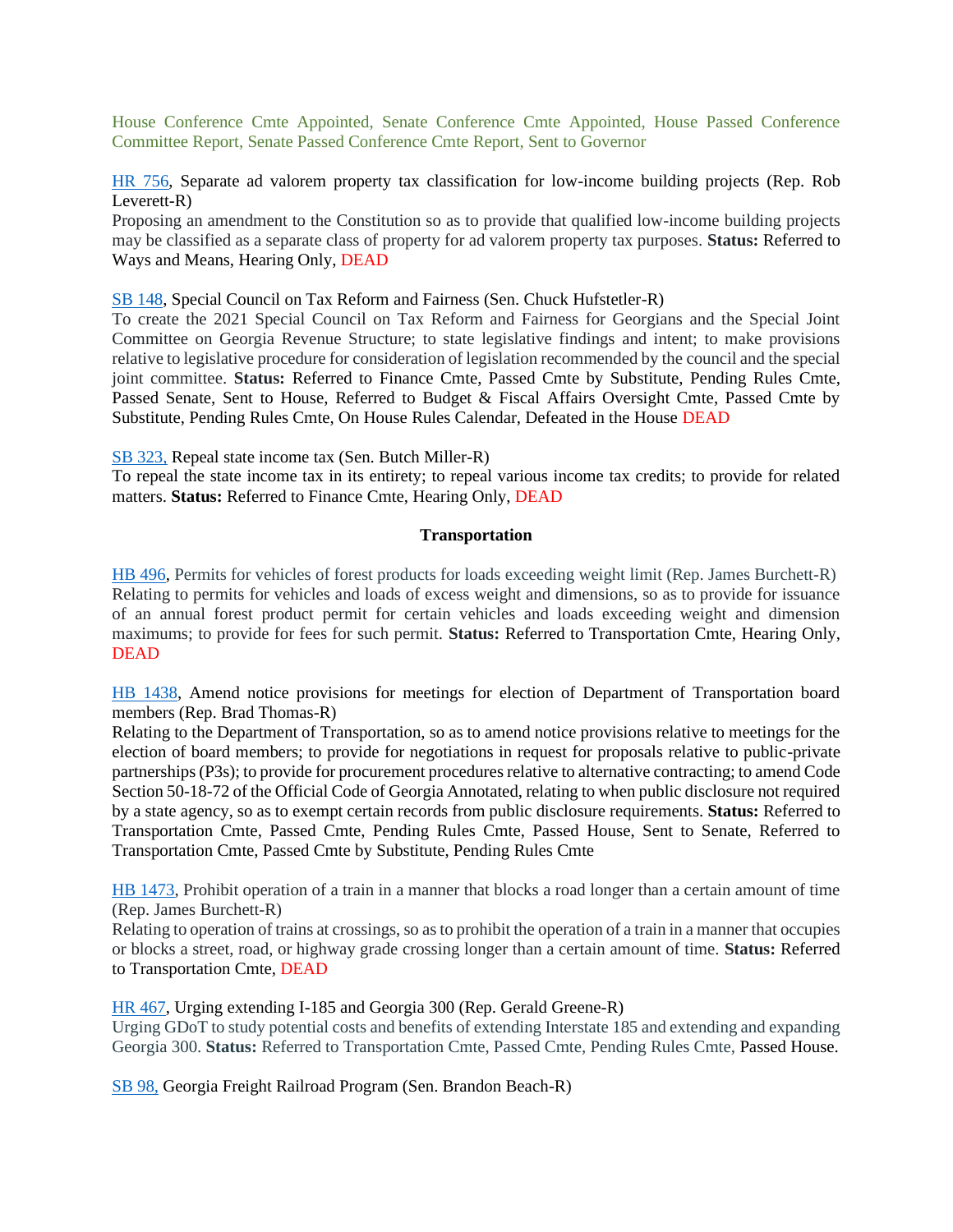House Conference Cmte Appointed, Senate Conference Cmte Appointed, House Passed Conference Committee Report, Senate Passed Conference Cmte Report, Sent to Governor

[HR 756,](https://www.legis.ga.gov/legislation/61940) Separate ad valorem property tax classification for low-income building projects (Rep. Rob Leverett-R)

Proposing an amendment to the Constitution so as to provide that qualified low-income building projects may be classified as a separate class of property for ad valorem property tax purposes. **Status:** Referred to Ways and Means, Hearing Only, DEAD

[SB 148,](https://www.legis.ga.gov/legislation/59556) Special Council on Tax Reform and Fairness (Sen. Chuck Hufstetler-R)

To create the 2021 Special Council on Tax Reform and Fairness for Georgians and the Special Joint Committee on Georgia Revenue Structure; to state legislative findings and intent; to make provisions relative to legislative procedure for consideration of legislation recommended by the council and the special joint committee. **Status:** Referred to Finance Cmte, Passed Cmte by Substitute, Pending Rules Cmte, Passed Senate, Sent to House, Referred to Budget & Fiscal Affairs Oversight Cmte, Passed Cmte by Substitute, Pending Rules Cmte, On House Rules Calendar, Defeated in the House DEAD

[SB 323,](https://www.legis.ga.gov/legislation/60971) Repeal state income tax (Sen. Butch Miller-R)

To repeal the state income tax in its entirety; to repeal various income tax credits; to provide for related matters. **Status:** Referred to Finance Cmte, Hearing Only, DEAD

#### **Transportation**

<span id="page-31-0"></span>[HB 496,](https://www.legis.ga.gov/legislation/59776) Permits for vehicles of forest products for loads exceeding weight limit (Rep. James Burchett-R) Relating to permits for vehicles and loads of excess weight and dimensions, so as to provide for issuance of an annual forest product permit for certain vehicles and loads exceeding weight and dimension maximums; to provide for fees for such permit. **Status:** Referred to Transportation Cmte, Hearing Only, DEAD

[HB 1438,](https://www.legis.ga.gov/legislation/62347) Amend notice provisions for meetings for election of Department of Transportation board members (Rep. Brad Thomas-R)

Relating to the Department of Transportation, so as to amend notice provisions relative to meetings for the election of board members; to provide for negotiations in request for proposals relative to public-private partnerships (P3s); to provide for procurement procedures relative to alternative contracting; to amend Code Section 50-18-72 of the Official Code of Georgia Annotated, relating to when public disclosure not required by a state agency, so as to exempt certain records from public disclosure requirements. **Status:** Referred to Transportation Cmte, Passed Cmte, Pending Rules Cmte, Passed House, Sent to Senate, Referred to Transportation Cmte, Passed Cmte by Substitute, Pending Rules Cmte

[HB 1473,](https://www.legis.ga.gov/legislation/62455) Prohibit operation of a train in a manner that blocks a road longer than a certain amount of time (Rep. James Burchett-R)

Relating to operation of trains at crossings, so as to prohibit the operation of a train in a manner that occupies or blocks a street, road, or highway grade crossing longer than a certain amount of time. **Status:** Referred to Transportation Cmte, DEAD

#### [HR 467,](https://www.legis.ga.gov/legislation/60698) Urging extending I-185 and Georgia 300 (Rep. Gerald Greene-R)

Urging GDoT to study potential costs and benefits of extending Interstate 185 and extending and expanding Georgia 300. **Status:** Referred to Transportation Cmte, Passed Cmte, Pending Rules Cmte, Passed House.

[SB 98,](https://www.legis.ga.gov/legislation/59341) Georgia Freight Railroad Program (Sen. Brandon Beach-R)